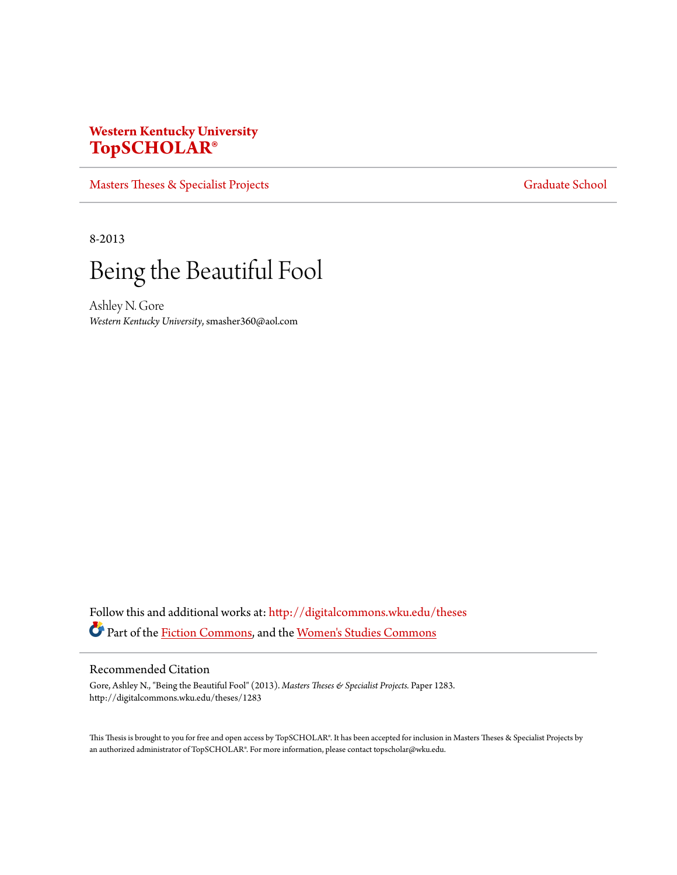# **Western Kentucky University [TopSCHOLAR®](http://digitalcommons.wku.edu?utm_source=digitalcommons.wku.edu%2Ftheses%2F1283&utm_medium=PDF&utm_campaign=PDFCoverPages)**

[Masters Theses & Specialist Projects](http://digitalcommons.wku.edu/theses?utm_source=digitalcommons.wku.edu%2Ftheses%2F1283&utm_medium=PDF&utm_campaign=PDFCoverPages) [Graduate School](http://digitalcommons.wku.edu/Graduate?utm_source=digitalcommons.wku.edu%2Ftheses%2F1283&utm_medium=PDF&utm_campaign=PDFCoverPages) Graduate School

8-2013



Ashley N. Gore *Western Kentucky University*, smasher360@aol.com

Follow this and additional works at: [http://digitalcommons.wku.edu/theses](http://digitalcommons.wku.edu/theses?utm_source=digitalcommons.wku.edu%2Ftheses%2F1283&utm_medium=PDF&utm_campaign=PDFCoverPages) Part of the [Fiction Commons](http://network.bepress.com/hgg/discipline/1151?utm_source=digitalcommons.wku.edu%2Ftheses%2F1283&utm_medium=PDF&utm_campaign=PDFCoverPages), and the [Women's Studies Commons](http://network.bepress.com/hgg/discipline/561?utm_source=digitalcommons.wku.edu%2Ftheses%2F1283&utm_medium=PDF&utm_campaign=PDFCoverPages)

### Recommended Citation

Gore, Ashley N., "Being the Beautiful Fool" (2013). *Masters Theses & Specialist Projects.* Paper 1283. http://digitalcommons.wku.edu/theses/1283

This Thesis is brought to you for free and open access by TopSCHOLAR®. It has been accepted for inclusion in Masters Theses & Specialist Projects by an authorized administrator of TopSCHOLAR®. For more information, please contact topscholar@wku.edu.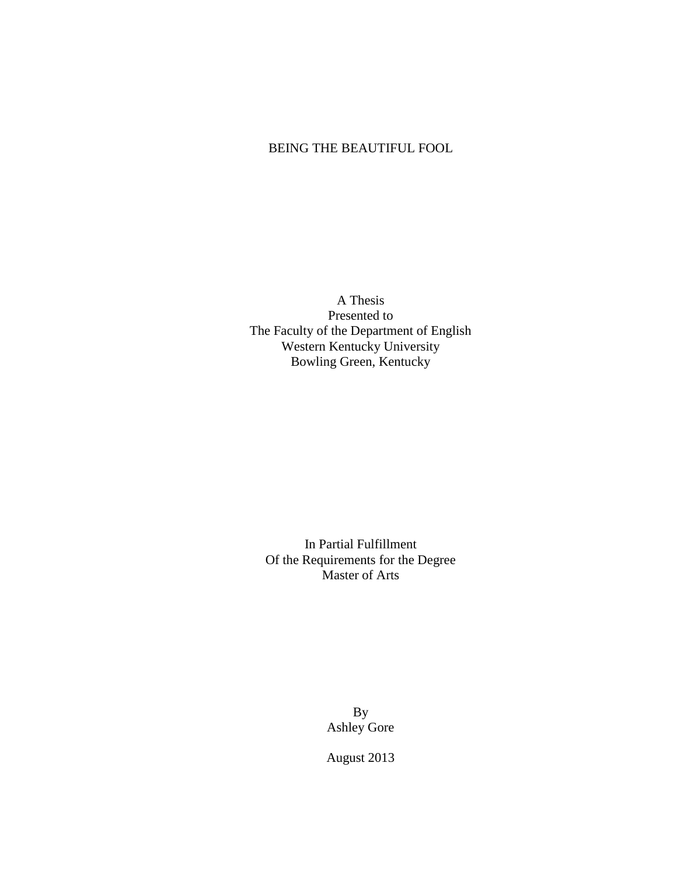### BEING THE BEAUTIFUL FOOL

A Thesis Presented to The Faculty of the Department of English Western Kentucky University Bowling Green, Kentucky

In Partial Fulfillment Of the Requirements for the Degree Master of Arts

> By Ashley Gore

August 2013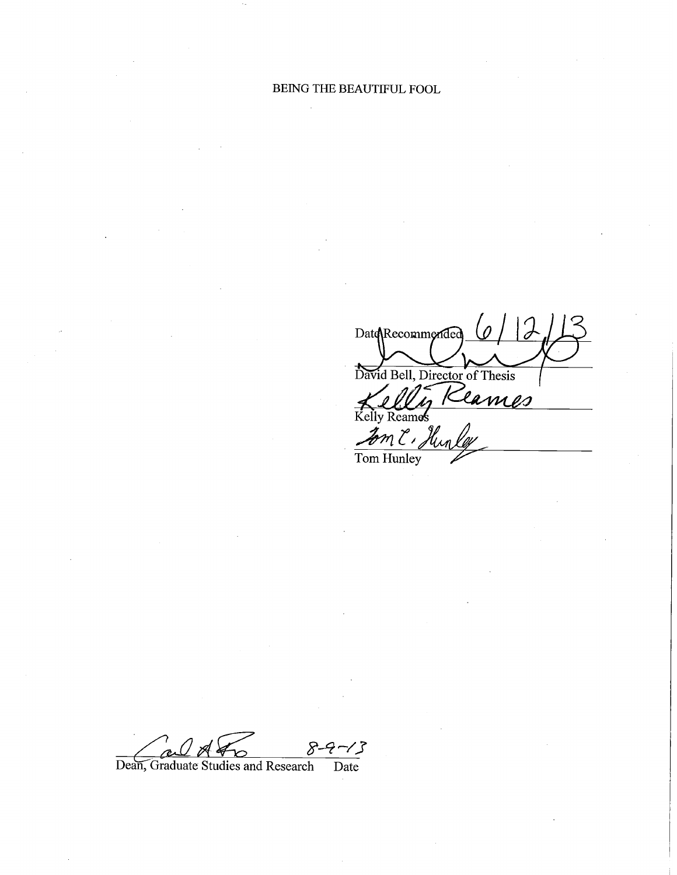$\begin{array}{c} \mathcal{C} \\ \mathcal{O} \end{array}$ Date Recommended David Bell, Director of Thesis<br>Kellig Reames Kelly Reames Fom C, Hunley

:/} Dean, Graduate Studies and Research Date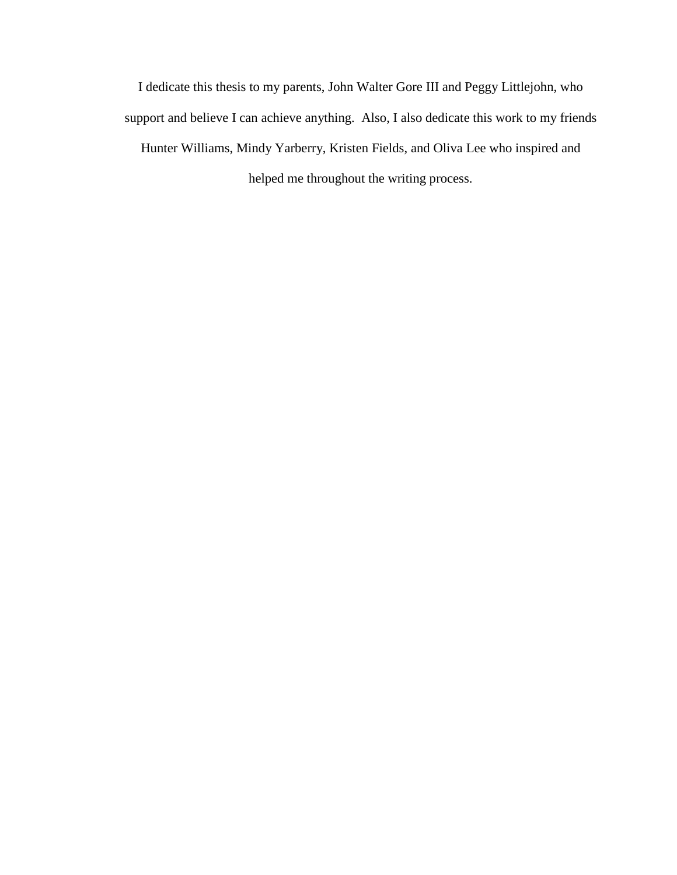I dedicate this thesis to my parents, John Walter Gore III and Peggy Littlejohn, who support and believe I can achieve anything. Also, I also dedicate this work to my friends Hunter Williams, Mindy Yarberry, Kristen Fields, and Oliva Lee who inspired and helped me throughout the writing process.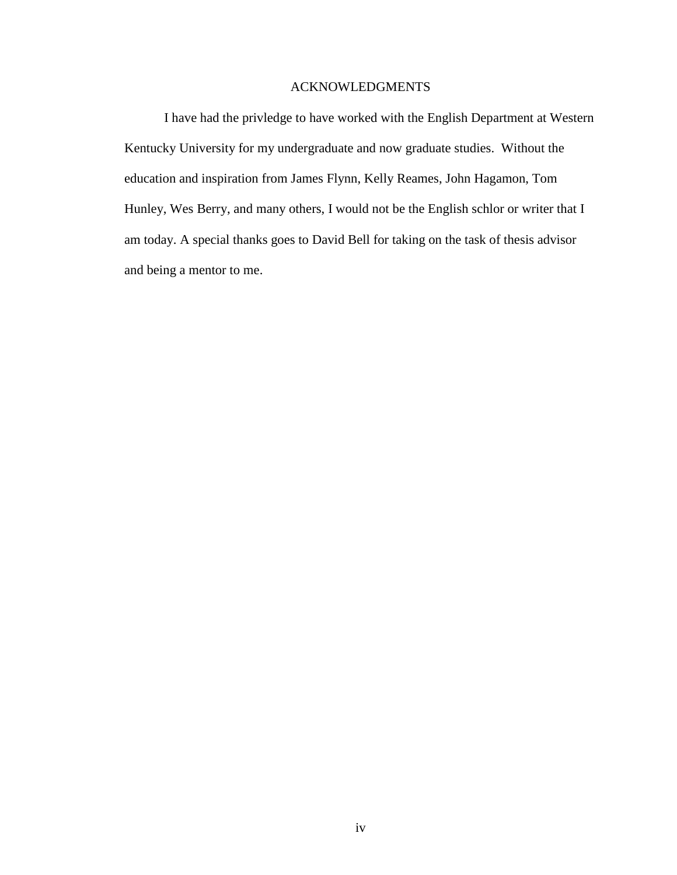### ACKNOWLEDGMENTS

I have had the privledge to have worked with the English Department at Western Kentucky University for my undergraduate and now graduate studies. Without the education and inspiration from James Flynn, Kelly Reames, John Hagamon, Tom Hunley, Wes Berry, and many others, I would not be the English schlor or writer that I am today. A special thanks goes to David Bell for taking on the task of thesis advisor and being a mentor to me.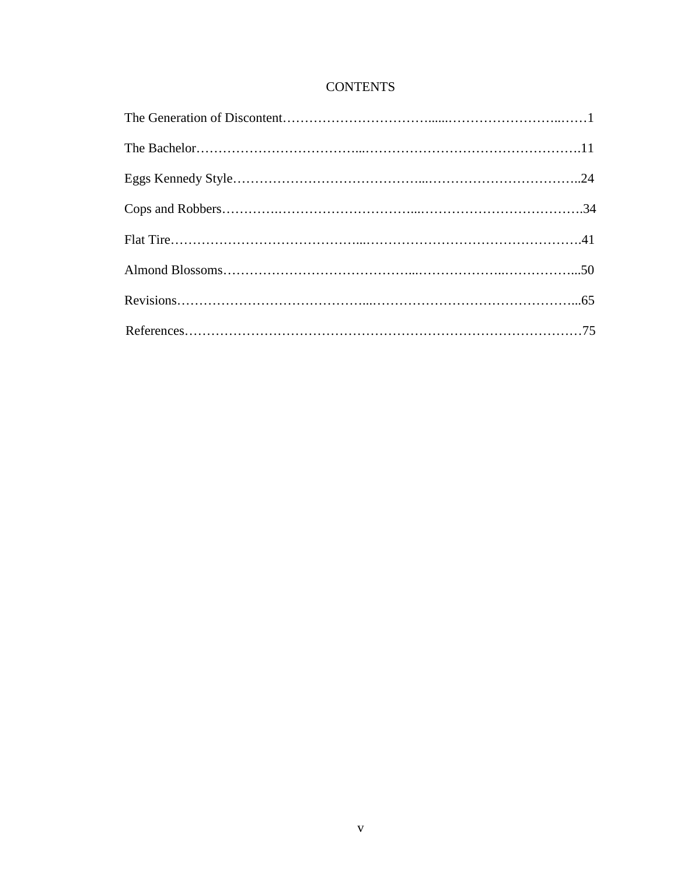## **CONTENTS**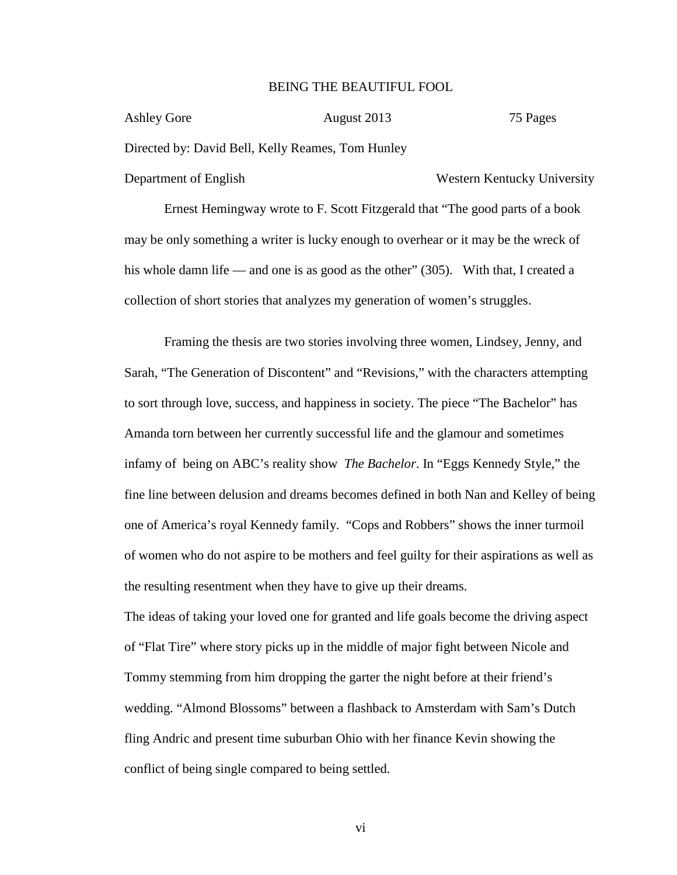### BEING THE BEAUTIFUL FOOL

| Ashley Gore                                       | August 2013 | 75 Pages                    |
|---------------------------------------------------|-------------|-----------------------------|
| Directed by: David Bell, Kelly Reames, Tom Hunley |             |                             |
| Department of English                             |             | Western Kentucky University |

Ernest Hemingway wrote to F. Scott Fitzgerald that "The good parts of a book may be only something a writer is lucky enough to overhear or it may be the wreck of his whole damn life — and one is as good as the other" (305). With that, I created a collection of short stories that analyzes my generation of women's struggles.

Framing the thesis are two stories involving three women, Lindsey, Jenny, and Sarah, "The Generation of Discontent" and "Revisions," with the characters attempting to sort through love, success, and happiness in society. The piece "The Bachelor" has Amanda torn between her currently successful life and the glamour and sometimes infamy of being on ABC's reality show *The Bachelor*. In "Eggs Kennedy Style," the fine line between delusion and dreams becomes defined in both Nan and Kelley of being one of America's royal Kennedy family. "Cops and Robbers" shows the inner turmoil of women who do not aspire to be mothers and feel guilty for their aspirations as well as the resulting resentment when they have to give up their dreams.

The ideas of taking your loved one for granted and life goals become the driving aspect of "Flat Tire" where story picks up in the middle of major fight between Nicole and Tommy stemming from him dropping the garter the night before at their friend's wedding. "Almond Blossoms" between a flashback to Amsterdam with Sam's Dutch fling Andric and present time suburban Ohio with her finance Kevin showing the conflict of being single compared to being settled.

vi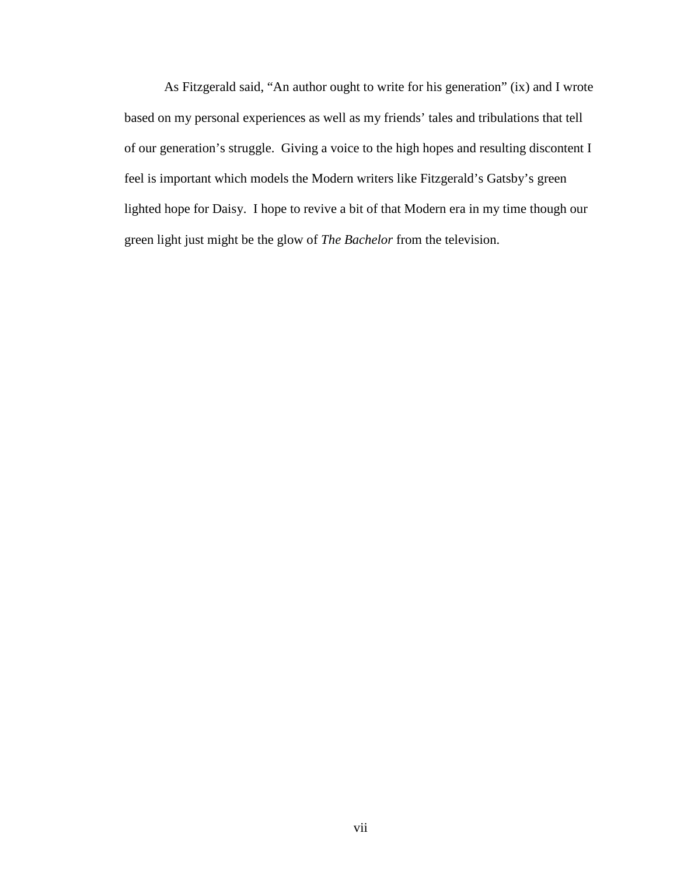As Fitzgerald said, "An author ought to write for his generation" (ix) and I wrote based on my personal experiences as well as my friends' tales and tribulations that tell of our generation's struggle. Giving a voice to the high hopes and resulting discontent I feel is important which models the Modern writers like Fitzgerald's Gatsby's green lighted hope for Daisy. I hope to revive a bit of that Modern era in my time though our green light just might be the glow of *The Bachelor* from the television.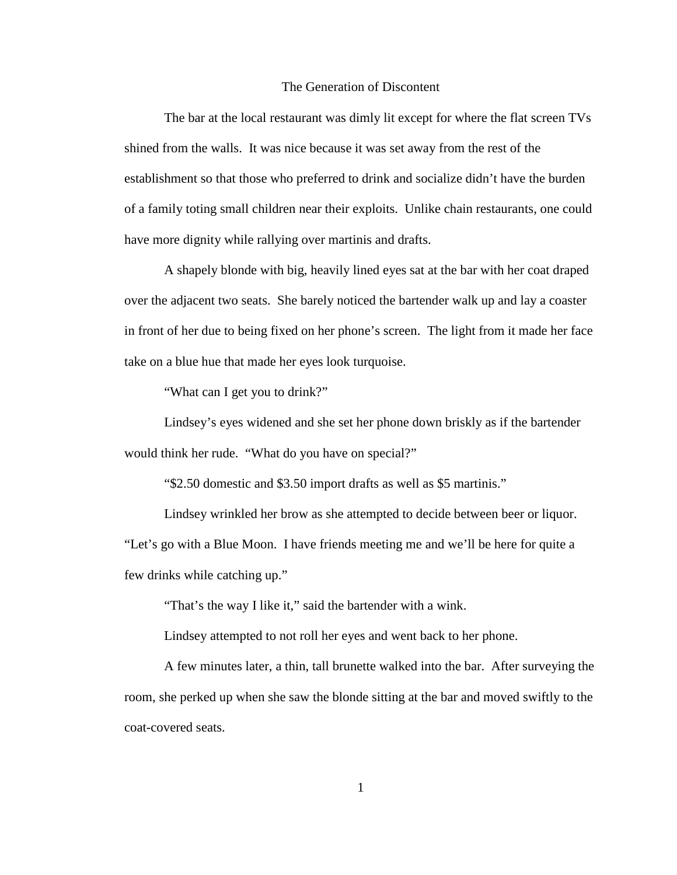### The Generation of Discontent

The bar at the local restaurant was dimly lit except for where the flat screen TVs shined from the walls. It was nice because it was set away from the rest of the establishment so that those who preferred to drink and socialize didn't have the burden of a family toting small children near their exploits. Unlike chain restaurants, one could have more dignity while rallying over martinis and drafts.

A shapely blonde with big, heavily lined eyes sat at the bar with her coat draped over the adjacent two seats. She barely noticed the bartender walk up and lay a coaster in front of her due to being fixed on her phone's screen. The light from it made her face take on a blue hue that made her eyes look turquoise.

"What can I get you to drink?"

Lindsey's eyes widened and she set her phone down briskly as if the bartender would think her rude. "What do you have on special?"

"\$2.50 domestic and \$3.50 import drafts as well as \$5 martinis."

Lindsey wrinkled her brow as she attempted to decide between beer or liquor. "Let's go with a Blue Moon. I have friends meeting me and we'll be here for quite a few drinks while catching up."

"That's the way I like it," said the bartender with a wink.

Lindsey attempted to not roll her eyes and went back to her phone.

A few minutes later, a thin, tall brunette walked into the bar. After surveying the room, she perked up when she saw the blonde sitting at the bar and moved swiftly to the coat-covered seats.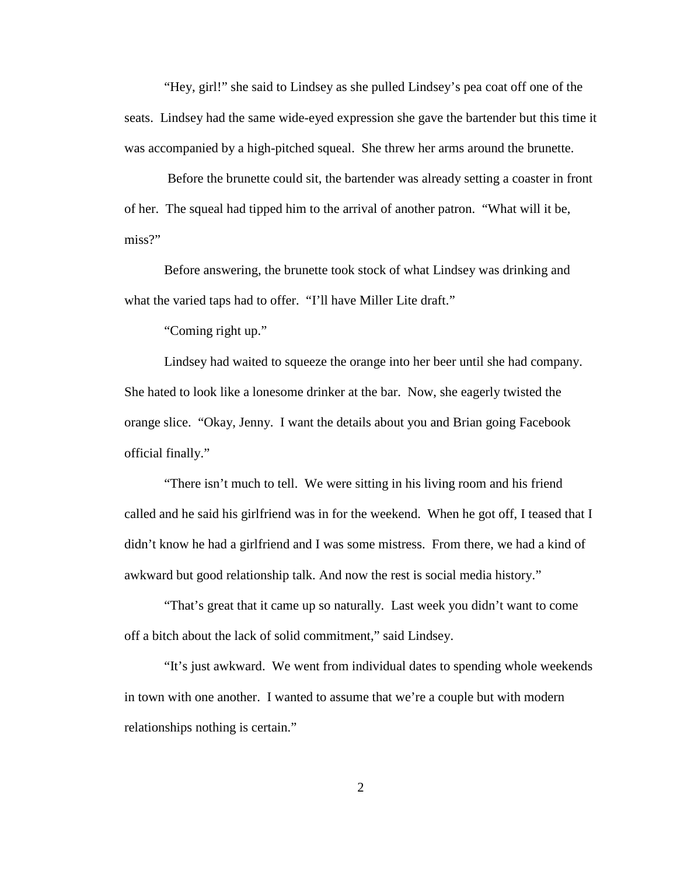"Hey, girl!" she said to Lindsey as she pulled Lindsey's pea coat off one of the seats. Lindsey had the same wide-eyed expression she gave the bartender but this time it was accompanied by a high-pitched squeal. She threw her arms around the brunette.

Before the brunette could sit, the bartender was already setting a coaster in front of her. The squeal had tipped him to the arrival of another patron. "What will it be, miss?"

Before answering, the brunette took stock of what Lindsey was drinking and what the varied taps had to offer. "I'll have Miller Lite draft."

"Coming right up."

Lindsey had waited to squeeze the orange into her beer until she had company. She hated to look like a lonesome drinker at the bar. Now, she eagerly twisted the orange slice. "Okay, Jenny. I want the details about you and Brian going Facebook official finally."

"There isn't much to tell. We were sitting in his living room and his friend called and he said his girlfriend was in for the weekend. When he got off, I teased that I didn't know he had a girlfriend and I was some mistress. From there, we had a kind of awkward but good relationship talk. And now the rest is social media history."

"That's great that it came up so naturally. Last week you didn't want to come off a bitch about the lack of solid commitment," said Lindsey.

"It's just awkward. We went from individual dates to spending whole weekends in town with one another. I wanted to assume that we're a couple but with modern relationships nothing is certain."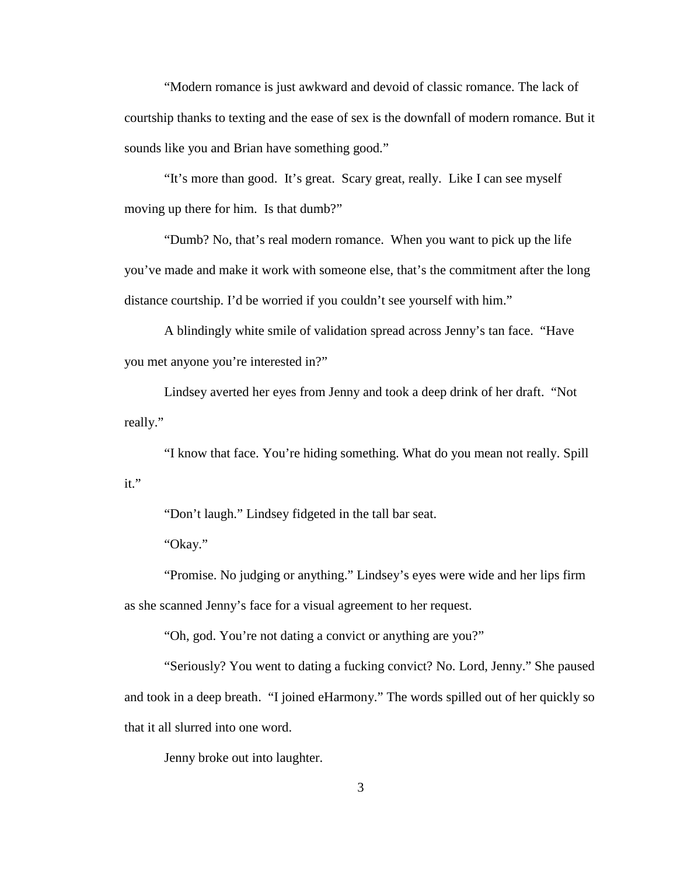"Modern romance is just awkward and devoid of classic romance. The lack of courtship thanks to texting and the ease of sex is the downfall of modern romance. But it sounds like you and Brian have something good."

"It's more than good. It's great. Scary great, really. Like I can see myself moving up there for him. Is that dumb?"

"Dumb? No, that's real modern romance. When you want to pick up the life you've made and make it work with someone else, that's the commitment after the long distance courtship. I'd be worried if you couldn't see yourself with him."

A blindingly white smile of validation spread across Jenny's tan face. "Have you met anyone you're interested in?"

Lindsey averted her eyes from Jenny and took a deep drink of her draft. "Not really."

"I know that face. You're hiding something. What do you mean not really. Spill it."

"Don't laugh." Lindsey fidgeted in the tall bar seat.

"Okay."

"Promise. No judging or anything." Lindsey's eyes were wide and her lips firm as she scanned Jenny's face for a visual agreement to her request.

"Oh, god. You're not dating a convict or anything are you?"

"Seriously? You went to dating a fucking convict? No. Lord, Jenny." She paused and took in a deep breath. "I joined eHarmony." The words spilled out of her quickly so that it all slurred into one word.

Jenny broke out into laughter.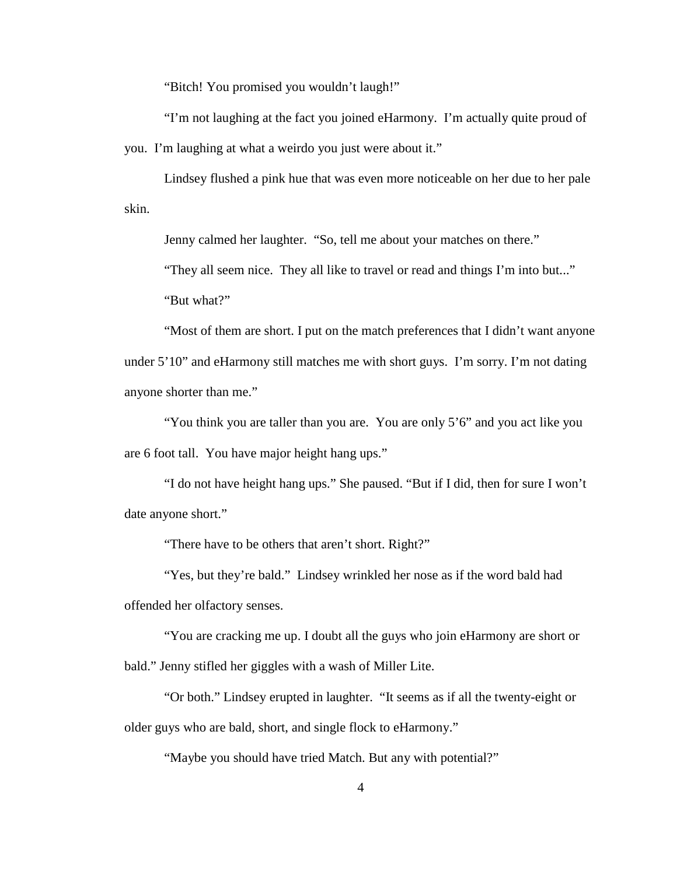"Bitch! You promised you wouldn't laugh!"

"I'm not laughing at the fact you joined eHarmony. I'm actually quite proud of you. I'm laughing at what a weirdo you just were about it."

Lindsey flushed a pink hue that was even more noticeable on her due to her pale skin.

Jenny calmed her laughter. "So, tell me about your matches on there."

"They all seem nice. They all like to travel or read and things I'm into but..."

"But what?"

"Most of them are short. I put on the match preferences that I didn't want anyone under 5'10" and eHarmony still matches me with short guys. I'm sorry. I'm not dating anyone shorter than me."

"You think you are taller than you are. You are only 5'6" and you act like you are 6 foot tall. You have major height hang ups."

"I do not have height hang ups." She paused. "But if I did, then for sure I won't date anyone short."

"There have to be others that aren't short. Right?"

"Yes, but they're bald." Lindsey wrinkled her nose as if the word bald had offended her olfactory senses.

"You are cracking me up. I doubt all the guys who join eHarmony are short or bald." Jenny stifled her giggles with a wash of Miller Lite.

"Or both." Lindsey erupted in laughter. "It seems as if all the twenty-eight or older guys who are bald, short, and single flock to eHarmony."

"Maybe you should have tried Match. But any with potential?"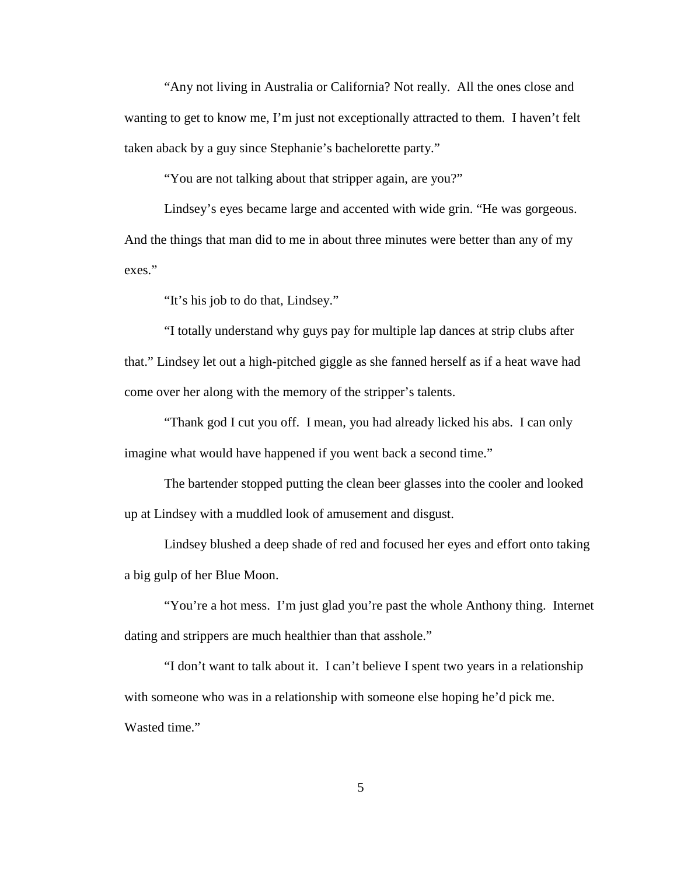"Any not living in Australia or California? Not really. All the ones close and wanting to get to know me, I'm just not exceptionally attracted to them. I haven't felt taken aback by a guy since Stephanie's bachelorette party."

"You are not talking about that stripper again, are you?"

Lindsey's eyes became large and accented with wide grin. "He was gorgeous. And the things that man did to me in about three minutes were better than any of my exes."

"It's his job to do that, Lindsey."

"I totally understand why guys pay for multiple lap dances at strip clubs after that." Lindsey let out a high-pitched giggle as she fanned herself as if a heat wave had come over her along with the memory of the stripper's talents.

"Thank god I cut you off. I mean, you had already licked his abs. I can only imagine what would have happened if you went back a second time."

The bartender stopped putting the clean beer glasses into the cooler and looked up at Lindsey with a muddled look of amusement and disgust.

Lindsey blushed a deep shade of red and focused her eyes and effort onto taking a big gulp of her Blue Moon.

"You're a hot mess. I'm just glad you're past the whole Anthony thing. Internet dating and strippers are much healthier than that asshole."

"I don't want to talk about it. I can't believe I spent two years in a relationship with someone who was in a relationship with someone else hoping he'd pick me. Wasted time."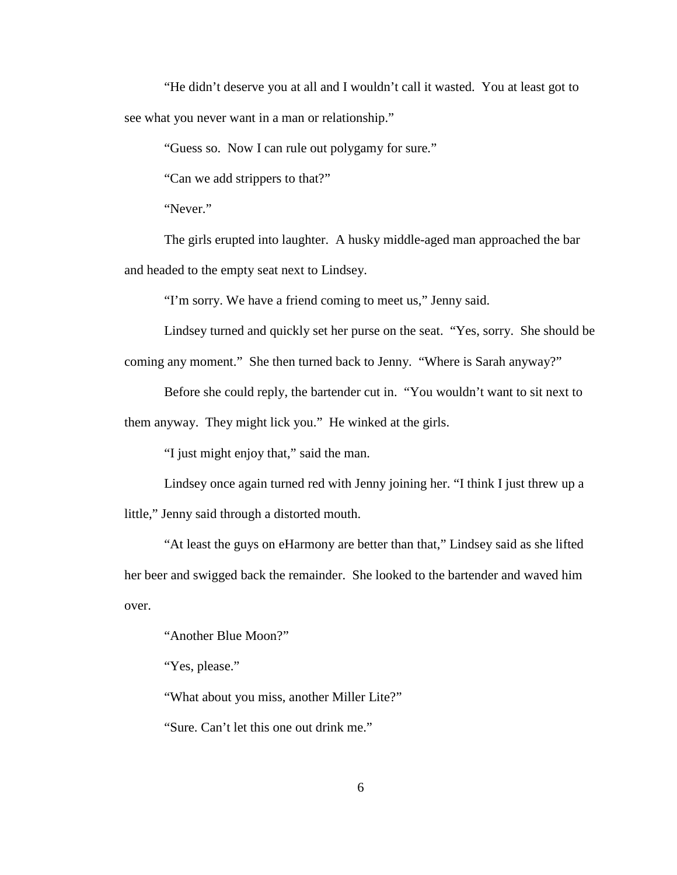"He didn't deserve you at all and I wouldn't call it wasted. You at least got to see what you never want in a man or relationship."

"Guess so. Now I can rule out polygamy for sure."

"Can we add strippers to that?"

"Never."

The girls erupted into laughter. A husky middle-aged man approached the bar and headed to the empty seat next to Lindsey.

"I'm sorry. We have a friend coming to meet us," Jenny said.

Lindsey turned and quickly set her purse on the seat. "Yes, sorry. She should be coming any moment." She then turned back to Jenny. "Where is Sarah anyway?"

Before she could reply, the bartender cut in. "You wouldn't want to sit next to

them anyway. They might lick you." He winked at the girls.

"I just might enjoy that," said the man.

Lindsey once again turned red with Jenny joining her. "I think I just threw up a little," Jenny said through a distorted mouth.

"At least the guys on eHarmony are better than that," Lindsey said as she lifted her beer and swigged back the remainder. She looked to the bartender and waved him over.

"Another Blue Moon?"

"Yes, please."

"What about you miss, another Miller Lite?"

"Sure. Can't let this one out drink me."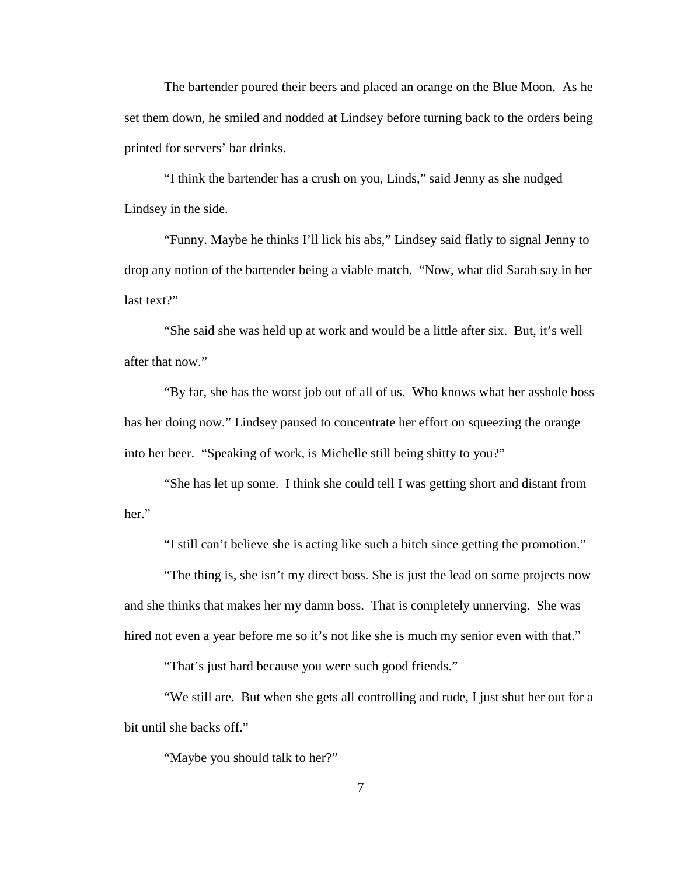The bartender poured their beers and placed an orange on the Blue Moon. As he set them down, he smiled and nodded at Lindsey before turning back to the orders being printed for servers' bar drinks.

"I think the bartender has a crush on you, Linds," said Jenny as she nudged Lindsey in the side.

"Funny. Maybe he thinks I'll lick his abs," Lindsey said flatly to signal Jenny to drop any notion of the bartender being a viable match. "Now, what did Sarah say in her last text?"

"She said she was held up at work and would be a little after six. But, it's well after that now."

"By far, she has the worst job out of all of us. Who knows what her asshole boss has her doing now." Lindsey paused to concentrate her effort on squeezing the orange into her beer. "Speaking of work, is Michelle still being shitty to you?"

"She has let up some. I think she could tell I was getting short and distant from her."

"I still can't believe she is acting like such a bitch since getting the promotion."

"The thing is, she isn't my direct boss. She is just the lead on some projects now and she thinks that makes her my damn boss. That is completely unnerving. She was hired not even a year before me so it's not like she is much my senior even with that."

"That's just hard because you were such good friends."

"We still are. But when she gets all controlling and rude, I just shut her out for a bit until she backs off."

"Maybe you should talk to her?"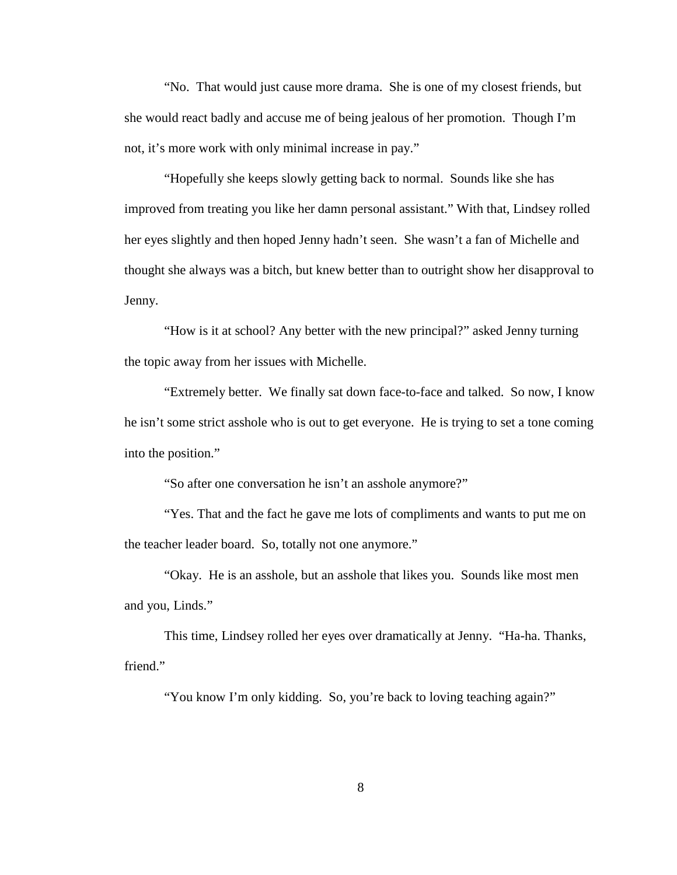"No. That would just cause more drama. She is one of my closest friends, but she would react badly and accuse me of being jealous of her promotion. Though I'm not, it's more work with only minimal increase in pay."

"Hopefully she keeps slowly getting back to normal. Sounds like she has improved from treating you like her damn personal assistant." With that, Lindsey rolled her eyes slightly and then hoped Jenny hadn't seen. She wasn't a fan of Michelle and thought she always was a bitch, but knew better than to outright show her disapproval to Jenny.

"How is it at school? Any better with the new principal?" asked Jenny turning the topic away from her issues with Michelle.

"Extremely better. We finally sat down face-to-face and talked. So now, I know he isn't some strict asshole who is out to get everyone. He is trying to set a tone coming into the position."

"So after one conversation he isn't an asshole anymore?"

"Yes. That and the fact he gave me lots of compliments and wants to put me on the teacher leader board. So, totally not one anymore."

"Okay. He is an asshole, but an asshole that likes you. Sounds like most men and you, Linds."

This time, Lindsey rolled her eyes over dramatically at Jenny. "Ha-ha. Thanks, friend."

"You know I'm only kidding. So, you're back to loving teaching again?"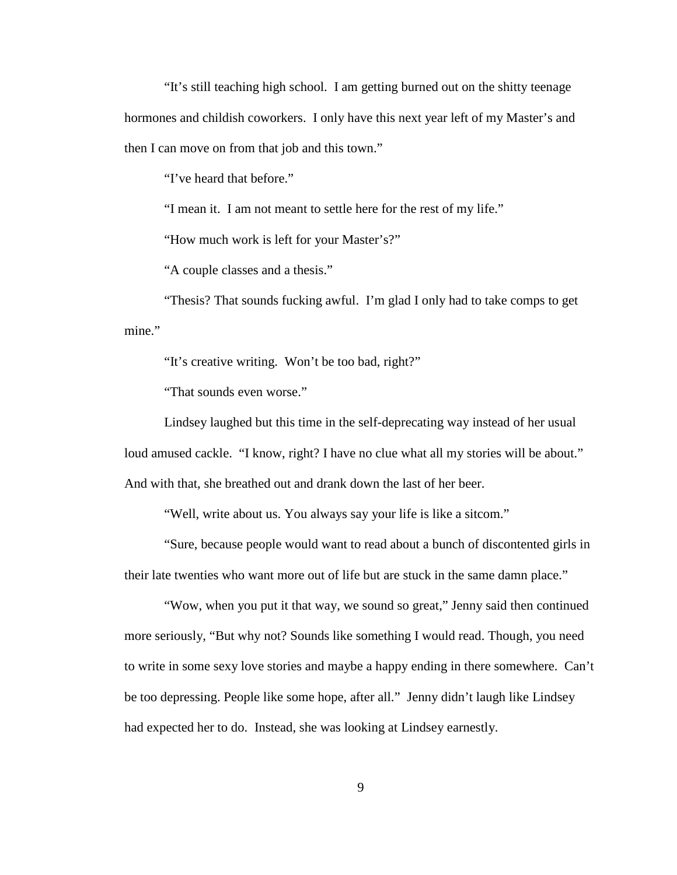"It's still teaching high school. I am getting burned out on the shitty teenage hormones and childish coworkers. I only have this next year left of my Master's and then I can move on from that job and this town."

"I've heard that before."

"I mean it. I am not meant to settle here for the rest of my life."

"How much work is left for your Master's?"

"A couple classes and a thesis."

"Thesis? That sounds fucking awful. I'm glad I only had to take comps to get mine."

"It's creative writing. Won't be too bad, right?"

"That sounds even worse."

Lindsey laughed but this time in the self-deprecating way instead of her usual loud amused cackle. "I know, right? I have no clue what all my stories will be about." And with that, she breathed out and drank down the last of her beer.

"Well, write about us. You always say your life is like a sitcom."

"Sure, because people would want to read about a bunch of discontented girls in their late twenties who want more out of life but are stuck in the same damn place."

"Wow, when you put it that way, we sound so great," Jenny said then continued more seriously, "But why not? Sounds like something I would read. Though, you need to write in some sexy love stories and maybe a happy ending in there somewhere. Can't be too depressing. People like some hope, after all." Jenny didn't laugh like Lindsey had expected her to do. Instead, she was looking at Lindsey earnestly.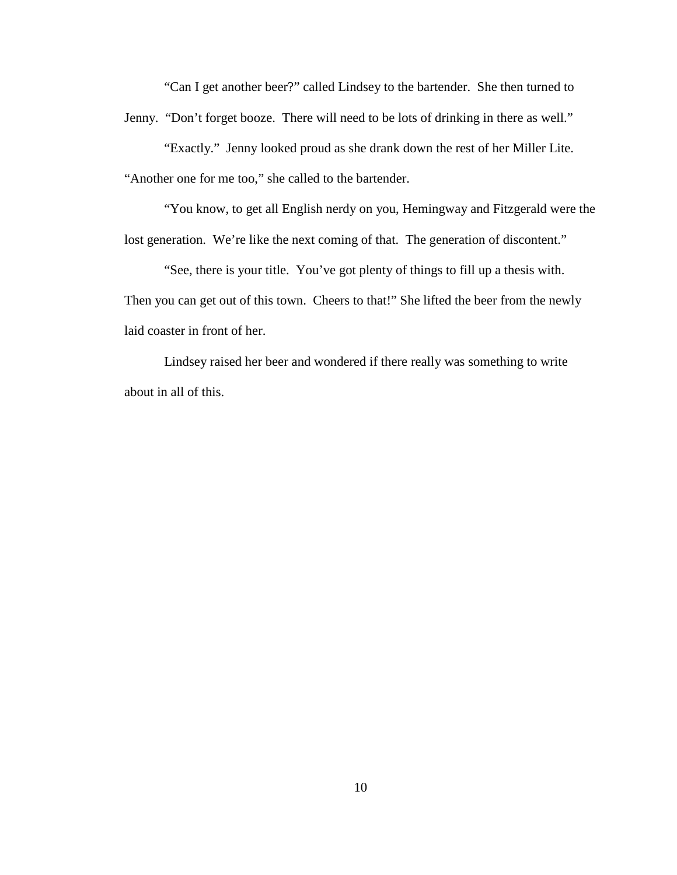"Can I get another beer?" called Lindsey to the bartender. She then turned to Jenny. "Don't forget booze. There will need to be lots of drinking in there as well."

"Exactly." Jenny looked proud as she drank down the rest of her Miller Lite. "Another one for me too," she called to the bartender.

"You know, to get all English nerdy on you, Hemingway and Fitzgerald were the lost generation. We're like the next coming of that. The generation of discontent."

"See, there is your title. You've got plenty of things to fill up a thesis with. Then you can get out of this town. Cheers to that!" She lifted the beer from the newly laid coaster in front of her.

Lindsey raised her beer and wondered if there really was something to write about in all of this.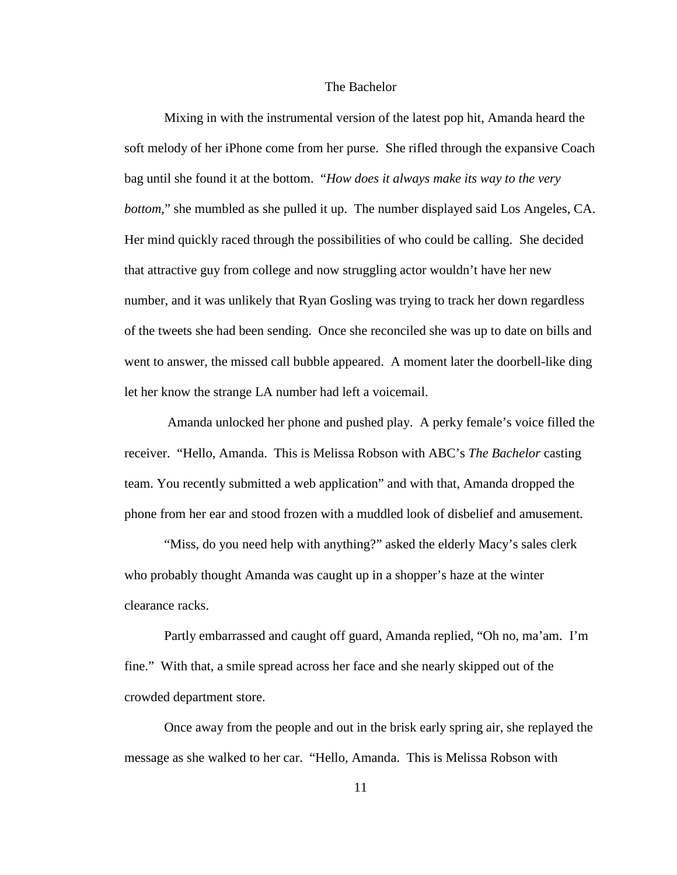### The Bachelor

 Mixing in with the instrumental version of the latest pop hit, Amanda heard the soft melody of her iPhone come from her purse. She rifled through the expansive Coach bag until she found it at the bottom. "*How does it always make its way to the very bottom*," she mumbled as she pulled it up. The number displayed said Los Angeles, CA. Her mind quickly raced through the possibilities of who could be calling. She decided that attractive guy from college and now struggling actor wouldn't have her new number, and it was unlikely that Ryan Gosling was trying to track her down regardless of the tweets she had been sending. Once she reconciled she was up to date on bills and went to answer, the missed call bubble appeared. A moment later the doorbell-like ding let her know the strange LA number had left a voicemail.

Amanda unlocked her phone and pushed play. A perky female's voice filled the receiver. "Hello, Amanda. This is Melissa Robson with ABC's *The Bachelor* casting team. You recently submitted a web application" and with that, Amanda dropped the phone from her ear and stood frozen with a muddled look of disbelief and amusement.

"Miss, do you need help with anything?" asked the elderly Macy's sales clerk who probably thought Amanda was caught up in a shopper's haze at the winter clearance racks.

Partly embarrassed and caught off guard, Amanda replied, "Oh no, ma'am. I'm fine." With that, a smile spread across her face and she nearly skipped out of the crowded department store.

Once away from the people and out in the brisk early spring air, she replayed the message as she walked to her car. "Hello, Amanda. This is Melissa Robson with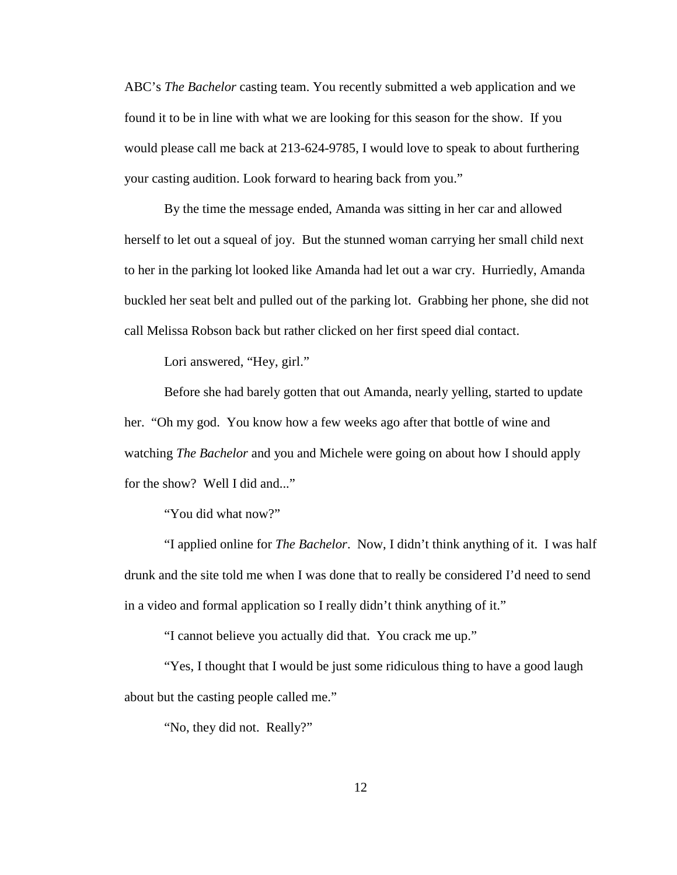ABC's *The Bachelor* casting team. You recently submitted a web application and we found it to be in line with what we are looking for this season for the show. If you would please call me back at 213-624-9785, I would love to speak to about furthering your casting audition. Look forward to hearing back from you."

By the time the message ended, Amanda was sitting in her car and allowed herself to let out a squeal of joy. But the stunned woman carrying her small child next to her in the parking lot looked like Amanda had let out a war cry. Hurriedly, Amanda buckled her seat belt and pulled out of the parking lot. Grabbing her phone, she did not call Melissa Robson back but rather clicked on her first speed dial contact.

Lori answered, "Hey, girl."

Before she had barely gotten that out Amanda, nearly yelling, started to update her. "Oh my god. You know how a few weeks ago after that bottle of wine and watching *The Bachelor* and you and Michele were going on about how I should apply for the show? Well I did and..."

"You did what now?"

"I applied online for *The Bachelor*. Now, I didn't think anything of it. I was half drunk and the site told me when I was done that to really be considered I'd need to send in a video and formal application so I really didn't think anything of it."

"I cannot believe you actually did that. You crack me up."

"Yes, I thought that I would be just some ridiculous thing to have a good laugh about but the casting people called me."

"No, they did not. Really?"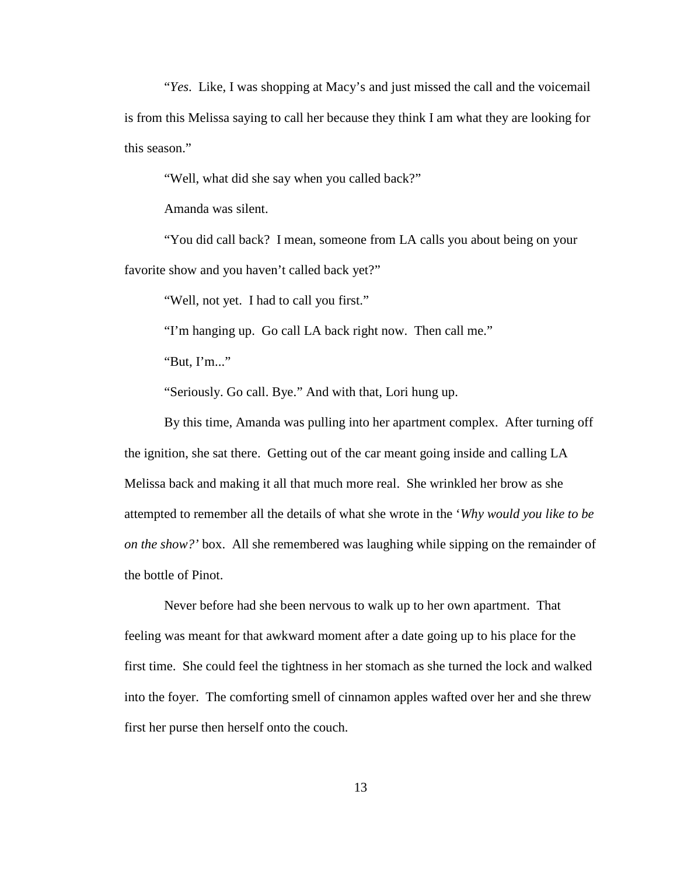"*Yes*. Like, I was shopping at Macy's and just missed the call and the voicemail is from this Melissa saying to call her because they think I am what they are looking for this season."

"Well, what did she say when you called back?"

Amanda was silent.

"You did call back? I mean, someone from LA calls you about being on your favorite show and you haven't called back yet?"

"Well, not yet. I had to call you first."

"I'm hanging up. Go call LA back right now. Then call me."

"But, I'm..."

"Seriously. Go call. Bye." And with that, Lori hung up.

By this time, Amanda was pulling into her apartment complex. After turning off the ignition, she sat there. Getting out of the car meant going inside and calling LA Melissa back and making it all that much more real. She wrinkled her brow as she attempted to remember all the details of what she wrote in the '*Why would you like to be on the show?'* box. All she remembered was laughing while sipping on the remainder of the bottle of Pinot.

Never before had she been nervous to walk up to her own apartment. That feeling was meant for that awkward moment after a date going up to his place for the first time. She could feel the tightness in her stomach as she turned the lock and walked into the foyer. The comforting smell of cinnamon apples wafted over her and she threw first her purse then herself onto the couch.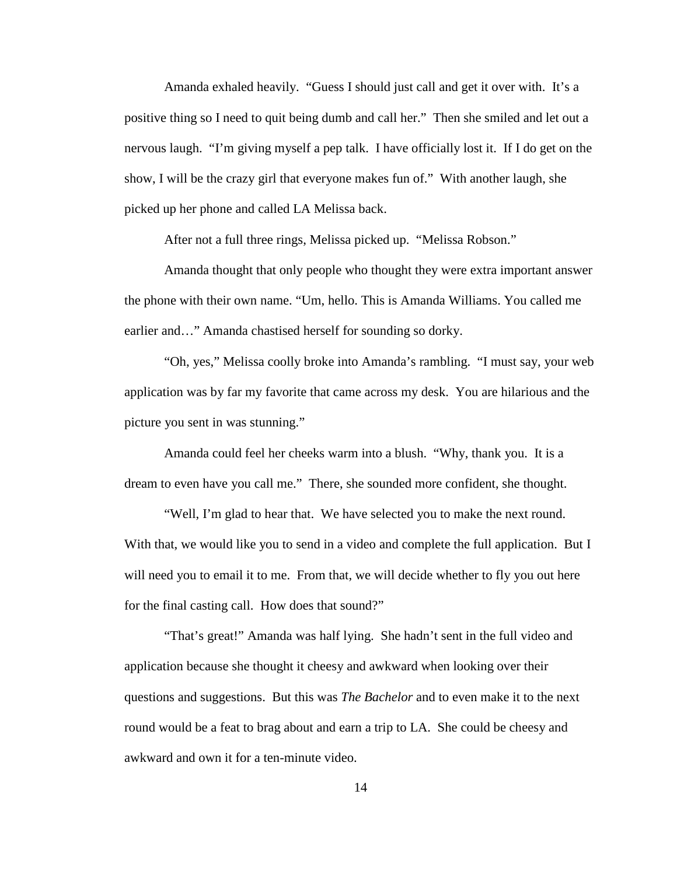Amanda exhaled heavily. "Guess I should just call and get it over with. It's a positive thing so I need to quit being dumb and call her." Then she smiled and let out a nervous laugh. "I'm giving myself a pep talk. I have officially lost it. If I do get on the show, I will be the crazy girl that everyone makes fun of." With another laugh, she picked up her phone and called LA Melissa back.

After not a full three rings, Melissa picked up. "Melissa Robson."

Amanda thought that only people who thought they were extra important answer the phone with their own name. "Um, hello. This is Amanda Williams. You called me earlier and…" Amanda chastised herself for sounding so dorky.

"Oh, yes," Melissa coolly broke into Amanda's rambling. "I must say, your web application was by far my favorite that came across my desk. You are hilarious and the picture you sent in was stunning."

Amanda could feel her cheeks warm into a blush. "Why, thank you. It is a dream to even have you call me." There, she sounded more confident, she thought.

"Well, I'm glad to hear that. We have selected you to make the next round. With that, we would like you to send in a video and complete the full application. But I will need you to email it to me. From that, we will decide whether to fly you out here for the final casting call. How does that sound?"

"That's great!" Amanda was half lying. She hadn't sent in the full video and application because she thought it cheesy and awkward when looking over their questions and suggestions. But this was *The Bachelor* and to even make it to the next round would be a feat to brag about and earn a trip to LA. She could be cheesy and awkward and own it for a ten-minute video.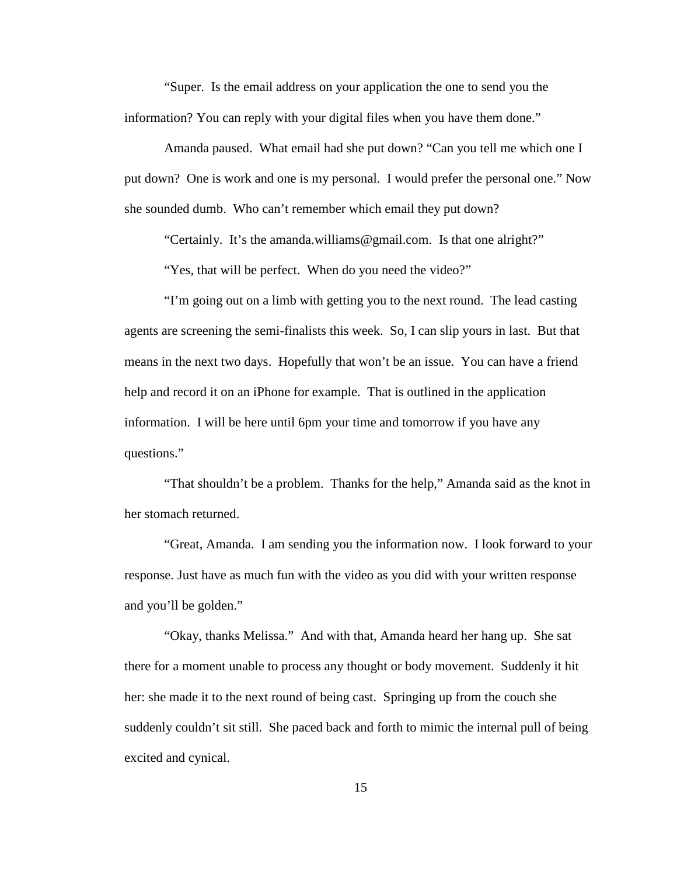"Super. Is the email address on your application the one to send you the information? You can reply with your digital files when you have them done."

Amanda paused. What email had she put down? "Can you tell me which one I put down? One is work and one is my personal. I would prefer the personal one." Now she sounded dumb. Who can't remember which email they put down?

"Certainly. It's the [amanda.williams@gmail.com.](mailto:amanda.williams@gmail.com) Is that one alright?"

"Yes, that will be perfect. When do you need the video?"

"I'm going out on a limb with getting you to the next round. The lead casting agents are screening the semi-finalists this week. So, I can slip yours in last. But that means in the next two days. Hopefully that won't be an issue. You can have a friend help and record it on an iPhone for example. That is outlined in the application information. I will be here until 6pm your time and tomorrow if you have any questions."

"That shouldn't be a problem. Thanks for the help," Amanda said as the knot in her stomach returned.

"Great, Amanda. I am sending you the information now. I look forward to your response. Just have as much fun with the video as you did with your written response and you'll be golden."

"Okay, thanks Melissa." And with that, Amanda heard her hang up. She sat there for a moment unable to process any thought or body movement. Suddenly it hit her: she made it to the next round of being cast. Springing up from the couch she suddenly couldn't sit still. She paced back and forth to mimic the internal pull of being excited and cynical.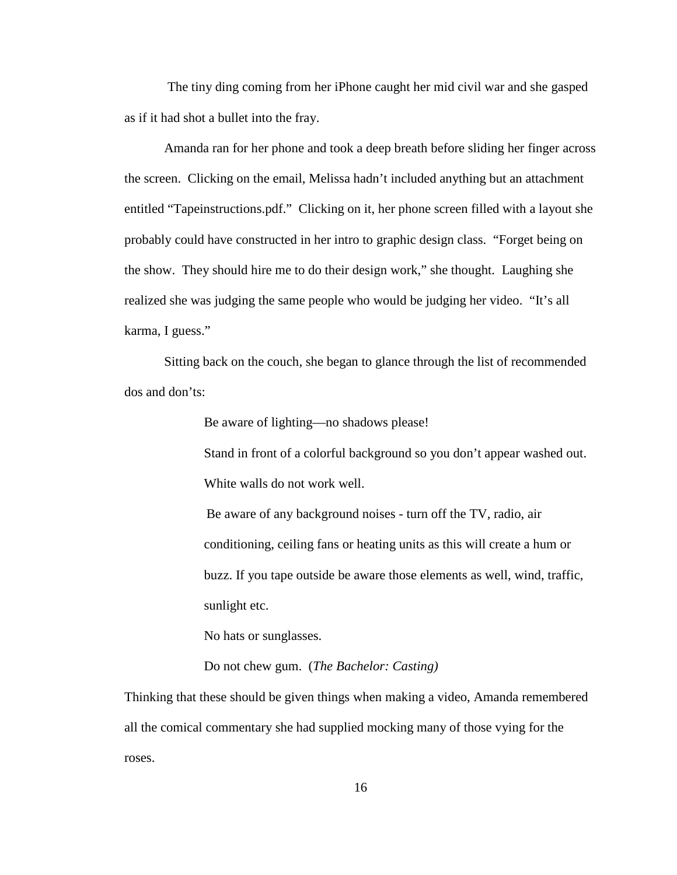The tiny ding coming from her iPhone caught her mid civil war and she gasped as if it had shot a bullet into the fray.

Amanda ran for her phone and took a deep breath before sliding her finger across the screen. Clicking on the email, Melissa hadn't included anything but an attachment entitled "Tapeinstructions.pdf." Clicking on it, her phone screen filled with a layout she probably could have constructed in her intro to graphic design class. "Forget being on the show. They should hire me to do their design work," she thought. Laughing she realized she was judging the same people who would be judging her video. "It's all karma, I guess."

Sitting back on the couch, she began to glance through the list of recommended dos and don'ts:

Be aware of lighting—no shadows please!

Stand in front of a colorful background so you don't appear washed out. White walls do not work well.

Be aware of any background noises - turn off the TV, radio, air conditioning, ceiling fans or heating units as this will create a hum or buzz. If you tape outside be aware those elements as well, wind, traffic, sunlight etc.

No hats or sunglasses.

Do not chew gum. (*The Bachelor: Casting)*

Thinking that these should be given things when making a video, Amanda remembered all the comical commentary she had supplied mocking many of those vying for the roses.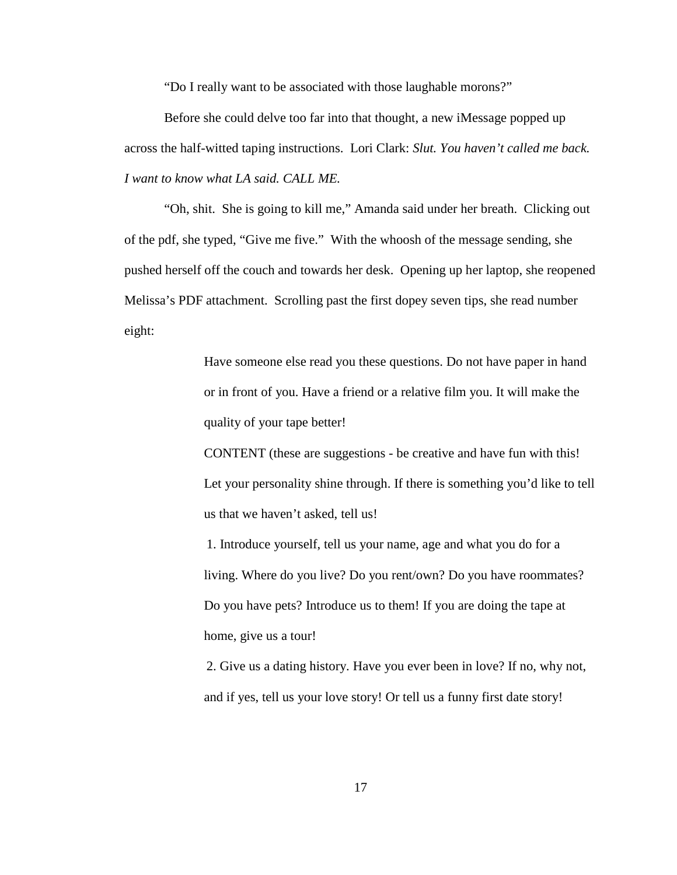"Do I really want to be associated with those laughable morons?"

Before she could delve too far into that thought, a new iMessage popped up across the half-witted taping instructions. Lori Clark: *Slut. You haven't called me back. I want to know what LA said. CALL ME.*

"Oh, shit. She is going to kill me," Amanda said under her breath. Clicking out of the pdf, she typed, "Give me five." With the whoosh of the message sending, she pushed herself off the couch and towards her desk. Opening up her laptop, she reopened Melissa's PDF attachment. Scrolling past the first dopey seven tips, she read number eight:

> Have someone else read you these questions. Do not have paper in hand or in front of you. Have a friend or a relative film you. It will make the quality of your tape better!

CONTENT (these are suggestions - be creative and have fun with this! Let your personality shine through. If there is something you'd like to tell us that we haven't asked, tell us!

1. Introduce yourself, tell us your name, age and what you do for a living. Where do you live? Do you rent/own? Do you have roommates? Do you have pets? Introduce us to them! If you are doing the tape at home, give us a tour!

2. Give us a dating history. Have you ever been in love? If no, why not, and if yes, tell us your love story! Or tell us a funny first date story!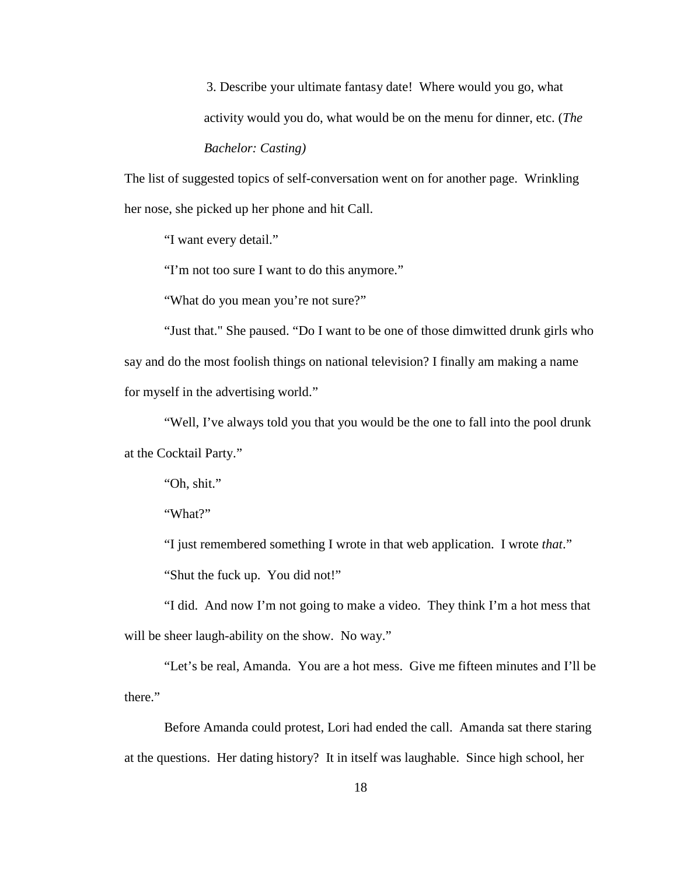3. Describe your ultimate fantasy date! Where would you go, what activity would you do, what would be on the menu for dinner, etc. (*The* 

*Bachelor: Casting)*

The list of suggested topics of self-conversation went on for another page. Wrinkling her nose, she picked up her phone and hit Call.

"I want every detail."

"I'm not too sure I want to do this anymore."

"What do you mean you're not sure?"

"Just that." She paused. "Do I want to be one of those dimwitted drunk girls who say and do the most foolish things on national television? I finally am making a name for myself in the advertising world."

"Well, I've always told you that you would be the one to fall into the pool drunk at the Cocktail Party."

"Oh, shit."

"What?"

"I just remembered something I wrote in that web application. I wrote *that*."

"Shut the fuck up. You did not!"

"I did. And now I'm not going to make a video. They think I'm a hot mess that will be sheer laugh-ability on the show. No way."

"Let's be real, Amanda. You are a hot mess. Give me fifteen minutes and I'll be there."

Before Amanda could protest, Lori had ended the call. Amanda sat there staring at the questions. Her dating history? It in itself was laughable. Since high school, her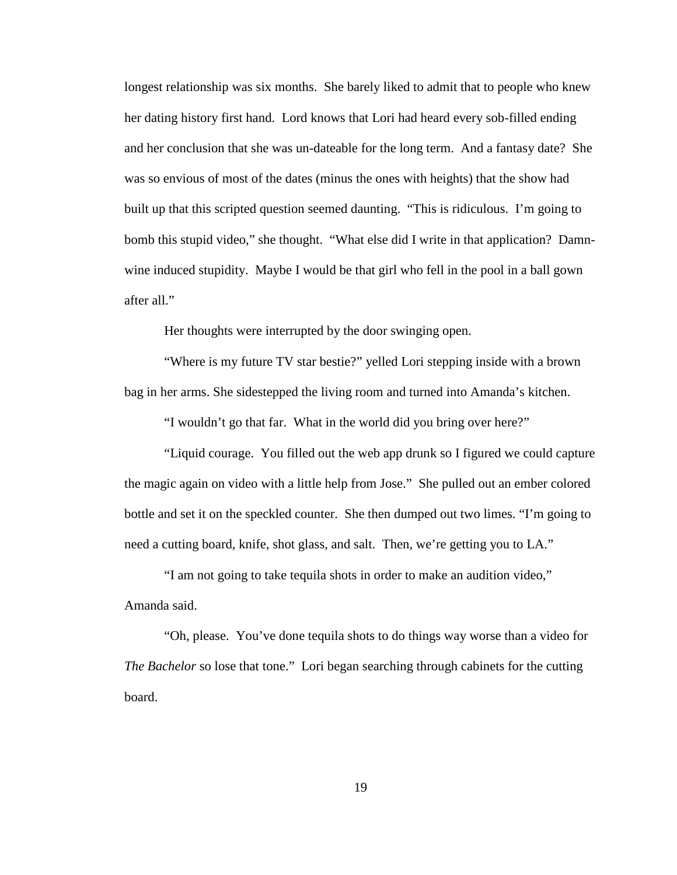longest relationship was six months. She barely liked to admit that to people who knew her dating history first hand. Lord knows that Lori had heard every sob-filled ending and her conclusion that she was un-dateable for the long term. And a fantasy date? She was so envious of most of the dates (minus the ones with heights) that the show had built up that this scripted question seemed daunting. "This is ridiculous. I'm going to bomb this stupid video," she thought. "What else did I write in that application? Damnwine induced stupidity. Maybe I would be that girl who fell in the pool in a ball gown after all."

Her thoughts were interrupted by the door swinging open.

"Where is my future TV star bestie?" yelled Lori stepping inside with a brown bag in her arms. She sidestepped the living room and turned into Amanda's kitchen.

"I wouldn't go that far. What in the world did you bring over here?"

"Liquid courage. You filled out the web app drunk so I figured we could capture the magic again on video with a little help from Jose." She pulled out an ember colored bottle and set it on the speckled counter. She then dumped out two limes. "I'm going to need a cutting board, knife, shot glass, and salt. Then, we're getting you to LA."

"I am not going to take tequila shots in order to make an audition video," Amanda said.

"Oh, please. You've done tequila shots to do things way worse than a video for *The Bachelor* so lose that tone." Lori began searching through cabinets for the cutting board.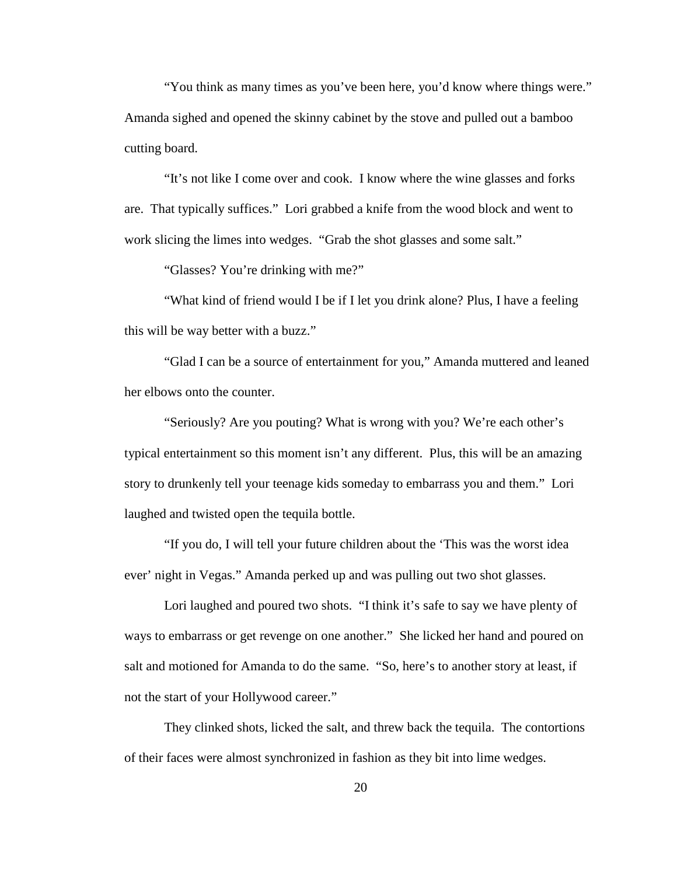"You think as many times as you've been here, you'd know where things were." Amanda sighed and opened the skinny cabinet by the stove and pulled out a bamboo cutting board.

"It's not like I come over and cook. I know where the wine glasses and forks are. That typically suffices." Lori grabbed a knife from the wood block and went to work slicing the limes into wedges. "Grab the shot glasses and some salt."

"Glasses? You're drinking with me?"

"What kind of friend would I be if I let you drink alone? Plus, I have a feeling this will be way better with a buzz."

"Glad I can be a source of entertainment for you," Amanda muttered and leaned her elbows onto the counter.

"Seriously? Are you pouting? What is wrong with you? We're each other's typical entertainment so this moment isn't any different. Plus, this will be an amazing story to drunkenly tell your teenage kids someday to embarrass you and them." Lori laughed and twisted open the tequila bottle.

"If you do, I will tell your future children about the 'This was the worst idea ever' night in Vegas." Amanda perked up and was pulling out two shot glasses.

Lori laughed and poured two shots. "I think it's safe to say we have plenty of ways to embarrass or get revenge on one another." She licked her hand and poured on salt and motioned for Amanda to do the same. "So, here's to another story at least, if not the start of your Hollywood career."

They clinked shots, licked the salt, and threw back the tequila. The contortions of their faces were almost synchronized in fashion as they bit into lime wedges.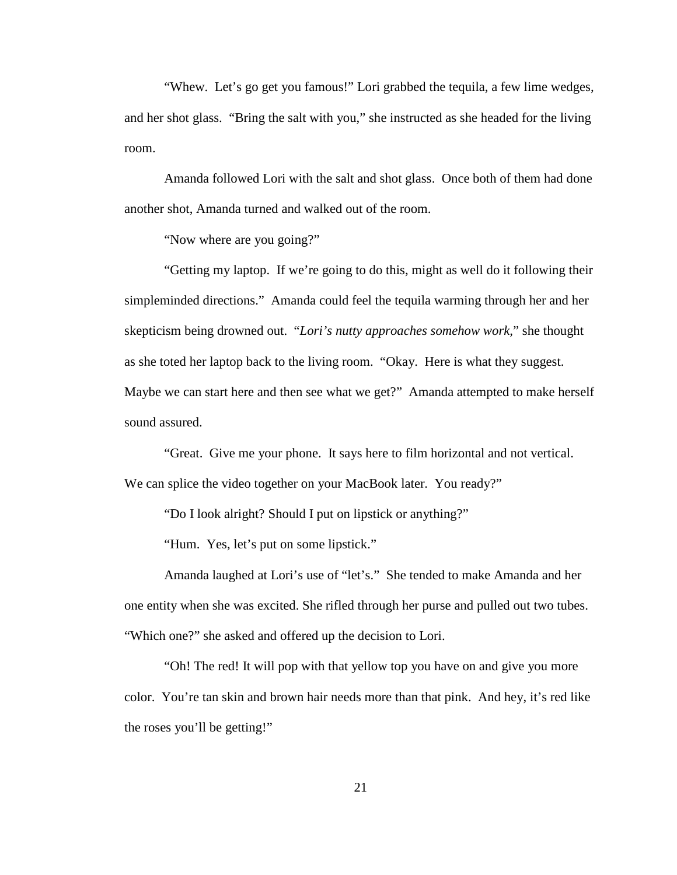"Whew. Let's go get you famous!" Lori grabbed the tequila, a few lime wedges, and her shot glass. "Bring the salt with you," she instructed as she headed for the living room.

Amanda followed Lori with the salt and shot glass. Once both of them had done another shot, Amanda turned and walked out of the room.

"Now where are you going?"

"Getting my laptop. If we're going to do this, might as well do it following their simpleminded directions." Amanda could feel the tequila warming through her and her skepticism being drowned out. "*Lori's nutty approaches somehow work,*" she thought as she toted her laptop back to the living room. "Okay. Here is what they suggest. Maybe we can start here and then see what we get?" Amanda attempted to make herself sound assured.

"Great. Give me your phone. It says here to film horizontal and not vertical. We can splice the video together on your MacBook later. You ready?"

"Do I look alright? Should I put on lipstick or anything?"

"Hum. Yes, let's put on some lipstick."

Amanda laughed at Lori's use of "let's." She tended to make Amanda and her one entity when she was excited. She rifled through her purse and pulled out two tubes. "Which one?" she asked and offered up the decision to Lori.

"Oh! The red! It will pop with that yellow top you have on and give you more color. You're tan skin and brown hair needs more than that pink. And hey, it's red like the roses you'll be getting!"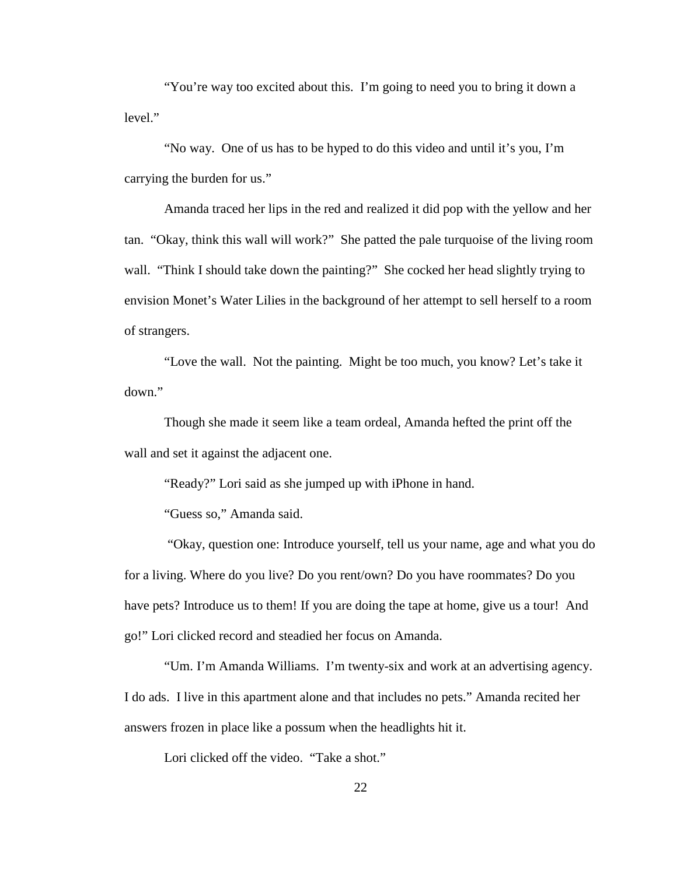"You're way too excited about this. I'm going to need you to bring it down a level."

"No way. One of us has to be hyped to do this video and until it's you, I'm carrying the burden for us."

Amanda traced her lips in the red and realized it did pop with the yellow and her tan. "Okay, think this wall will work?" She patted the pale turquoise of the living room wall. "Think I should take down the painting?" She cocked her head slightly trying to envision Monet's Water Lilies in the background of her attempt to sell herself to a room of strangers.

"Love the wall. Not the painting. Might be too much, you know? Let's take it down."

Though she made it seem like a team ordeal, Amanda hefted the print off the wall and set it against the adjacent one.

"Ready?" Lori said as she jumped up with iPhone in hand.

"Guess so," Amanda said.

"Okay, question one: Introduce yourself, tell us your name, age and what you do for a living. Where do you live? Do you rent/own? Do you have roommates? Do you have pets? Introduce us to them! If you are doing the tape at home, give us a tour! And go!" Lori clicked record and steadied her focus on Amanda.

"Um. I'm Amanda Williams. I'm twenty-six and work at an advertising agency. I do ads. I live in this apartment alone and that includes no pets." Amanda recited her answers frozen in place like a possum when the headlights hit it.

Lori clicked off the video. "Take a shot."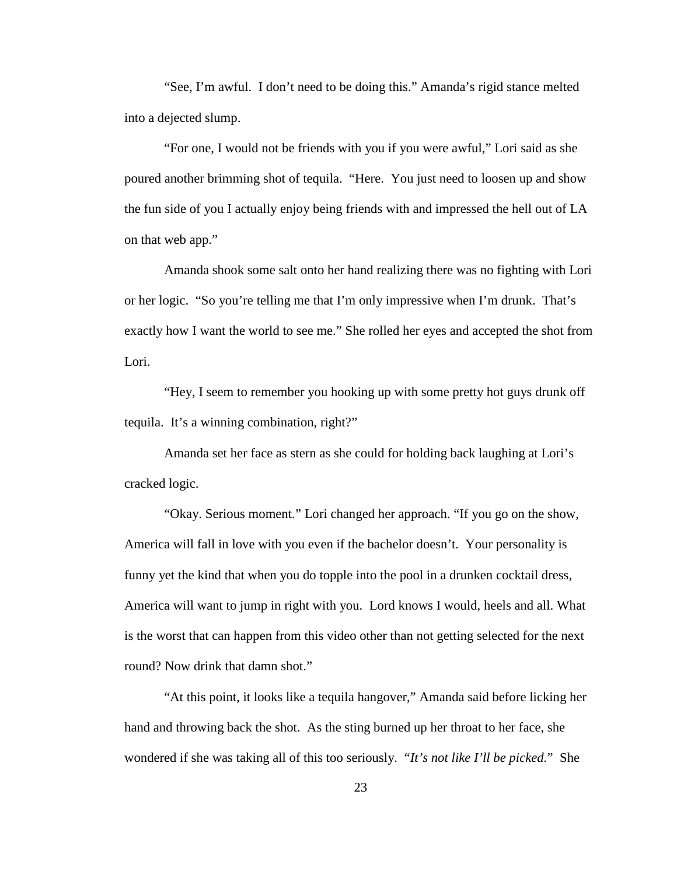"See, I'm awful. I don't need to be doing this." Amanda's rigid stance melted into a dejected slump.

"For one, I would not be friends with you if you were awful," Lori said as she poured another brimming shot of tequila. "Here. You just need to loosen up and show the fun side of you I actually enjoy being friends with and impressed the hell out of LA on that web app."

Amanda shook some salt onto her hand realizing there was no fighting with Lori or her logic. "So you're telling me that I'm only impressive when I'm drunk. That's exactly how I want the world to see me." She rolled her eyes and accepted the shot from Lori.

"Hey, I seem to remember you hooking up with some pretty hot guys drunk off tequila. It's a winning combination, right?"

Amanda set her face as stern as she could for holding back laughing at Lori's cracked logic.

"Okay. Serious moment." Lori changed her approach. "If you go on the show, America will fall in love with you even if the bachelor doesn't. Your personality is funny yet the kind that when you do topple into the pool in a drunken cocktail dress, America will want to jump in right with you. Lord knows I would, heels and all. What is the worst that can happen from this video other than not getting selected for the next round? Now drink that damn shot."

"At this point, it looks like a tequila hangover," Amanda said before licking her hand and throwing back the shot. As the sting burned up her throat to her face, she wondered if she was taking all of this too seriously. "*It's not like I'll be picked.*" She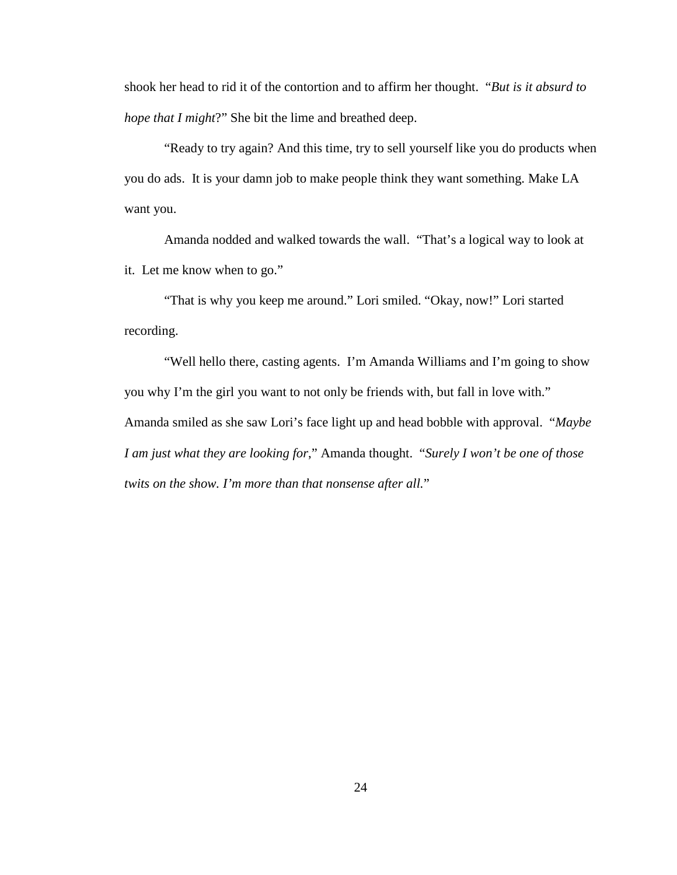shook her head to rid it of the contortion and to affirm her thought. "*But is it absurd to hope that I might*?" She bit the lime and breathed deep.

"Ready to try again? And this time, try to sell yourself like you do products when you do ads. It is your damn job to make people think they want something. Make LA want you.

Amanda nodded and walked towards the wall. "That's a logical way to look at it. Let me know when to go."

"That is why you keep me around." Lori smiled. "Okay, now!" Lori started recording.

"Well hello there, casting agents. I'm Amanda Williams and I'm going to show you why I'm the girl you want to not only be friends with, but fall in love with." Amanda smiled as she saw Lori's face light up and head bobble with approval. "*Maybe I am just what they are looking for*," Amanda thought. "*Surely I won't be one of those twits on the show. I'm more than that nonsense after all.*"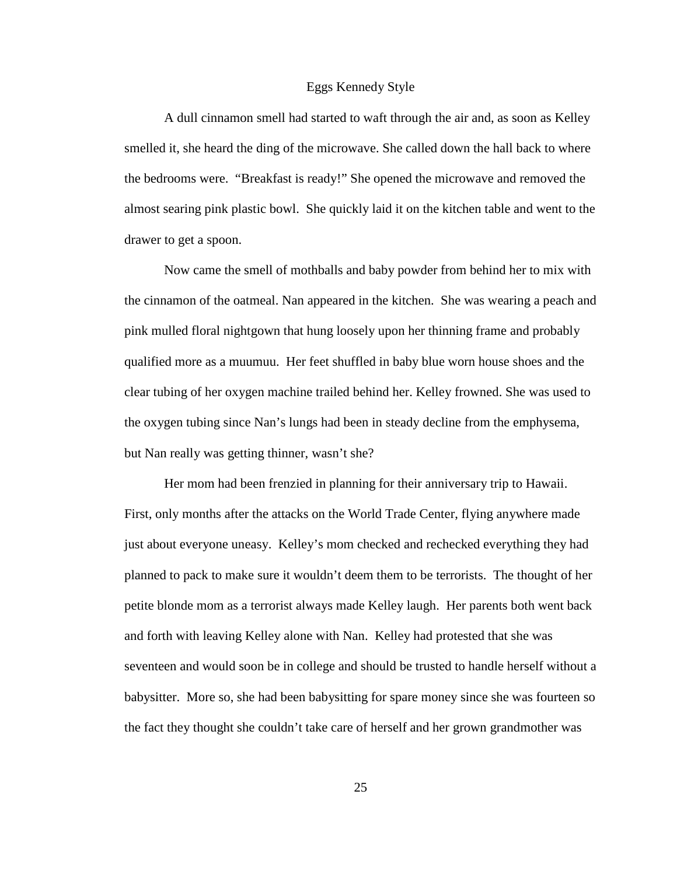#### Eggs Kennedy Style

A dull cinnamon smell had started to waft through the air and, as soon as Kelley smelled it, she heard the ding of the microwave. She called down the hall back to where the bedrooms were. "Breakfast is ready!" She opened the microwave and removed the almost searing pink plastic bowl. She quickly laid it on the kitchen table and went to the drawer to get a spoon.

Now came the smell of mothballs and baby powder from behind her to mix with the cinnamon of the oatmeal. Nan appeared in the kitchen. She was wearing a peach and pink mulled floral nightgown that hung loosely upon her thinning frame and probably qualified more as a muumuu. Her feet shuffled in baby blue worn house shoes and the clear tubing of her oxygen machine trailed behind her. Kelley frowned. She was used to the oxygen tubing since Nan's lungs had been in steady decline from the emphysema, but Nan really was getting thinner, wasn't she?

Her mom had been frenzied in planning for their anniversary trip to Hawaii. First, only months after the attacks on the World Trade Center, flying anywhere made just about everyone uneasy. Kelley's mom checked and rechecked everything they had planned to pack to make sure it wouldn't deem them to be terrorists. The thought of her petite blonde mom as a terrorist always made Kelley laugh. Her parents both went back and forth with leaving Kelley alone with Nan. Kelley had protested that she was seventeen and would soon be in college and should be trusted to handle herself without a babysitter. More so, she had been babysitting for spare money since she was fourteen so the fact they thought she couldn't take care of herself and her grown grandmother was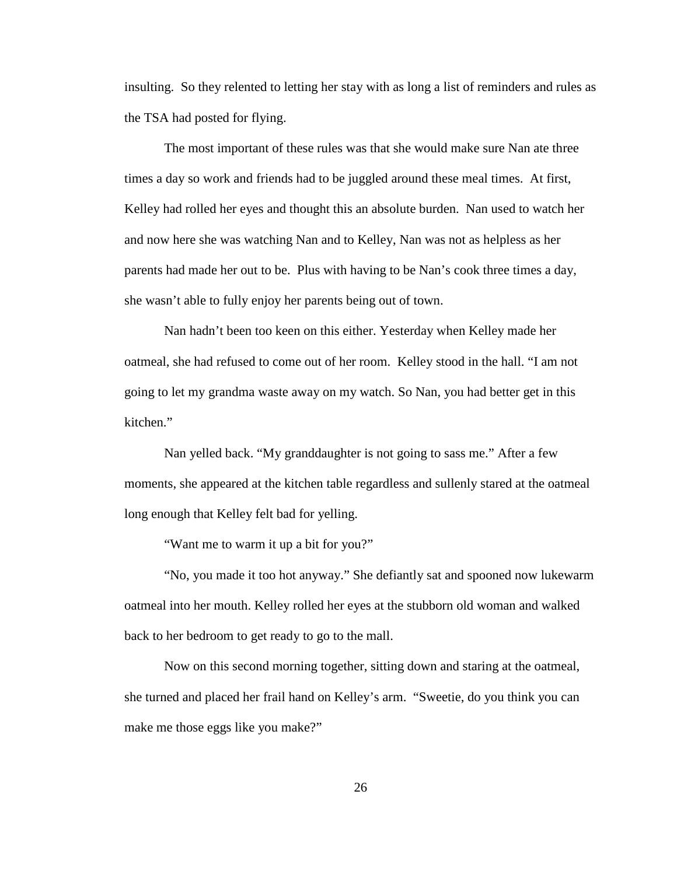insulting. So they relented to letting her stay with as long a list of reminders and rules as the TSA had posted for flying.

The most important of these rules was that she would make sure Nan ate three times a day so work and friends had to be juggled around these meal times. At first, Kelley had rolled her eyes and thought this an absolute burden. Nan used to watch her and now here she was watching Nan and to Kelley, Nan was not as helpless as her parents had made her out to be. Plus with having to be Nan's cook three times a day, she wasn't able to fully enjoy her parents being out of town.

Nan hadn't been too keen on this either. Yesterday when Kelley made her oatmeal, she had refused to come out of her room. Kelley stood in the hall. "I am not going to let my grandma waste away on my watch. So Nan, you had better get in this kitchen."

Nan yelled back. "My granddaughter is not going to sass me." After a few moments, she appeared at the kitchen table regardless and sullenly stared at the oatmeal long enough that Kelley felt bad for yelling.

"Want me to warm it up a bit for you?"

"No, you made it too hot anyway." She defiantly sat and spooned now lukewarm oatmeal into her mouth. Kelley rolled her eyes at the stubborn old woman and walked back to her bedroom to get ready to go to the mall.

Now on this second morning together, sitting down and staring at the oatmeal, she turned and placed her frail hand on Kelley's arm. "Sweetie, do you think you can make me those eggs like you make?"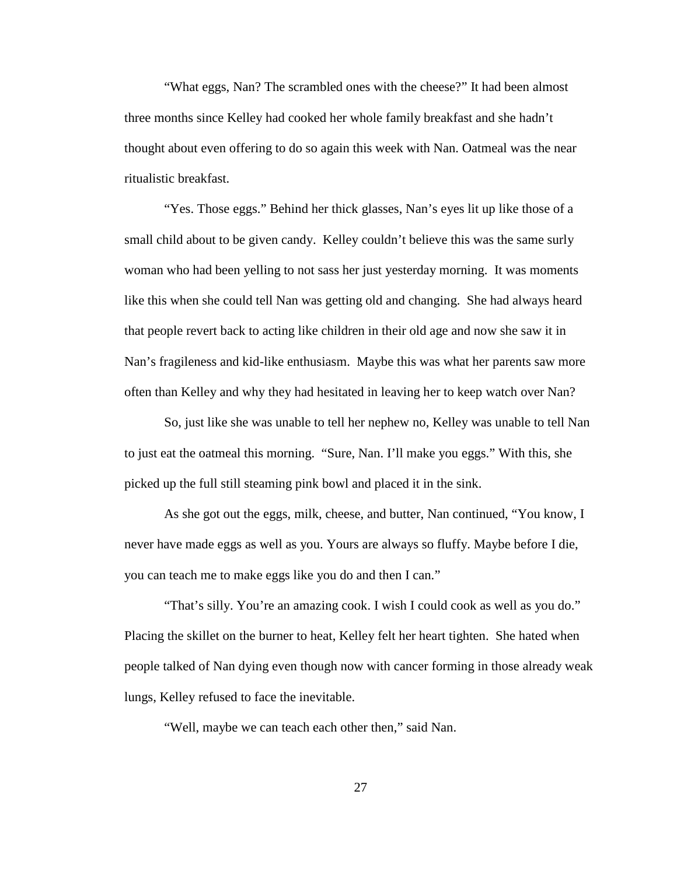"What eggs, Nan? The scrambled ones with the cheese?" It had been almost three months since Kelley had cooked her whole family breakfast and she hadn't thought about even offering to do so again this week with Nan. Oatmeal was the near ritualistic breakfast.

"Yes. Those eggs." Behind her thick glasses, Nan's eyes lit up like those of a small child about to be given candy. Kelley couldn't believe this was the same surly woman who had been yelling to not sass her just yesterday morning. It was moments like this when she could tell Nan was getting old and changing. She had always heard that people revert back to acting like children in their old age and now she saw it in Nan's fragileness and kid-like enthusiasm. Maybe this was what her parents saw more often than Kelley and why they had hesitated in leaving her to keep watch over Nan?

So, just like she was unable to tell her nephew no, Kelley was unable to tell Nan to just eat the oatmeal this morning. "Sure, Nan. I'll make you eggs." With this, she picked up the full still steaming pink bowl and placed it in the sink.

As she got out the eggs, milk, cheese, and butter, Nan continued, "You know, I never have made eggs as well as you. Yours are always so fluffy. Maybe before I die, you can teach me to make eggs like you do and then I can."

"That's silly. You're an amazing cook. I wish I could cook as well as you do." Placing the skillet on the burner to heat, Kelley felt her heart tighten. She hated when people talked of Nan dying even though now with cancer forming in those already weak lungs, Kelley refused to face the inevitable.

"Well, maybe we can teach each other then," said Nan.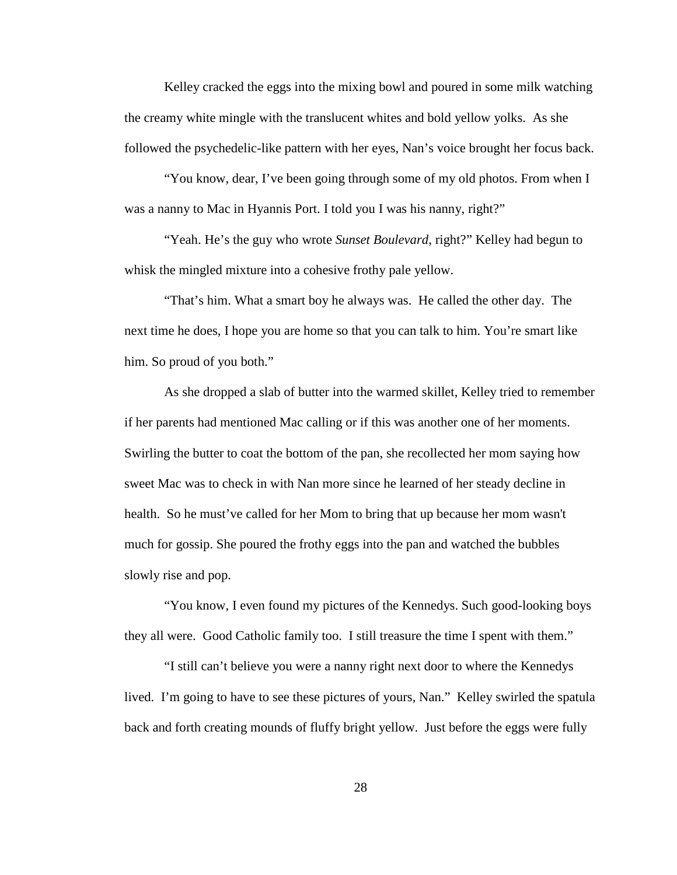Kelley cracked the eggs into the mixing bowl and poured in some milk watching the creamy white mingle with the translucent whites and bold yellow yolks. As she followed the psychedelic-like pattern with her eyes, Nan's voice brought her focus back.

"You know, dear, I've been going through some of my old photos. From when I was a nanny to Mac in Hyannis Port. I told you I was his nanny, right?"

"Yeah. He's the guy who wrote *Sunset Boulevard*, right?" Kelley had begun to whisk the mingled mixture into a cohesive frothy pale yellow.

"That's him. What a smart boy he always was. He called the other day. The next time he does, I hope you are home so that you can talk to him. You're smart like him. So proud of you both."

As she dropped a slab of butter into the warmed skillet, Kelley tried to remember if her parents had mentioned Mac calling or if this was another one of her moments. Swirling the butter to coat the bottom of the pan, she recollected her mom saying how sweet Mac was to check in with Nan more since he learned of her steady decline in health. So he must've called for her Mom to bring that up because her mom wasn't much for gossip. She poured the frothy eggs into the pan and watched the bubbles slowly rise and pop.

"You know, I even found my pictures of the Kennedys. Such good-looking boys they all were. Good Catholic family too. I still treasure the time I spent with them."

"I still can't believe you were a nanny right next door to where the Kennedys lived. I'm going to have to see these pictures of yours, Nan." Kelley swirled the spatula back and forth creating mounds of fluffy bright yellow. Just before the eggs were fully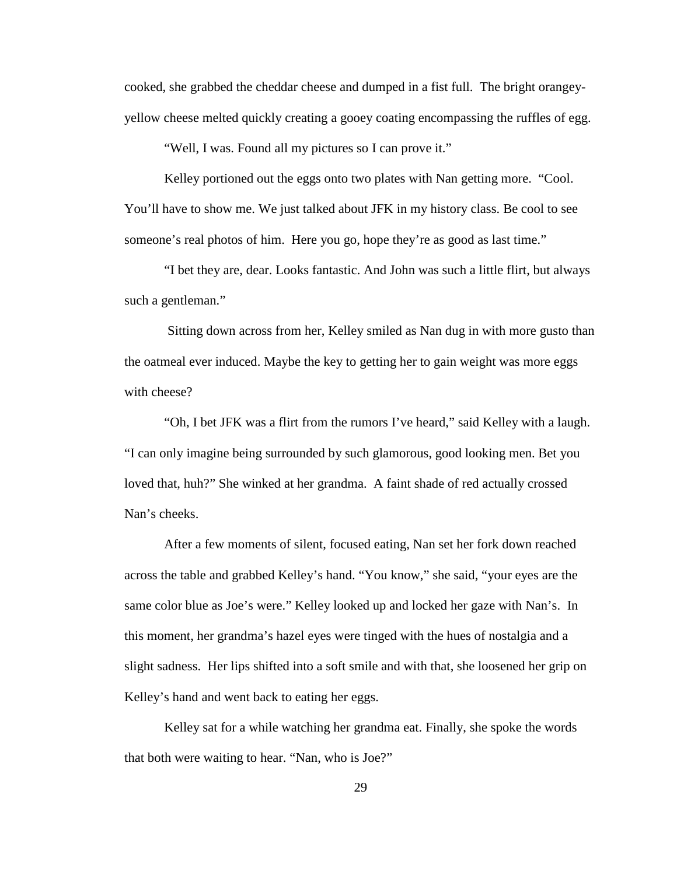cooked, she grabbed the cheddar cheese and dumped in a fist full. The bright orangeyyellow cheese melted quickly creating a gooey coating encompassing the ruffles of egg.

"Well, I was. Found all my pictures so I can prove it."

Kelley portioned out the eggs onto two plates with Nan getting more. "Cool. You'll have to show me. We just talked about JFK in my history class. Be cool to see someone's real photos of him. Here you go, hope they're as good as last time."

"I bet they are, dear. Looks fantastic. And John was such a little flirt, but always such a gentleman."

Sitting down across from her, Kelley smiled as Nan dug in with more gusto than the oatmeal ever induced. Maybe the key to getting her to gain weight was more eggs with cheese?

"Oh, I bet JFK was a flirt from the rumors I've heard," said Kelley with a laugh. "I can only imagine being surrounded by such glamorous, good looking men. Bet you loved that, huh?" She winked at her grandma. A faint shade of red actually crossed Nan's cheeks.

After a few moments of silent, focused eating, Nan set her fork down reached across the table and grabbed Kelley's hand. "You know," she said, "your eyes are the same color blue as Joe's were." Kelley looked up and locked her gaze with Nan's. In this moment, her grandma's hazel eyes were tinged with the hues of nostalgia and a slight sadness. Her lips shifted into a soft smile and with that, she loosened her grip on Kelley's hand and went back to eating her eggs.

Kelley sat for a while watching her grandma eat. Finally, she spoke the words that both were waiting to hear. "Nan, who is Joe?"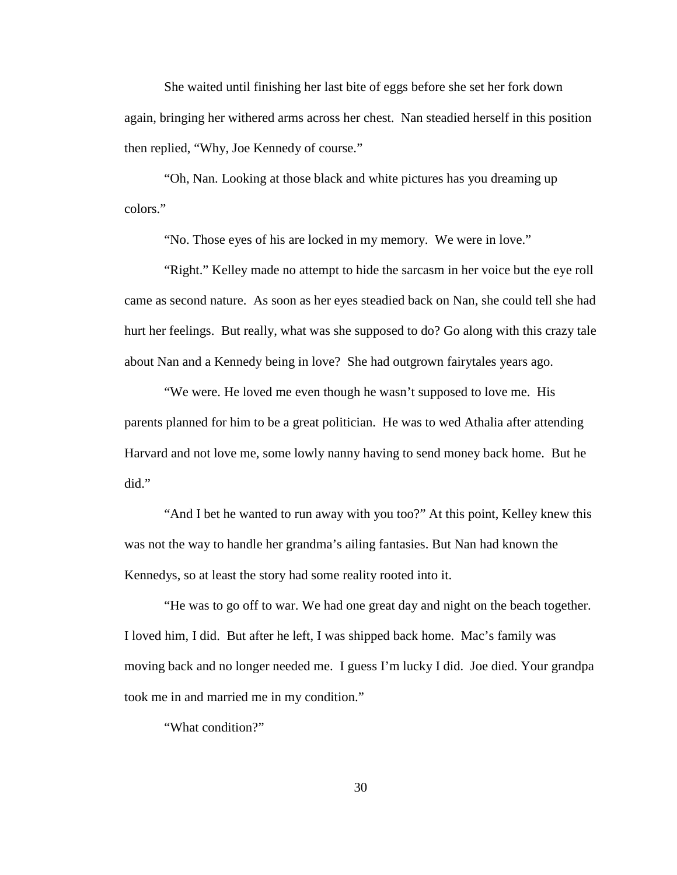She waited until finishing her last bite of eggs before she set her fork down again, bringing her withered arms across her chest. Nan steadied herself in this position then replied, "Why, Joe Kennedy of course."

"Oh, Nan. Looking at those black and white pictures has you dreaming up colors."

"No. Those eyes of his are locked in my memory. We were in love."

"Right." Kelley made no attempt to hide the sarcasm in her voice but the eye roll came as second nature. As soon as her eyes steadied back on Nan, she could tell she had hurt her feelings. But really, what was she supposed to do? Go along with this crazy tale about Nan and a Kennedy being in love? She had outgrown fairytales years ago.

"We were. He loved me even though he wasn't supposed to love me. His parents planned for him to be a great politician. He was to wed Athalia after attending Harvard and not love me, some lowly nanny having to send money back home. But he did."

"And I bet he wanted to run away with you too?" At this point, Kelley knew this was not the way to handle her grandma's ailing fantasies. But Nan had known the Kennedys, so at least the story had some reality rooted into it.

"He was to go off to war. We had one great day and night on the beach together. I loved him, I did. But after he left, I was shipped back home. Mac's family was moving back and no longer needed me. I guess I'm lucky I did. Joe died. Your grandpa took me in and married me in my condition."

"What condition?"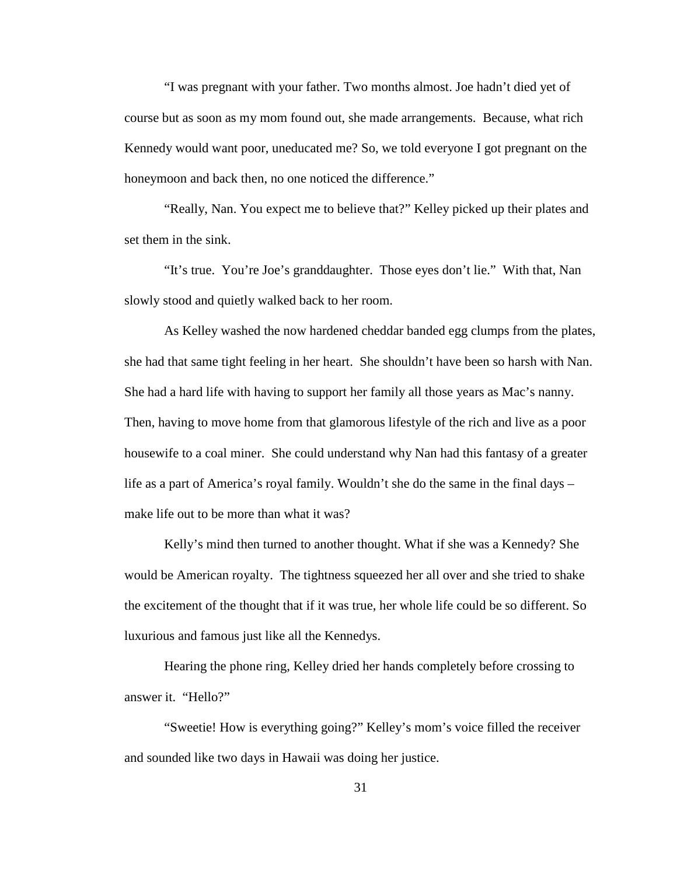"I was pregnant with your father. Two months almost. Joe hadn't died yet of course but as soon as my mom found out, she made arrangements. Because, what rich Kennedy would want poor, uneducated me? So, we told everyone I got pregnant on the honeymoon and back then, no one noticed the difference."

"Really, Nan. You expect me to believe that?" Kelley picked up their plates and set them in the sink.

"It's true. You're Joe's granddaughter. Those eyes don't lie." With that, Nan slowly stood and quietly walked back to her room.

As Kelley washed the now hardened cheddar banded egg clumps from the plates, she had that same tight feeling in her heart. She shouldn't have been so harsh with Nan. She had a hard life with having to support her family all those years as Mac's nanny. Then, having to move home from that glamorous lifestyle of the rich and live as a poor housewife to a coal miner. She could understand why Nan had this fantasy of a greater life as a part of America's royal family. Wouldn't she do the same in the final days – make life out to be more than what it was?

Kelly's mind then turned to another thought. What if she was a Kennedy? She would be American royalty. The tightness squeezed her all over and she tried to shake the excitement of the thought that if it was true, her whole life could be so different. So luxurious and famous just like all the Kennedys.

Hearing the phone ring, Kelley dried her hands completely before crossing to answer it. "Hello?"

"Sweetie! How is everything going?" Kelley's mom's voice filled the receiver and sounded like two days in Hawaii was doing her justice.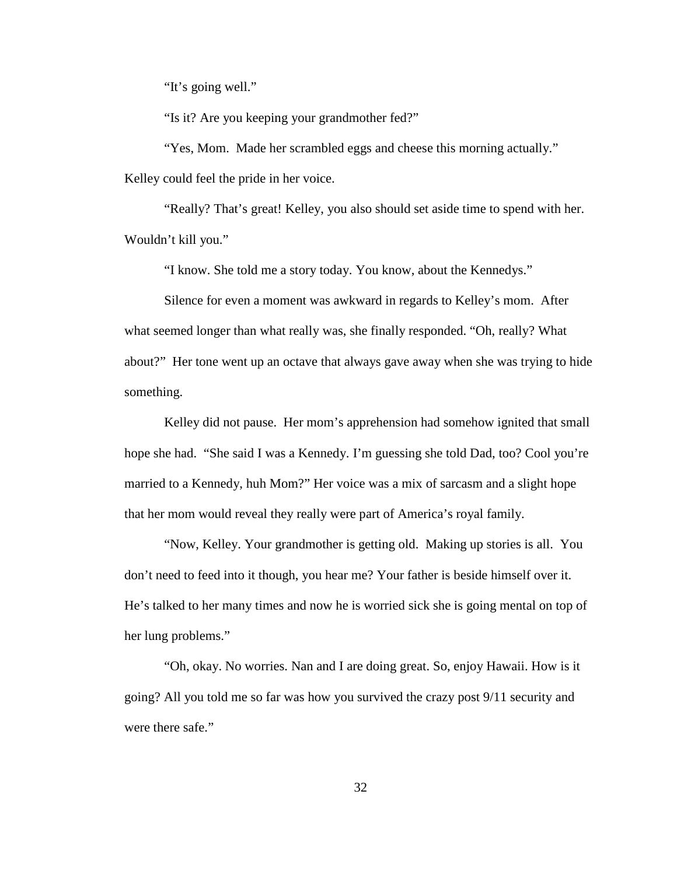"It's going well."

"Is it? Are you keeping your grandmother fed?"

"Yes, Mom. Made her scrambled eggs and cheese this morning actually." Kelley could feel the pride in her voice.

"Really? That's great! Kelley, you also should set aside time to spend with her. Wouldn't kill you."

"I know. She told me a story today. You know, about the Kennedys."

Silence for even a moment was awkward in regards to Kelley's mom. After what seemed longer than what really was, she finally responded. "Oh, really? What about?" Her tone went up an octave that always gave away when she was trying to hide something.

Kelley did not pause. Her mom's apprehension had somehow ignited that small hope she had. "She said I was a Kennedy. I'm guessing she told Dad, too? Cool you're married to a Kennedy, huh Mom?" Her voice was a mix of sarcasm and a slight hope that her mom would reveal they really were part of America's royal family.

"Now, Kelley. Your grandmother is getting old. Making up stories is all. You don't need to feed into it though, you hear me? Your father is beside himself over it. He's talked to her many times and now he is worried sick she is going mental on top of her lung problems."

"Oh, okay. No worries. Nan and I are doing great. So, enjoy Hawaii. How is it going? All you told me so far was how you survived the crazy post 9/11 security and were there safe."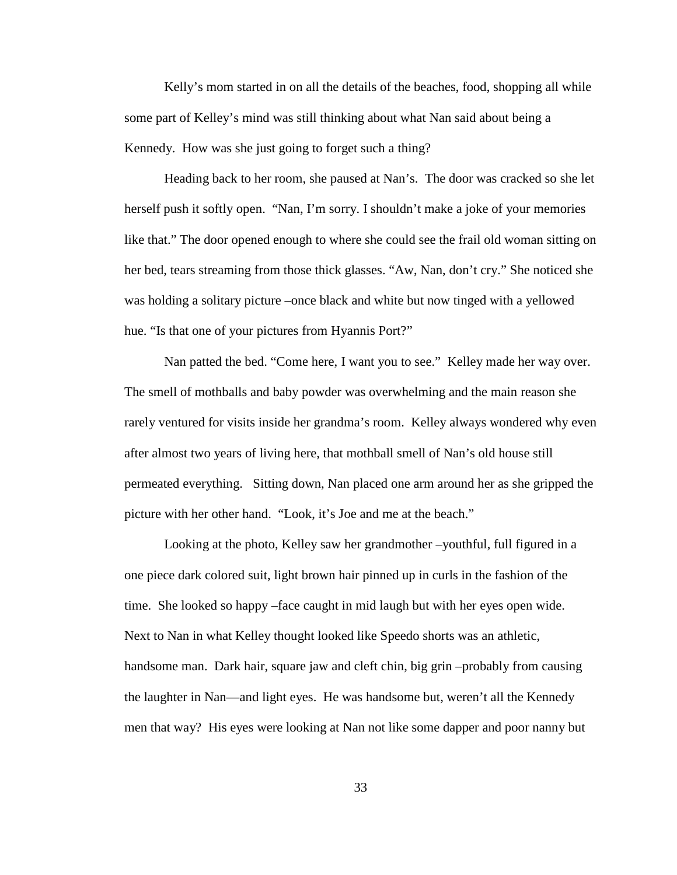Kelly's mom started in on all the details of the beaches, food, shopping all while some part of Kelley's mind was still thinking about what Nan said about being a Kennedy. How was she just going to forget such a thing?

Heading back to her room, she paused at Nan's. The door was cracked so she let herself push it softly open. "Nan, I'm sorry. I shouldn't make a joke of your memories like that." The door opened enough to where she could see the frail old woman sitting on her bed, tears streaming from those thick glasses. "Aw, Nan, don't cry." She noticed she was holding a solitary picture –once black and white but now tinged with a yellowed hue. "Is that one of your pictures from Hyannis Port?"

Nan patted the bed. "Come here, I want you to see." Kelley made her way over. The smell of mothballs and baby powder was overwhelming and the main reason she rarely ventured for visits inside her grandma's room. Kelley always wondered why even after almost two years of living here, that mothball smell of Nan's old house still permeated everything. Sitting down, Nan placed one arm around her as she gripped the picture with her other hand. "Look, it's Joe and me at the beach."

Looking at the photo, Kelley saw her grandmother –youthful, full figured in a one piece dark colored suit, light brown hair pinned up in curls in the fashion of the time. She looked so happy –face caught in mid laugh but with her eyes open wide. Next to Nan in what Kelley thought looked like Speedo shorts was an athletic, handsome man. Dark hair, square jaw and cleft chin, big grin –probably from causing the laughter in Nan—and light eyes. He was handsome but, weren't all the Kennedy men that way? His eyes were looking at Nan not like some dapper and poor nanny but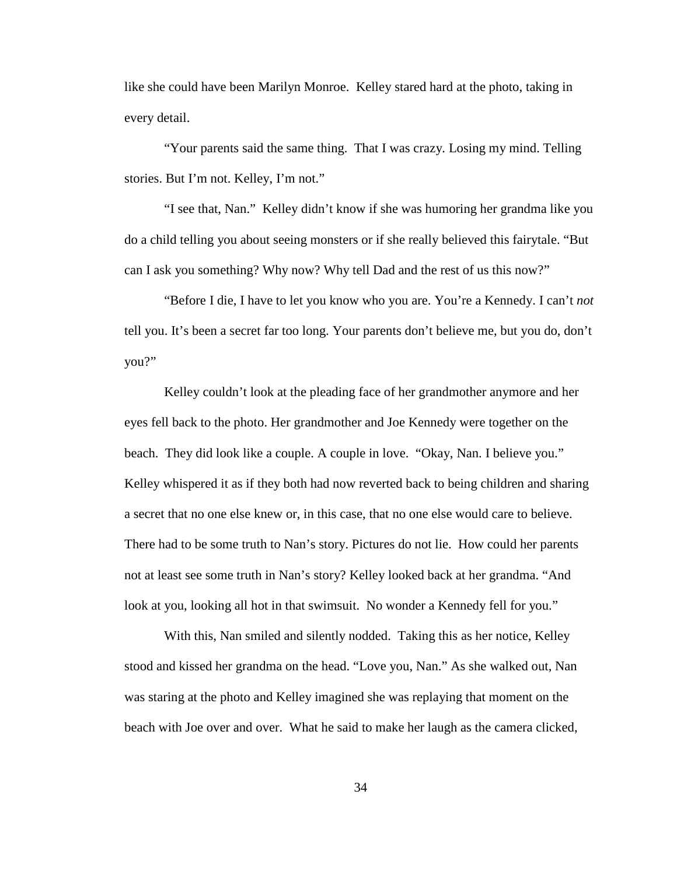like she could have been Marilyn Monroe. Kelley stared hard at the photo, taking in every detail.

"Your parents said the same thing. That I was crazy. Losing my mind. Telling stories. But I'm not. Kelley, I'm not."

"I see that, Nan." Kelley didn't know if she was humoring her grandma like you do a child telling you about seeing monsters or if she really believed this fairytale. "But can I ask you something? Why now? Why tell Dad and the rest of us this now?"

"Before I die, I have to let you know who you are. You're a Kennedy. I can't *not* tell you. It's been a secret far too long. Your parents don't believe me, but you do, don't you?"

Kelley couldn't look at the pleading face of her grandmother anymore and her eyes fell back to the photo. Her grandmother and Joe Kennedy were together on the beach. They did look like a couple. A couple in love. "Okay, Nan. I believe you." Kelley whispered it as if they both had now reverted back to being children and sharing a secret that no one else knew or, in this case, that no one else would care to believe. There had to be some truth to Nan's story. Pictures do not lie. How could her parents not at least see some truth in Nan's story? Kelley looked back at her grandma. "And look at you, looking all hot in that swimsuit. No wonder a Kennedy fell for you."

With this, Nan smiled and silently nodded. Taking this as her notice, Kelley stood and kissed her grandma on the head. "Love you, Nan." As she walked out, Nan was staring at the photo and Kelley imagined she was replaying that moment on the beach with Joe over and over. What he said to make her laugh as the camera clicked,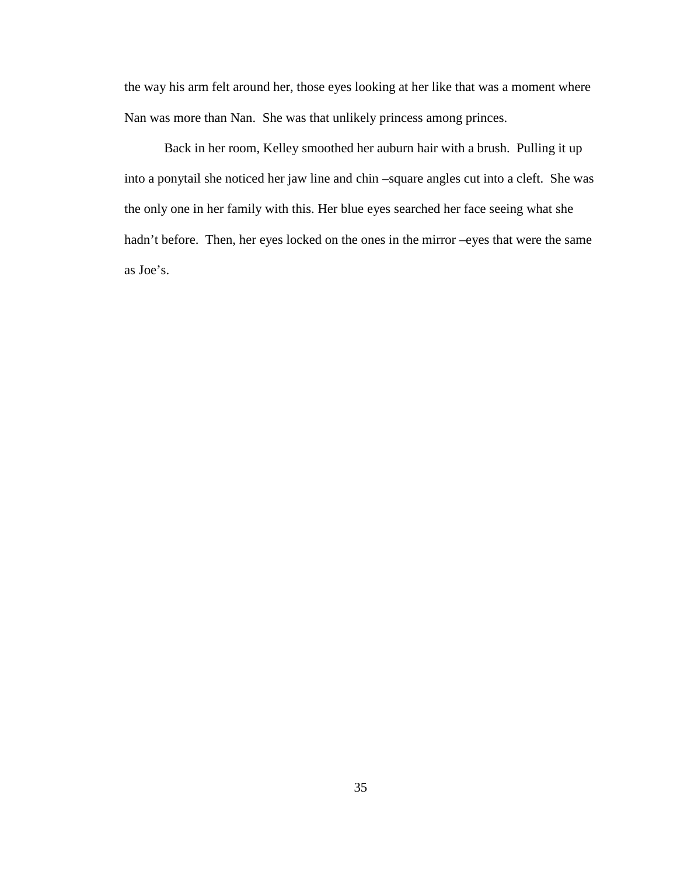the way his arm felt around her, those eyes looking at her like that was a moment where Nan was more than Nan. She was that unlikely princess among princes.

Back in her room, Kelley smoothed her auburn hair with a brush. Pulling it up into a ponytail she noticed her jaw line and chin –square angles cut into a cleft. She was the only one in her family with this. Her blue eyes searched her face seeing what she hadn't before. Then, her eyes locked on the ones in the mirror –eyes that were the same as Joe's.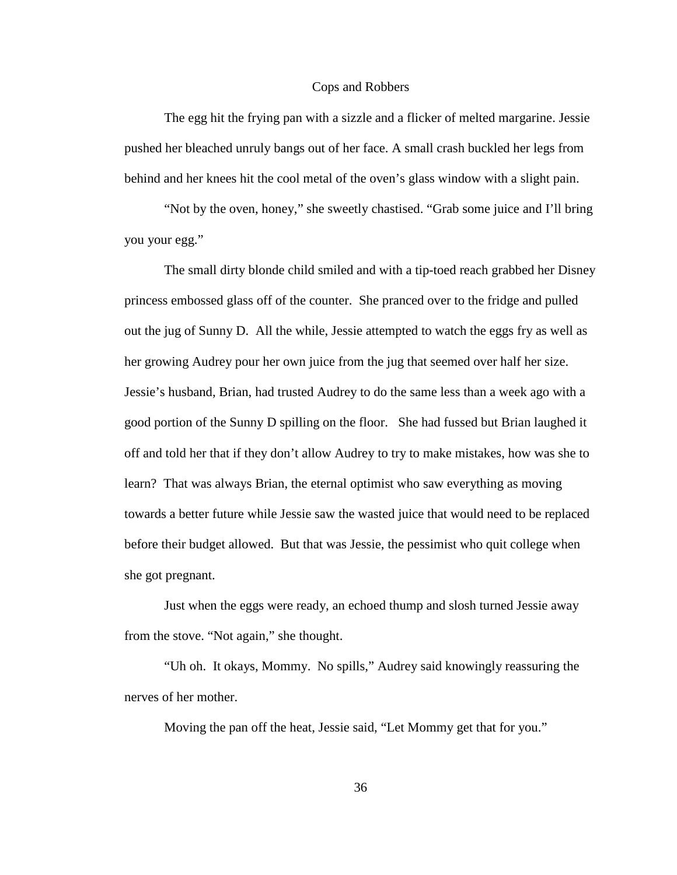## Cops and Robbers

The egg hit the frying pan with a sizzle and a flicker of melted margarine. Jessie pushed her bleached unruly bangs out of her face. A small crash buckled her legs from behind and her knees hit the cool metal of the oven's glass window with a slight pain.

"Not by the oven, honey," she sweetly chastised. "Grab some juice and I'll bring you your egg."

The small dirty blonde child smiled and with a tip-toed reach grabbed her Disney princess embossed glass off of the counter. She pranced over to the fridge and pulled out the jug of Sunny D. All the while, Jessie attempted to watch the eggs fry as well as her growing Audrey pour her own juice from the jug that seemed over half her size. Jessie's husband, Brian, had trusted Audrey to do the same less than a week ago with a good portion of the Sunny D spilling on the floor. She had fussed but Brian laughed it off and told her that if they don't allow Audrey to try to make mistakes, how was she to learn? That was always Brian, the eternal optimist who saw everything as moving towards a better future while Jessie saw the wasted juice that would need to be replaced before their budget allowed. But that was Jessie, the pessimist who quit college when she got pregnant.

Just when the eggs were ready, an echoed thump and slosh turned Jessie away from the stove. "Not again," she thought.

"Uh oh. It okays, Mommy. No spills," Audrey said knowingly reassuring the nerves of her mother.

Moving the pan off the heat, Jessie said, "Let Mommy get that for you."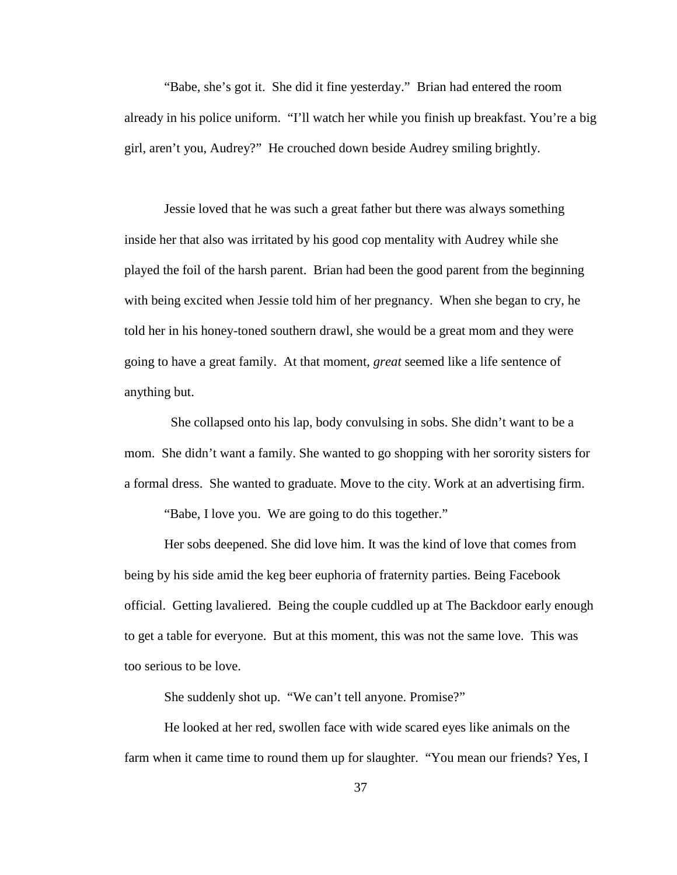"Babe, she's got it. She did it fine yesterday." Brian had entered the room already in his police uniform. "I'll watch her while you finish up breakfast. You're a big girl, aren't you, Audrey?" He crouched down beside Audrey smiling brightly.

Jessie loved that he was such a great father but there was always something inside her that also was irritated by his good cop mentality with Audrey while she played the foil of the harsh parent. Brian had been the good parent from the beginning with being excited when Jessie told him of her pregnancy. When she began to cry, he told her in his honey-toned southern drawl, she would be a great mom and they were going to have a great family. At that moment, *great* seemed like a life sentence of anything but.

 She collapsed onto his lap, body convulsing in sobs. She didn't want to be a mom. She didn't want a family. She wanted to go shopping with her sorority sisters for a formal dress. She wanted to graduate. Move to the city. Work at an advertising firm.

"Babe, I love you. We are going to do this together."

Her sobs deepened. She did love him. It was the kind of love that comes from being by his side amid the keg beer euphoria of fraternity parties. Being Facebook official. Getting lavaliered. Being the couple cuddled up at The Backdoor early enough to get a table for everyone. But at this moment, this was not the same love. This was too serious to be love.

She suddenly shot up. "We can't tell anyone. Promise?"

He looked at her red, swollen face with wide scared eyes like animals on the farm when it came time to round them up for slaughter. "You mean our friends? Yes, I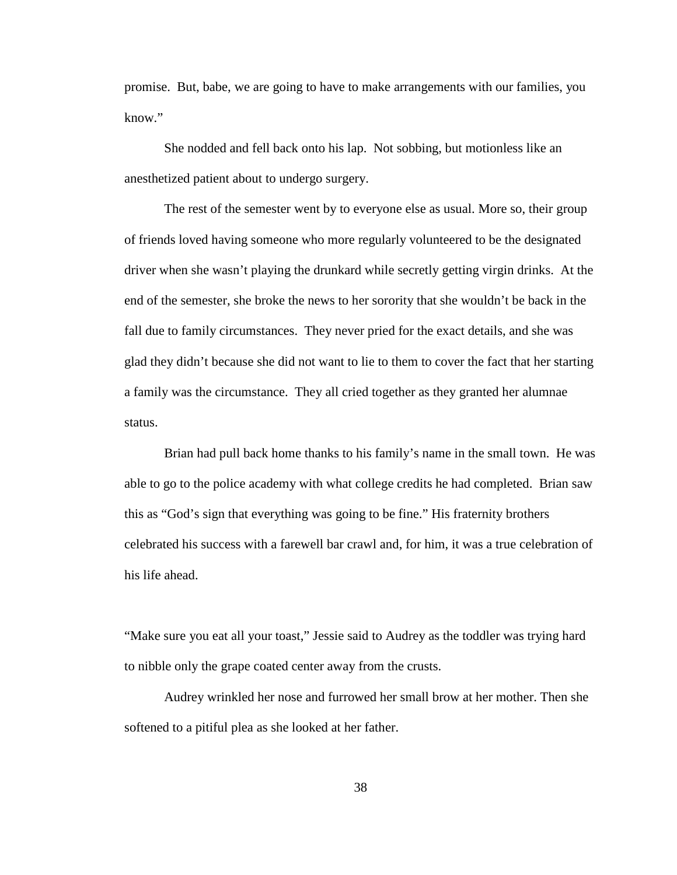promise. But, babe, we are going to have to make arrangements with our families, you know."

She nodded and fell back onto his lap. Not sobbing, but motionless like an anesthetized patient about to undergo surgery.

The rest of the semester went by to everyone else as usual. More so, their group of friends loved having someone who more regularly volunteered to be the designated driver when she wasn't playing the drunkard while secretly getting virgin drinks. At the end of the semester, she broke the news to her sorority that she wouldn't be back in the fall due to family circumstances. They never pried for the exact details, and she was glad they didn't because she did not want to lie to them to cover the fact that her starting a family was the circumstance. They all cried together as they granted her alumnae status.

Brian had pull back home thanks to his family's name in the small town. He was able to go to the police academy with what college credits he had completed. Brian saw this as "God's sign that everything was going to be fine." His fraternity brothers celebrated his success with a farewell bar crawl and, for him, it was a true celebration of his life ahead.

"Make sure you eat all your toast," Jessie said to Audrey as the toddler was trying hard to nibble only the grape coated center away from the crusts.

Audrey wrinkled her nose and furrowed her small brow at her mother. Then she softened to a pitiful plea as she looked at her father.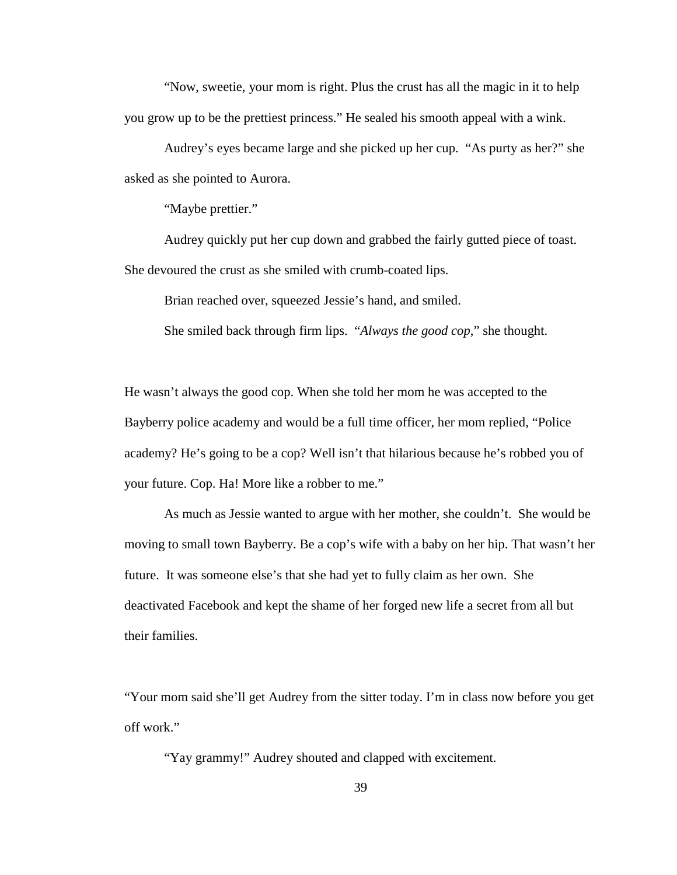"Now, sweetie, your mom is right. Plus the crust has all the magic in it to help you grow up to be the prettiest princess." He sealed his smooth appeal with a wink.

Audrey's eyes became large and she picked up her cup. "As purty as her?" she asked as she pointed to Aurora.

"Maybe prettier."

Audrey quickly put her cup down and grabbed the fairly gutted piece of toast. She devoured the crust as she smiled with crumb-coated lips.

Brian reached over, squeezed Jessie's hand, and smiled.

She smiled back through firm lips. "*Always the good cop*," she thought.

He wasn't always the good cop. When she told her mom he was accepted to the Bayberry police academy and would be a full time officer, her mom replied, "Police academy? He's going to be a cop? Well isn't that hilarious because he's robbed you of your future. Cop. Ha! More like a robber to me."

As much as Jessie wanted to argue with her mother, she couldn't. She would be moving to small town Bayberry. Be a cop's wife with a baby on her hip. That wasn't her future. It was someone else's that she had yet to fully claim as her own. She deactivated Facebook and kept the shame of her forged new life a secret from all but their families.

"Your mom said she'll get Audrey from the sitter today. I'm in class now before you get off work."

"Yay grammy!" Audrey shouted and clapped with excitement.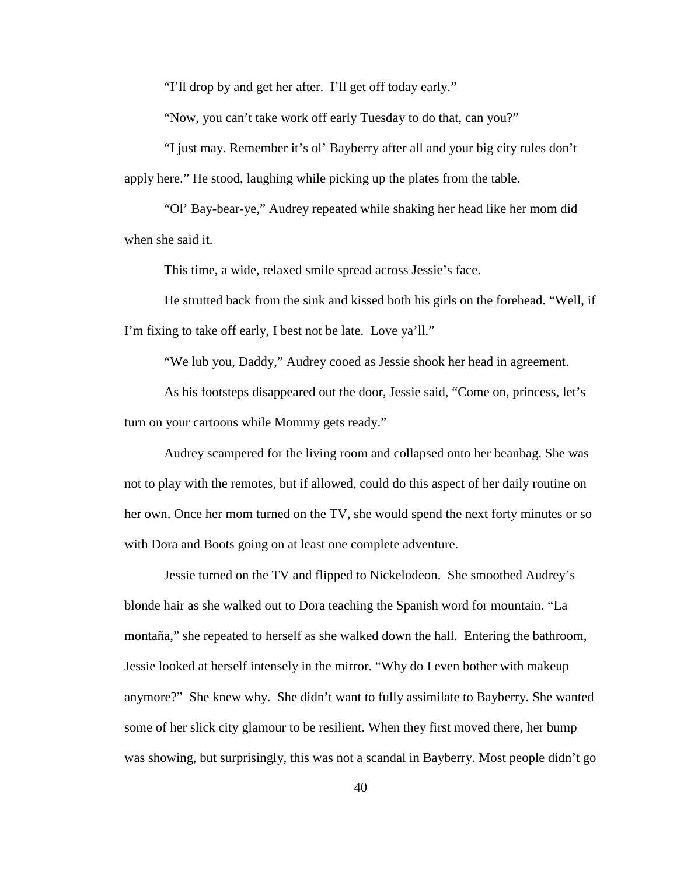"I'll drop by and get her after. I'll get off today early."

"Now, you can't take work off early Tuesday to do that, can you?"

"I just may. Remember it's ol' Bayberry after all and your big city rules don't apply here." He stood, laughing while picking up the plates from the table.

"Ol' Bay-bear-ye," Audrey repeated while shaking her head like her mom did when she said it.

This time, a wide, relaxed smile spread across Jessie's face.

He strutted back from the sink and kissed both his girls on the forehead. "Well, if I'm fixing to take off early, I best not be late. Love ya'll."

"We lub you, Daddy," Audrey cooed as Jessie shook her head in agreement.

As his footsteps disappeared out the door, Jessie said, "Come on, princess, let's turn on your cartoons while Mommy gets ready."

Audrey scampered for the living room and collapsed onto her beanbag. She was not to play with the remotes, but if allowed, could do this aspect of her daily routine on her own. Once her mom turned on the TV, she would spend the next forty minutes or so with Dora and Boots going on at least one complete adventure.

Jessie turned on the TV and flipped to Nickelodeon. She smoothed Audrey's blonde hair as she walked out to Dora teaching the Spanish word for mountain. "La montaña," she repeated to herself as she walked down the hall. Entering the bathroom, Jessie looked at herself intensely in the mirror. "Why do I even bother with makeup anymore?" She knew why. She didn't want to fully assimilate to Bayberry. She wanted some of her slick city glamour to be resilient. When they first moved there, her bump was showing, but surprisingly, this was not a scandal in Bayberry. Most people didn't go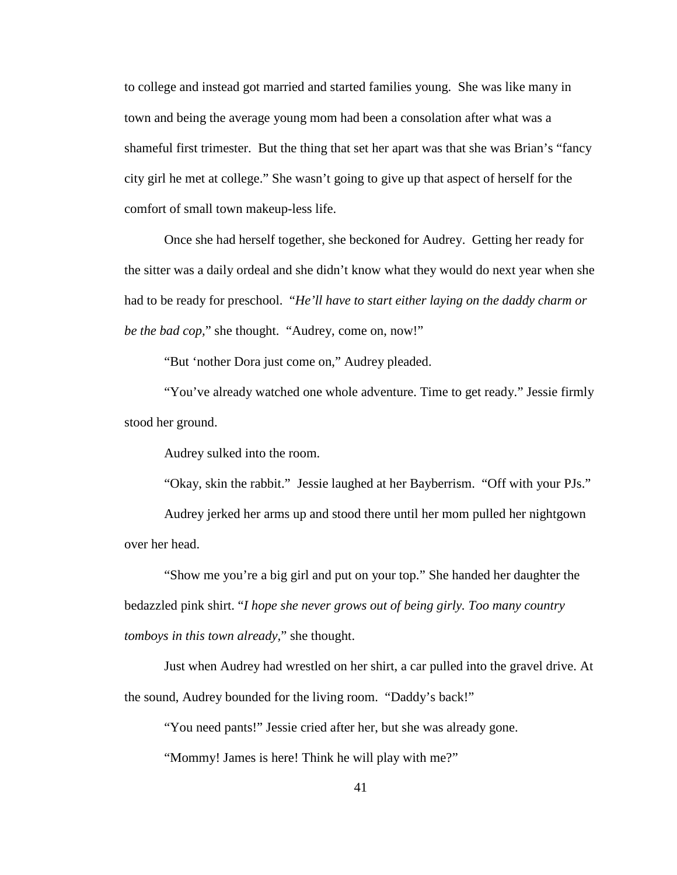to college and instead got married and started families young. She was like many in town and being the average young mom had been a consolation after what was a shameful first trimester. But the thing that set her apart was that she was Brian's "fancy city girl he met at college." She wasn't going to give up that aspect of herself for the comfort of small town makeup-less life.

Once she had herself together, she beckoned for Audrey. Getting her ready for the sitter was a daily ordeal and she didn't know what they would do next year when she had to be ready for preschool. "*He'll have to start either laying on the daddy charm or be the bad cop,*" she thought. "Audrey, come on, now!"

"But 'nother Dora just come on," Audrey pleaded.

"You've already watched one whole adventure. Time to get ready." Jessie firmly stood her ground.

Audrey sulked into the room.

"Okay, skin the rabbit." Jessie laughed at her Bayberrism. "Off with your PJs."

Audrey jerked her arms up and stood there until her mom pulled her nightgown over her head.

"Show me you're a big girl and put on your top." She handed her daughter the bedazzled pink shirt. "*I hope she never grows out of being girly. Too many country tomboys in this town already,*" she thought.

Just when Audrey had wrestled on her shirt, a car pulled into the gravel drive. At the sound, Audrey bounded for the living room. "Daddy's back!"

"You need pants!" Jessie cried after her, but she was already gone.

"Mommy! James is here! Think he will play with me?"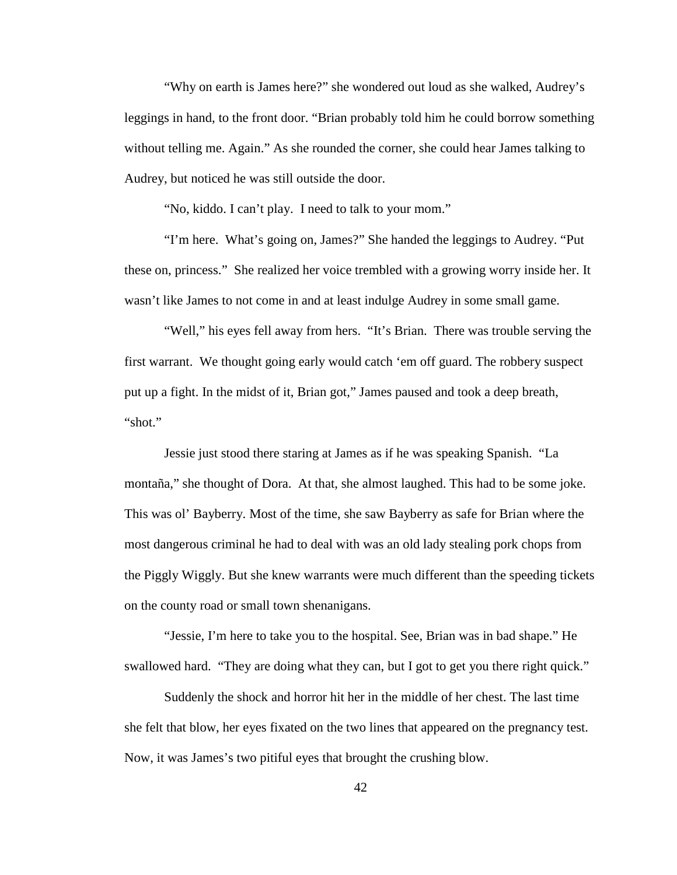"Why on earth is James here?" she wondered out loud as she walked, Audrey's leggings in hand, to the front door. "Brian probably told him he could borrow something without telling me. Again." As she rounded the corner, she could hear James talking to Audrey, but noticed he was still outside the door.

"No, kiddo. I can't play. I need to talk to your mom."

"I'm here. What's going on, James?" She handed the leggings to Audrey. "Put these on, princess." She realized her voice trembled with a growing worry inside her. It wasn't like James to not come in and at least indulge Audrey in some small game.

"Well," his eyes fell away from hers. "It's Brian. There was trouble serving the first warrant. We thought going early would catch 'em off guard. The robbery suspect put up a fight. In the midst of it, Brian got," James paused and took a deep breath, "shot."

Jessie just stood there staring at James as if he was speaking Spanish. "La montaña," she thought of Dora. At that, she almost laughed. This had to be some joke. This was ol' Bayberry. Most of the time, she saw Bayberry as safe for Brian where the most dangerous criminal he had to deal with was an old lady stealing pork chops from the Piggly Wiggly. But she knew warrants were much different than the speeding tickets on the county road or small town shenanigans.

"Jessie, I'm here to take you to the hospital. See, Brian was in bad shape." He swallowed hard. "They are doing what they can, but I got to get you there right quick."

Suddenly the shock and horror hit her in the middle of her chest. The last time she felt that blow, her eyes fixated on the two lines that appeared on the pregnancy test. Now, it was James's two pitiful eyes that brought the crushing blow.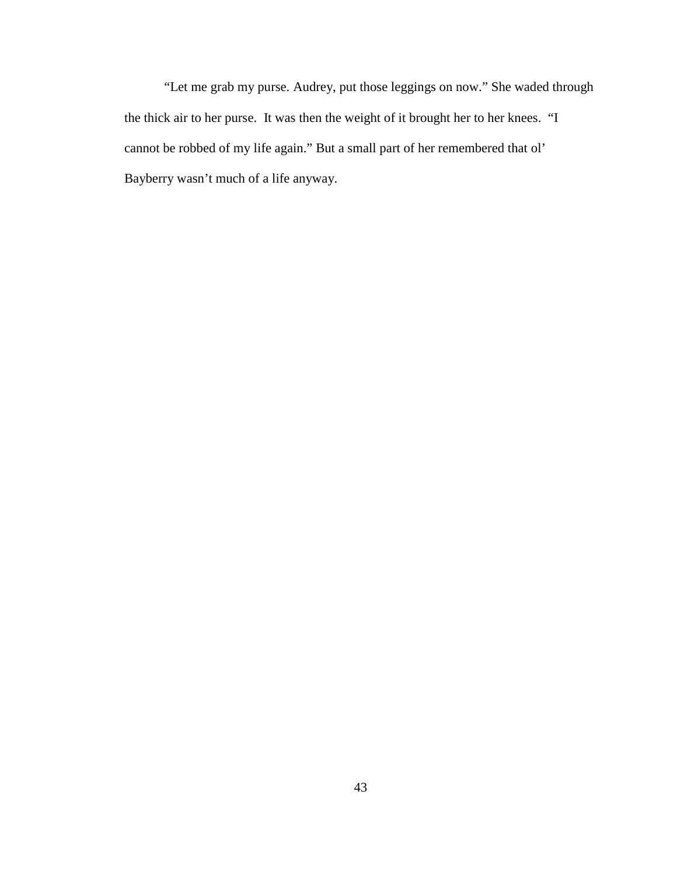"Let me grab my purse. Audrey, put those leggings on now." She waded through the thick air to her purse. It was then the weight of it brought her to her knees. "I cannot be robbed of my life again." But a small part of her remembered that ol' Bayberry wasn't much of a life anyway.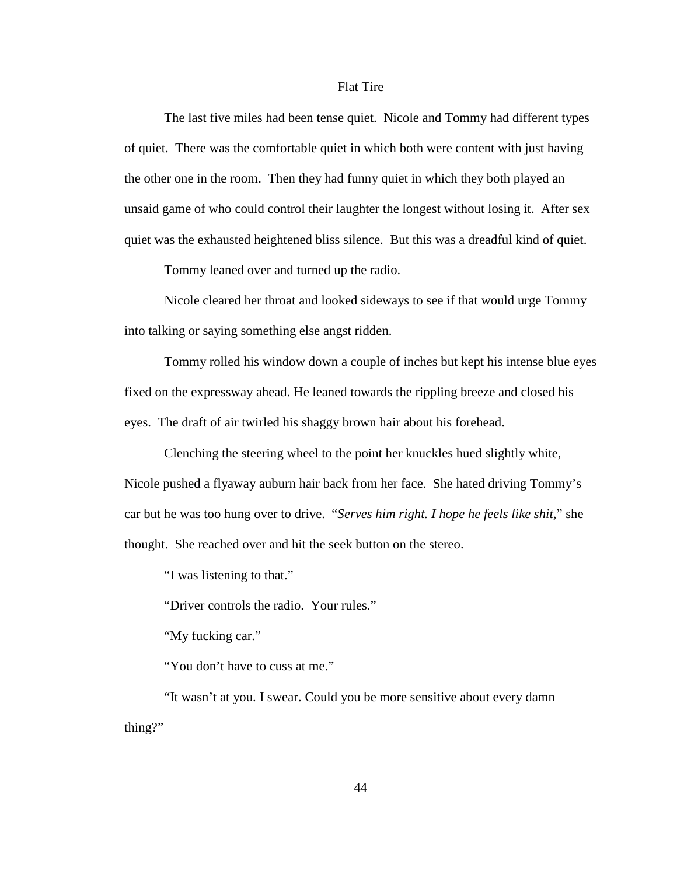## Flat Tire

The last five miles had been tense quiet. Nicole and Tommy had different types of quiet. There was the comfortable quiet in which both were content with just having the other one in the room. Then they had funny quiet in which they both played an unsaid game of who could control their laughter the longest without losing it. After sex quiet was the exhausted heightened bliss silence. But this was a dreadful kind of quiet.

Tommy leaned over and turned up the radio.

Nicole cleared her throat and looked sideways to see if that would urge Tommy into talking or saying something else angst ridden.

Tommy rolled his window down a couple of inches but kept his intense blue eyes fixed on the expressway ahead. He leaned towards the rippling breeze and closed his eyes. The draft of air twirled his shaggy brown hair about his forehead.

Clenching the steering wheel to the point her knuckles hued slightly white, Nicole pushed a flyaway auburn hair back from her face. She hated driving Tommy's car but he was too hung over to drive. "*Serves him right. I hope he feels like shit,*" she thought. She reached over and hit the seek button on the stereo.

"I was listening to that."

"Driver controls the radio. Your rules."

"My fucking car."

"You don't have to cuss at me."

"It wasn't at you. I swear. Could you be more sensitive about every damn thing?"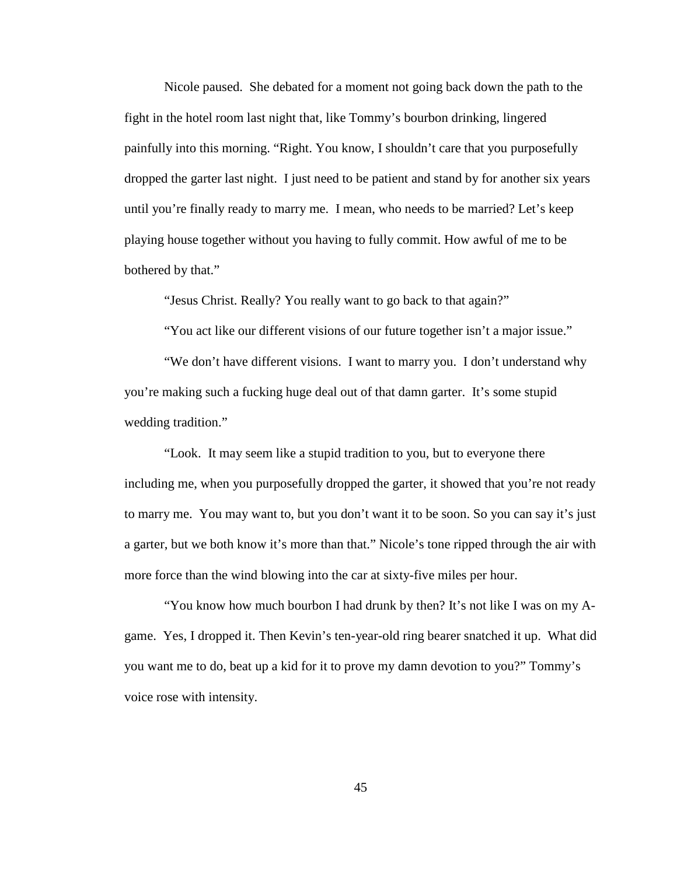Nicole paused. She debated for a moment not going back down the path to the fight in the hotel room last night that, like Tommy's bourbon drinking, lingered painfully into this morning. "Right. You know, I shouldn't care that you purposefully dropped the garter last night. I just need to be patient and stand by for another six years until you're finally ready to marry me. I mean, who needs to be married? Let's keep playing house together without you having to fully commit. How awful of me to be bothered by that."

"Jesus Christ. Really? You really want to go back to that again?"

"You act like our different visions of our future together isn't a major issue."

"We don't have different visions. I want to marry you. I don't understand why you're making such a fucking huge deal out of that damn garter. It's some stupid wedding tradition."

"Look. It may seem like a stupid tradition to you, but to everyone there including me, when you purposefully dropped the garter, it showed that you're not ready to marry me. You may want to, but you don't want it to be soon. So you can say it's just a garter, but we both know it's more than that." Nicole's tone ripped through the air with more force than the wind blowing into the car at sixty-five miles per hour.

"You know how much bourbon I had drunk by then? It's not like I was on my Agame. Yes, I dropped it. Then Kevin's ten-year-old ring bearer snatched it up. What did you want me to do, beat up a kid for it to prove my damn devotion to you?" Tommy's voice rose with intensity.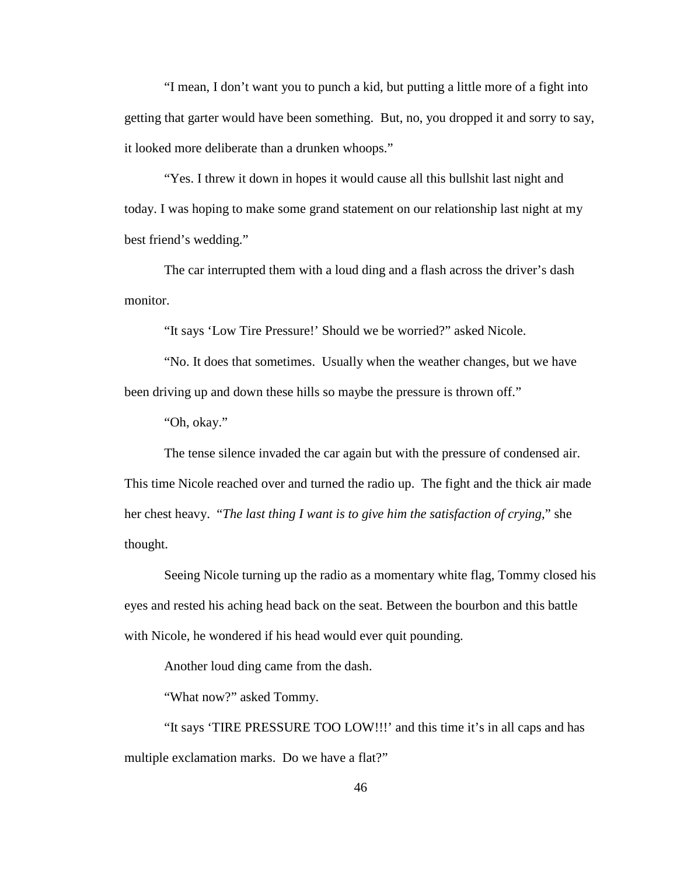"I mean, I don't want you to punch a kid, but putting a little more of a fight into getting that garter would have been something. But, no, you dropped it and sorry to say, it looked more deliberate than a drunken whoops."

"Yes. I threw it down in hopes it would cause all this bullshit last night and today. I was hoping to make some grand statement on our relationship last night at my best friend's wedding."

The car interrupted them with a loud ding and a flash across the driver's dash monitor.

"It says 'Low Tire Pressure!' Should we be worried?" asked Nicole.

"No. It does that sometimes. Usually when the weather changes, but we have been driving up and down these hills so maybe the pressure is thrown off."

"Oh, okay."

The tense silence invaded the car again but with the pressure of condensed air.

This time Nicole reached over and turned the radio up. The fight and the thick air made her chest heavy. "*The last thing I want is to give him the satisfaction of crying,*" she thought.

Seeing Nicole turning up the radio as a momentary white flag, Tommy closed his eyes and rested his aching head back on the seat. Between the bourbon and this battle with Nicole, he wondered if his head would ever quit pounding.

Another loud ding came from the dash.

"What now?" asked Tommy.

"It says 'TIRE PRESSURE TOO LOW!!!' and this time it's in all caps and has multiple exclamation marks. Do we have a flat?"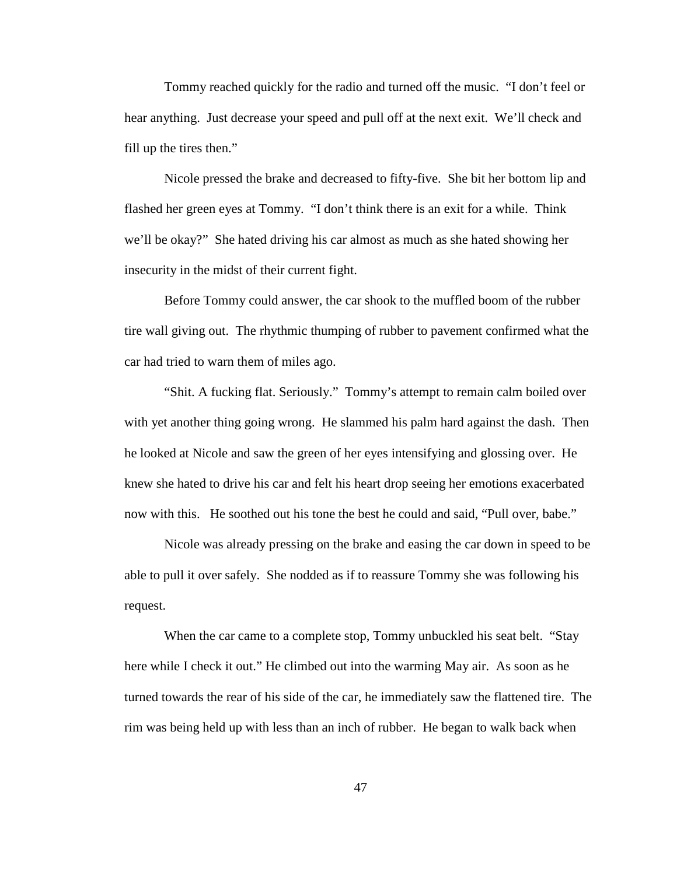Tommy reached quickly for the radio and turned off the music. "I don't feel or hear anything. Just decrease your speed and pull off at the next exit. We'll check and fill up the tires then."

Nicole pressed the brake and decreased to fifty-five. She bit her bottom lip and flashed her green eyes at Tommy. "I don't think there is an exit for a while. Think we'll be okay?" She hated driving his car almost as much as she hated showing her insecurity in the midst of their current fight.

Before Tommy could answer, the car shook to the muffled boom of the rubber tire wall giving out. The rhythmic thumping of rubber to pavement confirmed what the car had tried to warn them of miles ago.

"Shit. A fucking flat. Seriously." Tommy's attempt to remain calm boiled over with yet another thing going wrong. He slammed his palm hard against the dash. Then he looked at Nicole and saw the green of her eyes intensifying and glossing over. He knew she hated to drive his car and felt his heart drop seeing her emotions exacerbated now with this. He soothed out his tone the best he could and said, "Pull over, babe."

Nicole was already pressing on the brake and easing the car down in speed to be able to pull it over safely. She nodded as if to reassure Tommy she was following his request.

When the car came to a complete stop, Tommy unbuckled his seat belt. "Stay here while I check it out." He climbed out into the warming May air. As soon as he turned towards the rear of his side of the car, he immediately saw the flattened tire. The rim was being held up with less than an inch of rubber. He began to walk back when

47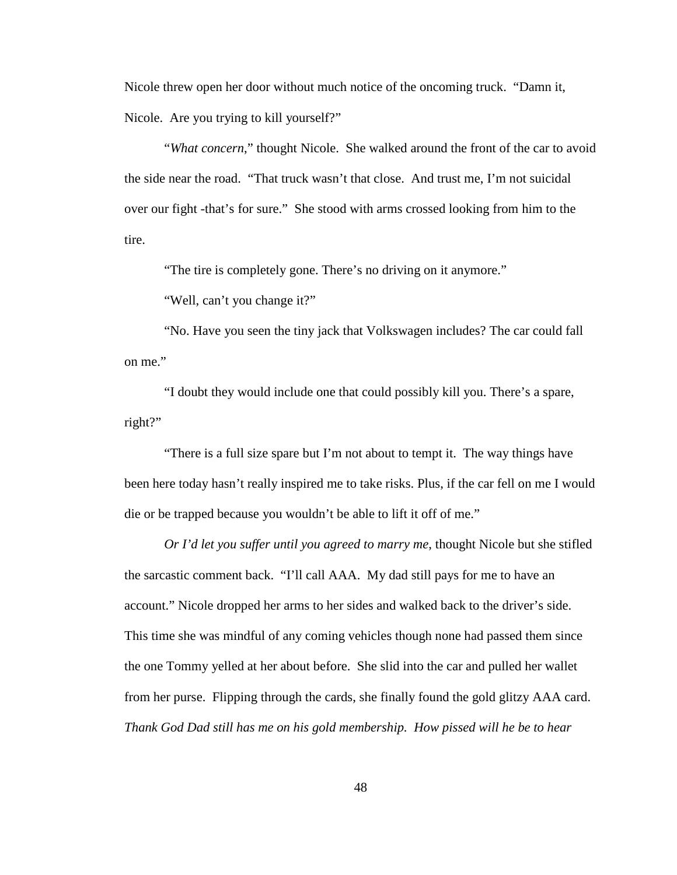Nicole threw open her door without much notice of the oncoming truck. "Damn it, Nicole. Are you trying to kill yourself?"

"*What concern*," thought Nicole. She walked around the front of the car to avoid the side near the road. "That truck wasn't that close. And trust me, I'm not suicidal over our fight -that's for sure." She stood with arms crossed looking from him to the tire.

"The tire is completely gone. There's no driving on it anymore."

"Well, can't you change it?"

"No. Have you seen the tiny jack that Volkswagen includes? The car could fall on me."

"I doubt they would include one that could possibly kill you. There's a spare, right?"

"There is a full size spare but I'm not about to tempt it. The way things have been here today hasn't really inspired me to take risks. Plus, if the car fell on me I would die or be trapped because you wouldn't be able to lift it off of me."

*Or I'd let you suffer until you agreed to marry me*, thought Nicole but she stifled the sarcastic comment back. "I'll call AAA. My dad still pays for me to have an account." Nicole dropped her arms to her sides and walked back to the driver's side. This time she was mindful of any coming vehicles though none had passed them since the one Tommy yelled at her about before. She slid into the car and pulled her wallet from her purse. Flipping through the cards, she finally found the gold glitzy AAA card. *Thank God Dad still has me on his gold membership. How pissed will he be to hear*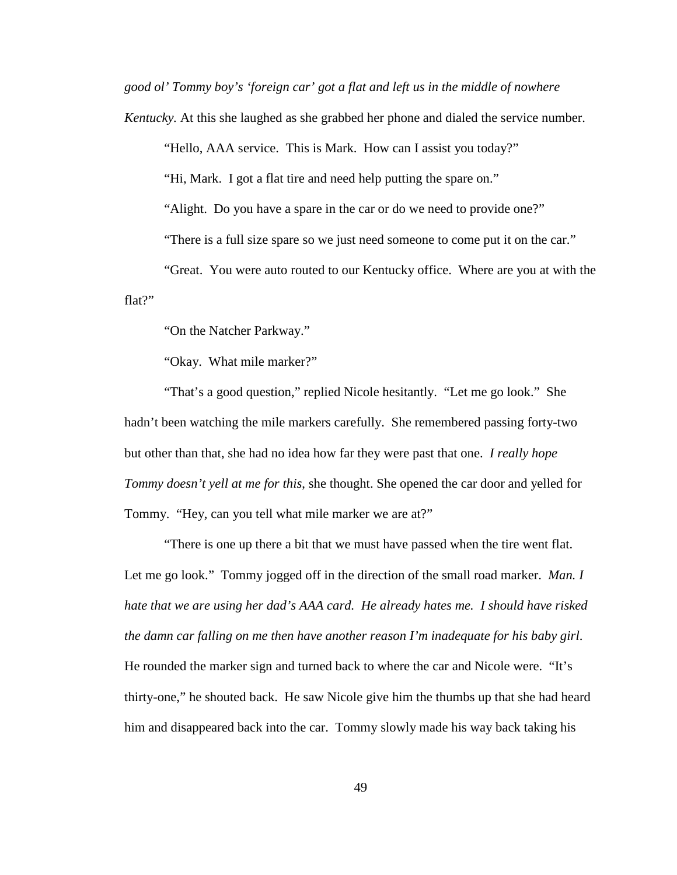*good ol' Tommy boy's 'foreign car' got a flat and left us in the middle of nowhere* 

*Kentucky.* At this she laughed as she grabbed her phone and dialed the service number.

"Hello, AAA service. This is Mark. How can I assist you today?"

"Hi, Mark. I got a flat tire and need help putting the spare on."

"Alight. Do you have a spare in the car or do we need to provide one?"

"There is a full size spare so we just need someone to come put it on the car."

"Great. You were auto routed to our Kentucky office. Where are you at with the flat?"

"On the Natcher Parkway."

"Okay. What mile marker?"

"That's a good question," replied Nicole hesitantly. "Let me go look." She hadn't been watching the mile markers carefully. She remembered passing forty-two but other than that, she had no idea how far they were past that one. *I really hope Tommy doesn't yell at me for this*, she thought. She opened the car door and yelled for Tommy. "Hey, can you tell what mile marker we are at?"

"There is one up there a bit that we must have passed when the tire went flat. Let me go look." Tommy jogged off in the direction of the small road marker. *Man. I hate that we are using her dad's AAA card. He already hates me. I should have risked the damn car falling on me then have another reason I'm inadequate for his baby girl*. He rounded the marker sign and turned back to where the car and Nicole were. "It's thirty-one," he shouted back. He saw Nicole give him the thumbs up that she had heard him and disappeared back into the car. Tommy slowly made his way back taking his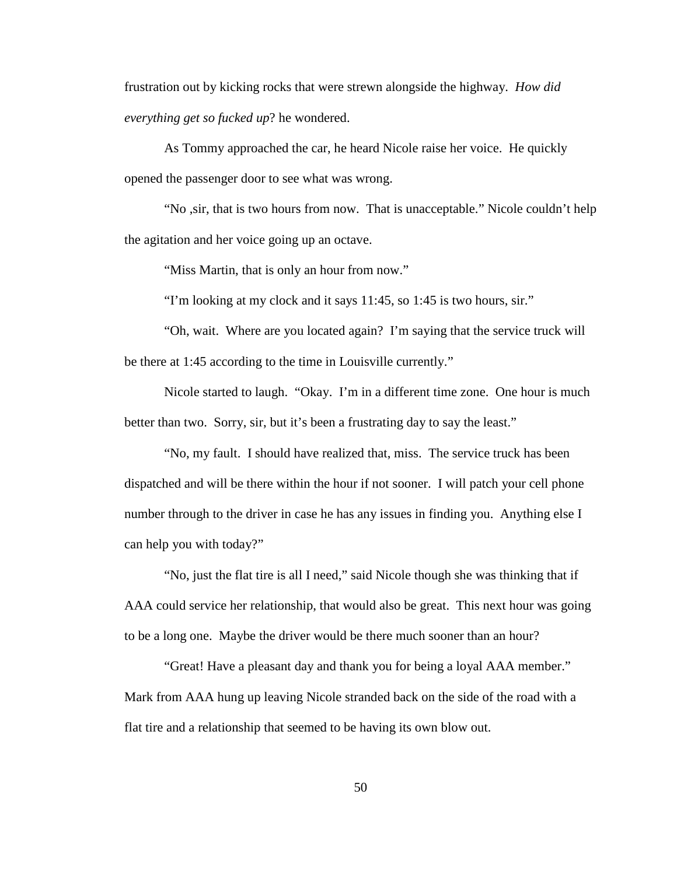frustration out by kicking rocks that were strewn alongside the highway. *How did everything get so fucked up*? he wondered.

As Tommy approached the car, he heard Nicole raise her voice. He quickly opened the passenger door to see what was wrong.

"No ,sir, that is two hours from now. That is unacceptable." Nicole couldn't help the agitation and her voice going up an octave.

"Miss Martin, that is only an hour from now."

"I'm looking at my clock and it says 11:45, so 1:45 is two hours, sir."

"Oh, wait. Where are you located again? I'm saying that the service truck will be there at 1:45 according to the time in Louisville currently."

Nicole started to laugh. "Okay. I'm in a different time zone. One hour is much better than two. Sorry, sir, but it's been a frustrating day to say the least."

"No, my fault. I should have realized that, miss. The service truck has been dispatched and will be there within the hour if not sooner. I will patch your cell phone number through to the driver in case he has any issues in finding you. Anything else I can help you with today?"

"No, just the flat tire is all I need," said Nicole though she was thinking that if AAA could service her relationship, that would also be great. This next hour was going to be a long one. Maybe the driver would be there much sooner than an hour?

"Great! Have a pleasant day and thank you for being a loyal AAA member." Mark from AAA hung up leaving Nicole stranded back on the side of the road with a flat tire and a relationship that seemed to be having its own blow out.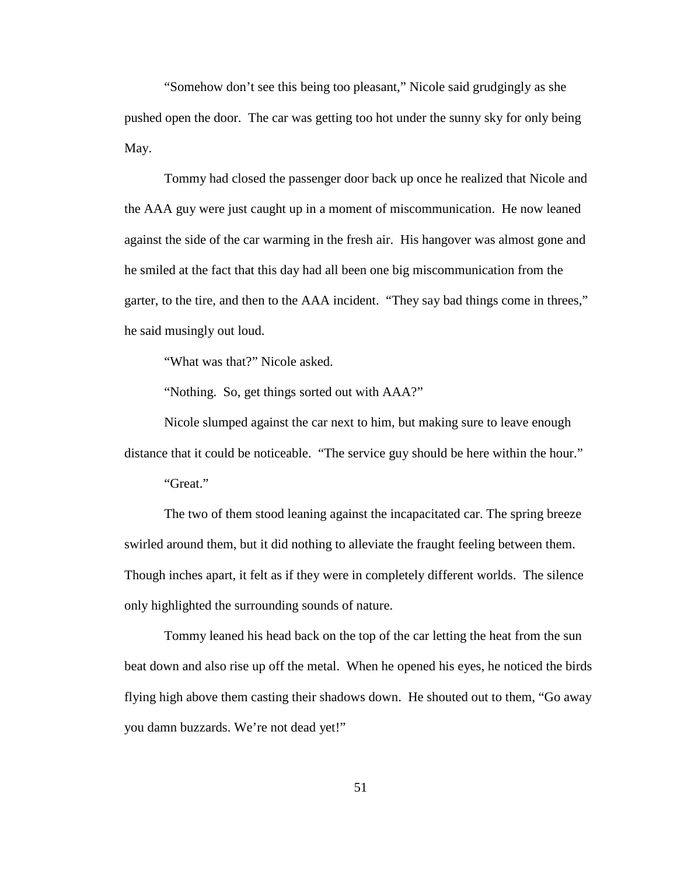"Somehow don't see this being too pleasant," Nicole said grudgingly as she pushed open the door. The car was getting too hot under the sunny sky for only being May.

Tommy had closed the passenger door back up once he realized that Nicole and the AAA guy were just caught up in a moment of miscommunication. He now leaned against the side of the car warming in the fresh air. His hangover was almost gone and he smiled at the fact that this day had all been one big miscommunication from the garter, to the tire, and then to the AAA incident. "They say bad things come in threes," he said musingly out loud.

"What was that?" Nicole asked.

"Nothing. So, get things sorted out with AAA?"

Nicole slumped against the car next to him, but making sure to leave enough distance that it could be noticeable. "The service guy should be here within the hour."

"Great."

The two of them stood leaning against the incapacitated car. The spring breeze swirled around them, but it did nothing to alleviate the fraught feeling between them. Though inches apart, it felt as if they were in completely different worlds. The silence only highlighted the surrounding sounds of nature.

Tommy leaned his head back on the top of the car letting the heat from the sun beat down and also rise up off the metal. When he opened his eyes, he noticed the birds flying high above them casting their shadows down. He shouted out to them, "Go away you damn buzzards. We're not dead yet!"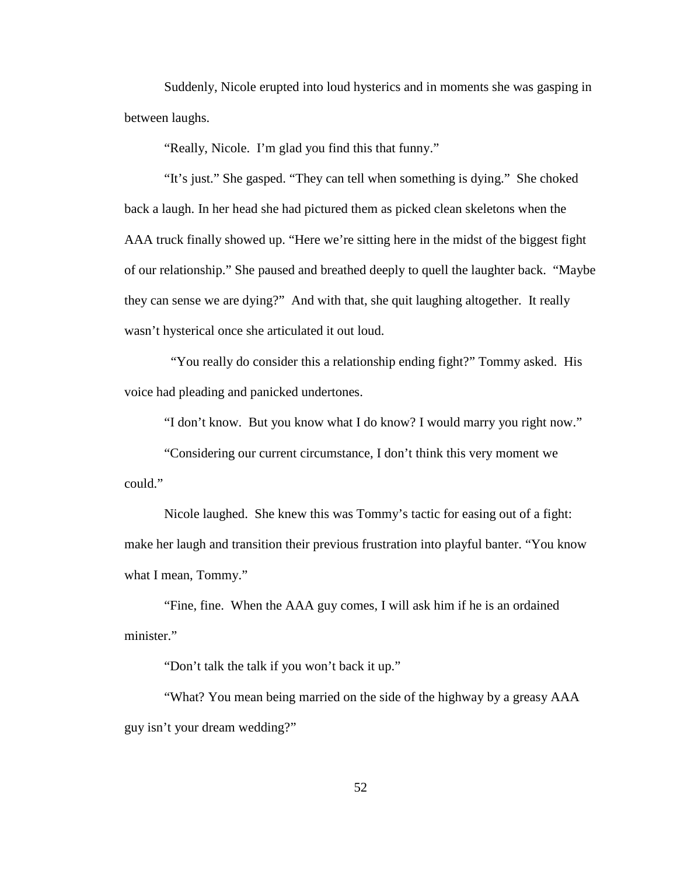Suddenly, Nicole erupted into loud hysterics and in moments she was gasping in between laughs.

"Really, Nicole. I'm glad you find this that funny."

"It's just." She gasped. "They can tell when something is dying." She choked back a laugh. In her head she had pictured them as picked clean skeletons when the AAA truck finally showed up. "Here we're sitting here in the midst of the biggest fight of our relationship." She paused and breathed deeply to quell the laughter back. "Maybe they can sense we are dying?" And with that, she quit laughing altogether. It really wasn't hysterical once she articulated it out loud.

 "You really do consider this a relationship ending fight?" Tommy asked. His voice had pleading and panicked undertones.

"I don't know. But you know what I do know? I would marry you right now."

"Considering our current circumstance, I don't think this very moment we could."

Nicole laughed. She knew this was Tommy's tactic for easing out of a fight: make her laugh and transition their previous frustration into playful banter. "You know what I mean, Tommy."

"Fine, fine. When the AAA guy comes, I will ask him if he is an ordained minister."

"Don't talk the talk if you won't back it up."

"What? You mean being married on the side of the highway by a greasy AAA guy isn't your dream wedding?"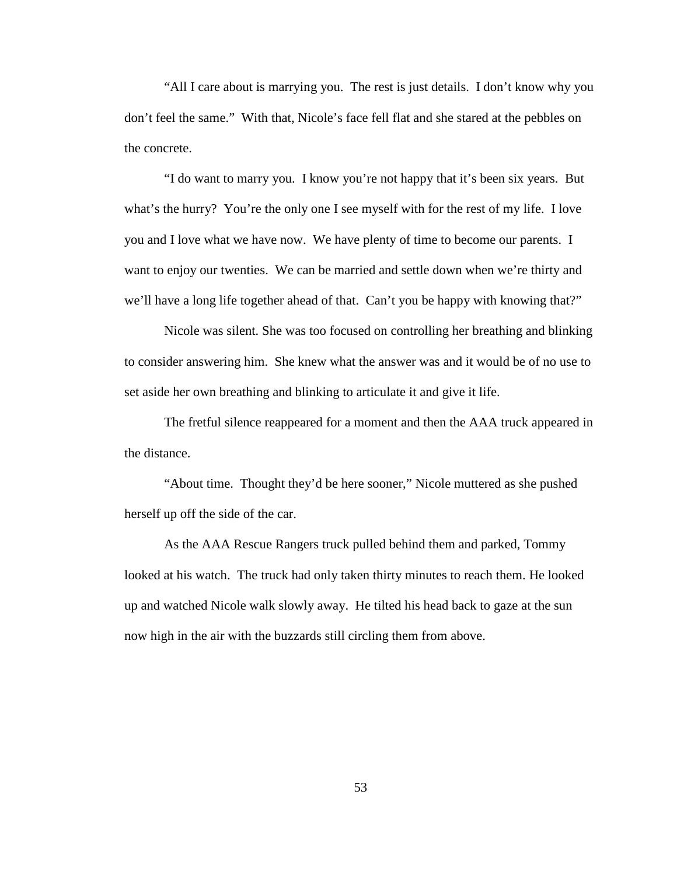"All I care about is marrying you. The rest is just details. I don't know why you don't feel the same." With that, Nicole's face fell flat and she stared at the pebbles on the concrete.

"I do want to marry you. I know you're not happy that it's been six years. But what's the hurry? You're the only one I see myself with for the rest of my life. I love you and I love what we have now. We have plenty of time to become our parents. I want to enjoy our twenties. We can be married and settle down when we're thirty and we'll have a long life together ahead of that. Can't you be happy with knowing that?"

Nicole was silent. She was too focused on controlling her breathing and blinking to consider answering him. She knew what the answer was and it would be of no use to set aside her own breathing and blinking to articulate it and give it life.

The fretful silence reappeared for a moment and then the AAA truck appeared in the distance.

"About time. Thought they'd be here sooner," Nicole muttered as she pushed herself up off the side of the car.

As the AAA Rescue Rangers truck pulled behind them and parked, Tommy looked at his watch. The truck had only taken thirty minutes to reach them. He looked up and watched Nicole walk slowly away. He tilted his head back to gaze at the sun now high in the air with the buzzards still circling them from above.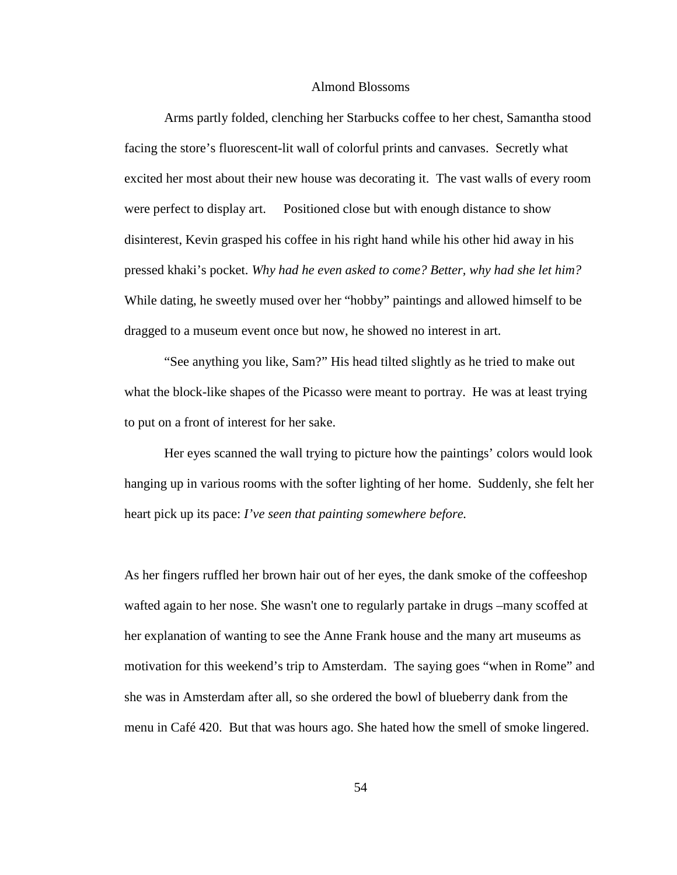## Almond Blossoms

Arms partly folded, clenching her Starbucks coffee to her chest, Samantha stood facing the store's fluorescent-lit wall of colorful prints and canvases. Secretly what excited her most about their new house was decorating it. The vast walls of every room were perfect to display art. Positioned close but with enough distance to show disinterest, Kevin grasped his coffee in his right hand while his other hid away in his pressed khaki's pocket. *Why had he even asked to come? Better, why had she let him?* While dating, he sweetly mused over her "hobby" paintings and allowed himself to be dragged to a museum event once but now, he showed no interest in art.

"See anything you like, Sam?" His head tilted slightly as he tried to make out what the block-like shapes of the Picasso were meant to portray. He was at least trying to put on a front of interest for her sake.

Her eyes scanned the wall trying to picture how the paintings' colors would look hanging up in various rooms with the softer lighting of her home. Suddenly, she felt her heart pick up its pace: *I've seen that painting somewhere before.*

As her fingers ruffled her brown hair out of her eyes, the dank smoke of the coffeeshop wafted again to her nose. She wasn't one to regularly partake in drugs –many scoffed at her explanation of wanting to see the Anne Frank house and the many art museums as motivation for this weekend's trip to Amsterdam. The saying goes "when in Rome" and she was in Amsterdam after all, so she ordered the bowl of blueberry dank from the menu in Café 420. But that was hours ago. She hated how the smell of smoke lingered.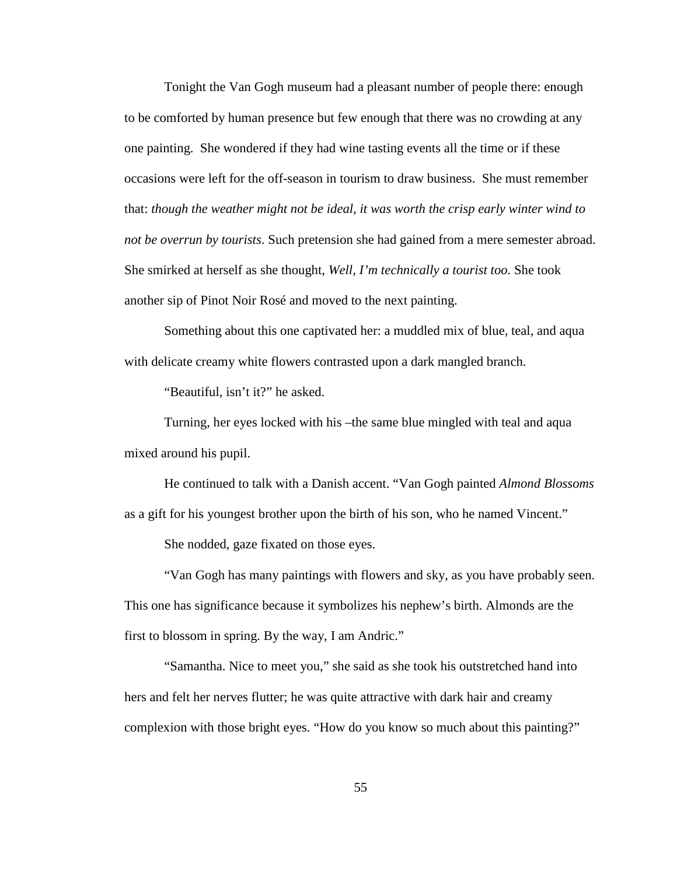Tonight the Van Gogh museum had a pleasant number of people there: enough to be comforted by human presence but few enough that there was no crowding at any one painting. She wondered if they had wine tasting events all the time or if these occasions were left for the off-season in tourism to draw business. She must remember that: *though the weather might not be ideal, it was worth the crisp early winter wind to not be overrun by tourists*. Such pretension she had gained from a mere semester abroad. She smirked at herself as she thought, *Well, I'm technically a tourist too.* She took another sip of Pinot Noir Rosé and moved to the next painting.

Something about this one captivated her: a muddled mix of blue, teal, and aqua with delicate creamy white flowers contrasted upon a dark mangled branch.

"Beautiful, isn't it?" he asked.

Turning, her eyes locked with his –the same blue mingled with teal and aqua mixed around his pupil.

He continued to talk with a Danish accent. "Van Gogh painted *Almond Blossoms* as a gift for his youngest brother upon the birth of his son, who he named Vincent."

She nodded, gaze fixated on those eyes.

"Van Gogh has many paintings with flowers and sky, as you have probably seen. This one has significance because it symbolizes his nephew's birth. Almonds are the first to blossom in spring. By the way, I am Andric."

"Samantha. Nice to meet you," she said as she took his outstretched hand into hers and felt her nerves flutter; he was quite attractive with dark hair and creamy complexion with those bright eyes. "How do you know so much about this painting?"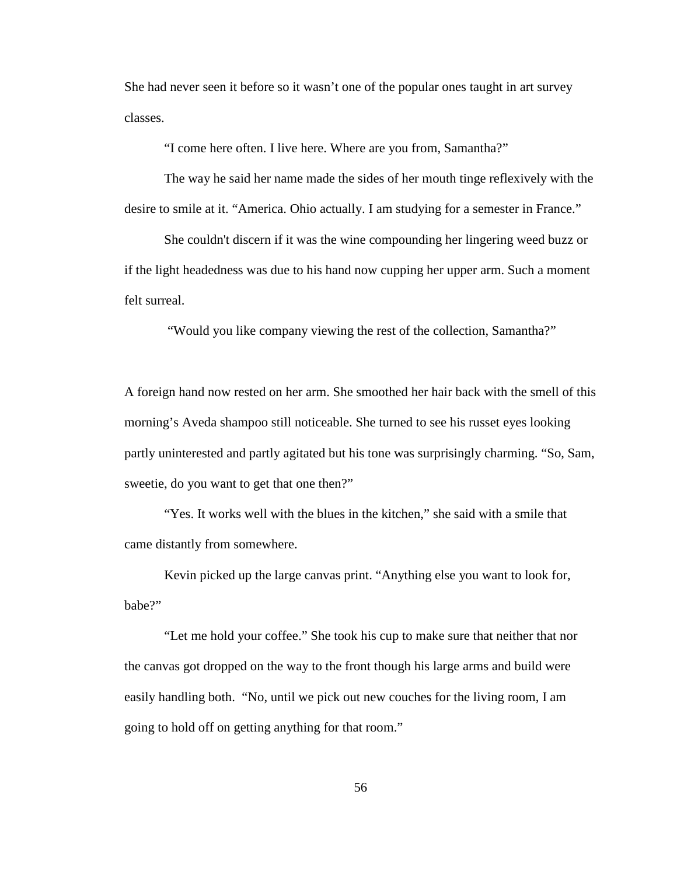She had never seen it before so it wasn't one of the popular ones taught in art survey classes.

"I come here often. I live here. Where are you from, Samantha?"

The way he said her name made the sides of her mouth tinge reflexively with the desire to smile at it. "America. Ohio actually. I am studying for a semester in France."

She couldn't discern if it was the wine compounding her lingering weed buzz or if the light headedness was due to his hand now cupping her upper arm. Such a moment felt surreal.

"Would you like company viewing the rest of the collection, Samantha?"

A foreign hand now rested on her arm. She smoothed her hair back with the smell of this morning's Aveda shampoo still noticeable. She turned to see his russet eyes looking partly uninterested and partly agitated but his tone was surprisingly charming. "So, Sam, sweetie, do you want to get that one then?"

"Yes. It works well with the blues in the kitchen," she said with a smile that came distantly from somewhere.

Kevin picked up the large canvas print. "Anything else you want to look for, babe?"

"Let me hold your coffee." She took his cup to make sure that neither that nor the canvas got dropped on the way to the front though his large arms and build were easily handling both. "No, until we pick out new couches for the living room, I am going to hold off on getting anything for that room."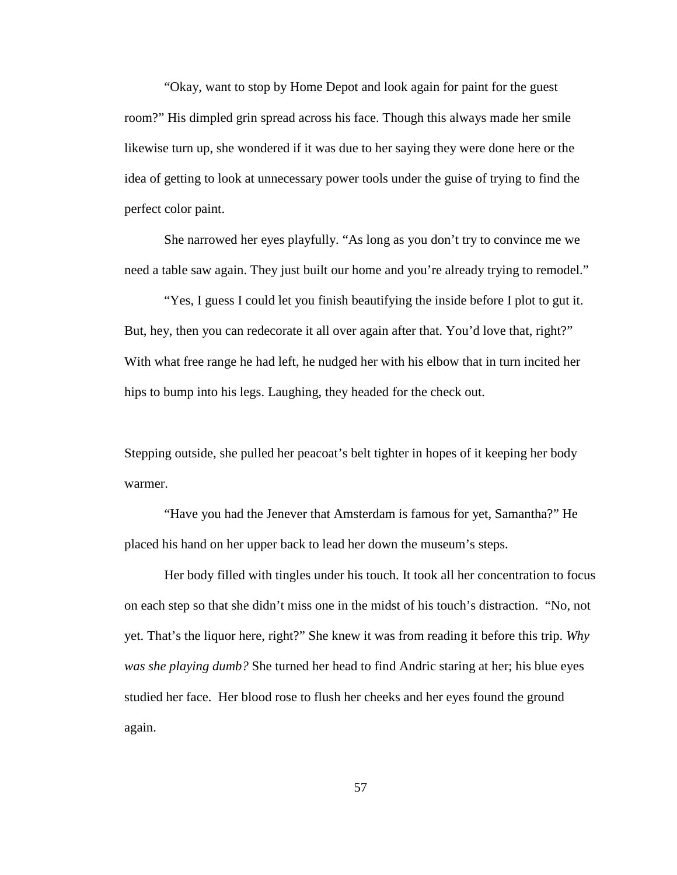"Okay, want to stop by Home Depot and look again for paint for the guest room?" His dimpled grin spread across his face. Though this always made her smile likewise turn up, she wondered if it was due to her saying they were done here or the idea of getting to look at unnecessary power tools under the guise of trying to find the perfect color paint.

She narrowed her eyes playfully. "As long as you don't try to convince me we need a table saw again. They just built our home and you're already trying to remodel."

"Yes, I guess I could let you finish beautifying the inside before I plot to gut it. But, hey, then you can redecorate it all over again after that. You'd love that, right?" With what free range he had left, he nudged her with his elbow that in turn incited her hips to bump into his legs. Laughing, they headed for the check out.

Stepping outside, she pulled her peacoat's belt tighter in hopes of it keeping her body warmer.

"Have you had the Jenever that Amsterdam is famous for yet, Samantha?" He placed his hand on her upper back to lead her down the museum's steps.

Her body filled with tingles under his touch. It took all her concentration to focus on each step so that she didn't miss one in the midst of his touch's distraction. "No, not yet. That's the liquor here, right?" She knew it was from reading it before this trip. *Why was she playing dumb?* She turned her head to find Andric staring at her; his blue eyes studied her face. Her blood rose to flush her cheeks and her eyes found the ground again.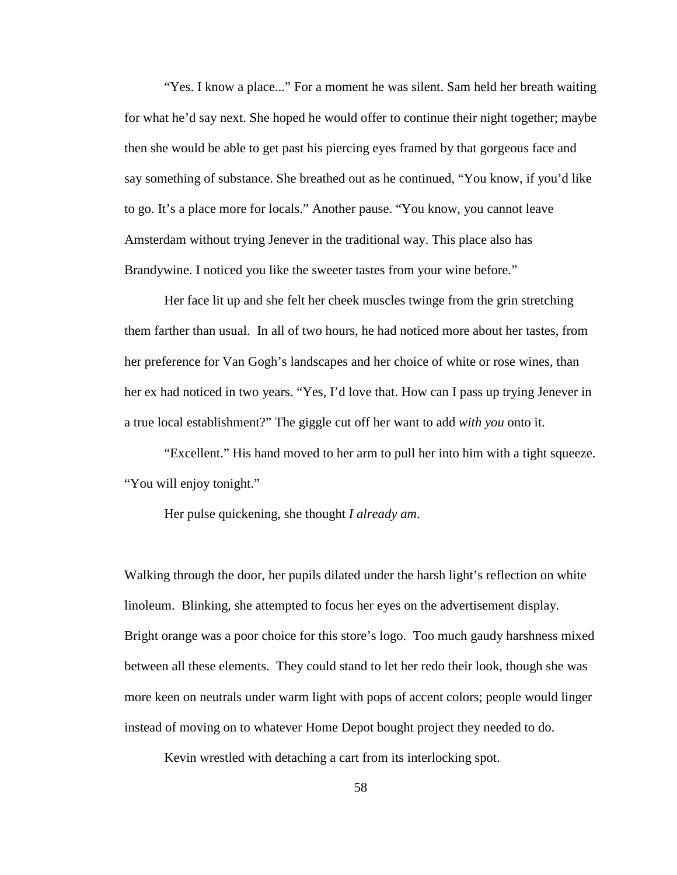"Yes. I know a place..." For a moment he was silent. Sam held her breath waiting for what he'd say next. She hoped he would offer to continue their night together; maybe then she would be able to get past his piercing eyes framed by that gorgeous face and say something of substance. She breathed out as he continued, "You know, if you'd like to go. It's a place more for locals." Another pause. "You know, you cannot leave Amsterdam without trying Jenever in the traditional way. This place also has Brandywine. I noticed you like the sweeter tastes from your wine before."

Her face lit up and she felt her cheek muscles twinge from the grin stretching them farther than usual. In all of two hours, he had noticed more about her tastes, from her preference for Van Gogh's landscapes and her choice of white or rose wines, than her ex had noticed in two years. "Yes, I'd love that. How can I pass up trying Jenever in a true local establishment?" The giggle cut off her want to add *with you* onto it.

"Excellent." His hand moved to her arm to pull her into him with a tight squeeze. "You will enjoy tonight."

Her pulse quickening, she thought *I already am*.

Walking through the door, her pupils dilated under the harsh light's reflection on white linoleum. Blinking, she attempted to focus her eyes on the advertisement display. Bright orange was a poor choice for this store's logo. Too much gaudy harshness mixed between all these elements. They could stand to let her redo their look, though she was more keen on neutrals under warm light with pops of accent colors; people would linger instead of moving on to whatever Home Depot bought project they needed to do.

Kevin wrestled with detaching a cart from its interlocking spot.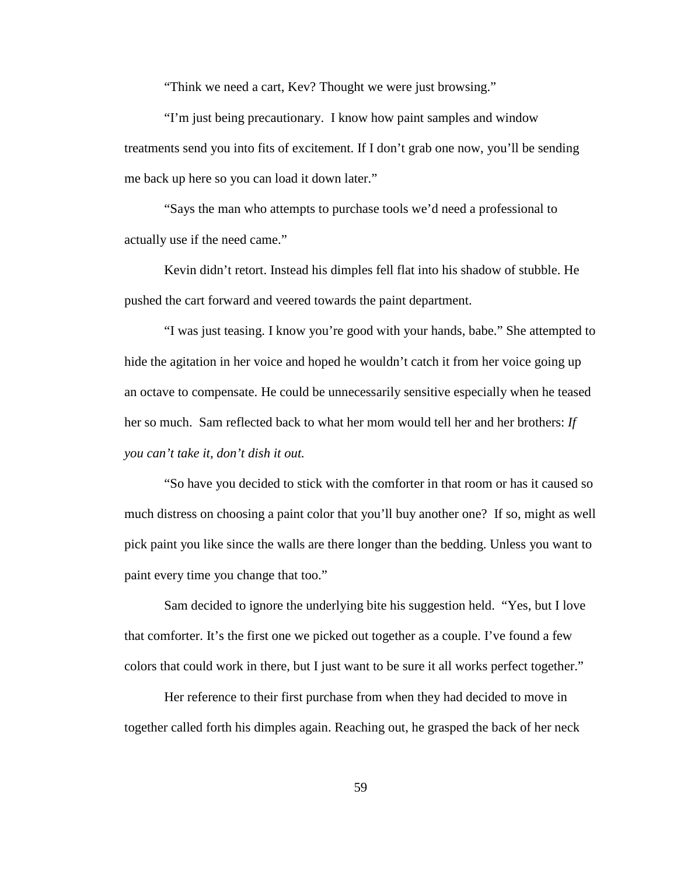"Think we need a cart, Kev? Thought we were just browsing."

"I'm just being precautionary. I know how paint samples and window treatments send you into fits of excitement. If I don't grab one now, you'll be sending me back up here so you can load it down later."

"Says the man who attempts to purchase tools we'd need a professional to actually use if the need came."

Kevin didn't retort. Instead his dimples fell flat into his shadow of stubble. He pushed the cart forward and veered towards the paint department.

"I was just teasing. I know you're good with your hands, babe." She attempted to hide the agitation in her voice and hoped he wouldn't catch it from her voice going up an octave to compensate. He could be unnecessarily sensitive especially when he teased her so much. Sam reflected back to what her mom would tell her and her brothers: *If you can't take it, don't dish it out.*

"So have you decided to stick with the comforter in that room or has it caused so much distress on choosing a paint color that you'll buy another one? If so, might as well pick paint you like since the walls are there longer than the bedding. Unless you want to paint every time you change that too."

Sam decided to ignore the underlying bite his suggestion held. "Yes, but I love that comforter. It's the first one we picked out together as a couple. I've found a few colors that could work in there, but I just want to be sure it all works perfect together."

Her reference to their first purchase from when they had decided to move in together called forth his dimples again. Reaching out, he grasped the back of her neck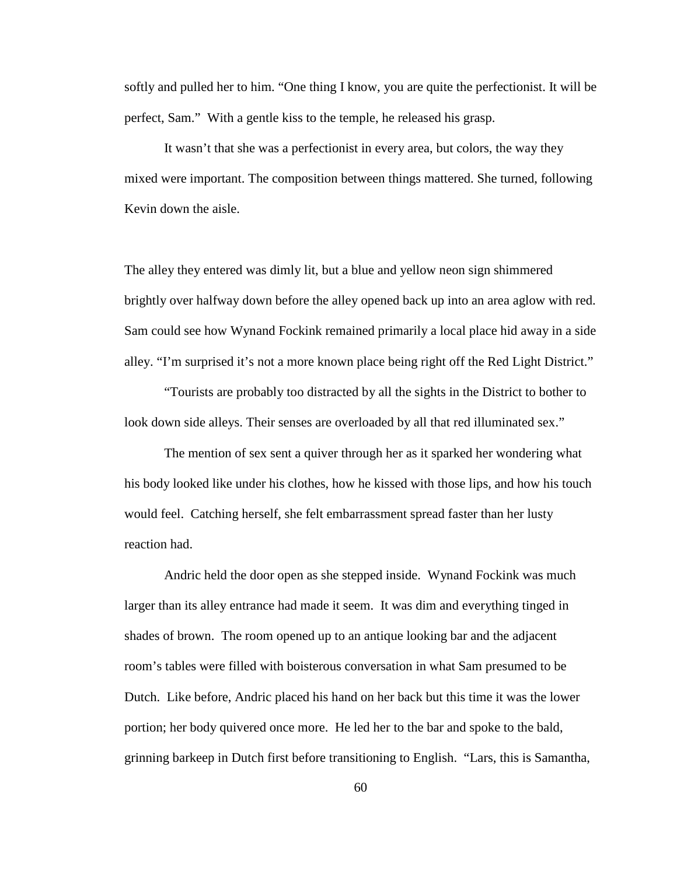softly and pulled her to him. "One thing I know, you are quite the perfectionist. It will be perfect, Sam." With a gentle kiss to the temple, he released his grasp.

It wasn't that she was a perfectionist in every area, but colors, the way they mixed were important. The composition between things mattered. She turned, following Kevin down the aisle.

The alley they entered was dimly lit, but a blue and yellow neon sign shimmered brightly over halfway down before the alley opened back up into an area aglow with red. Sam could see how Wynand Fockink remained primarily a local place hid away in a side alley. "I'm surprised it's not a more known place being right off the Red Light District."

"Tourists are probably too distracted by all the sights in the District to bother to look down side alleys. Their senses are overloaded by all that red illuminated sex."

The mention of sex sent a quiver through her as it sparked her wondering what his body looked like under his clothes, how he kissed with those lips, and how his touch would feel. Catching herself, she felt embarrassment spread faster than her lusty reaction had.

Andric held the door open as she stepped inside. Wynand Fockink was much larger than its alley entrance had made it seem. It was dim and everything tinged in shades of brown. The room opened up to an antique looking bar and the adjacent room's tables were filled with boisterous conversation in what Sam presumed to be Dutch. Like before, Andric placed his hand on her back but this time it was the lower portion; her body quivered once more. He led her to the bar and spoke to the bald, grinning barkeep in Dutch first before transitioning to English. "Lars, this is Samantha,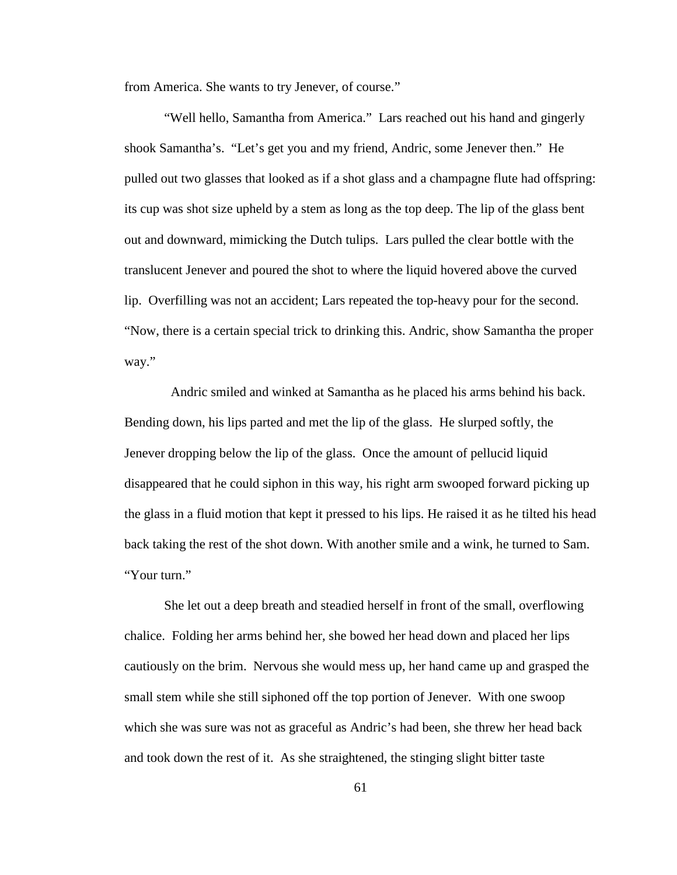from America. She wants to try Jenever, of course."

"Well hello, Samantha from America." Lars reached out his hand and gingerly shook Samantha's. "Let's get you and my friend, Andric, some Jenever then." He pulled out two glasses that looked as if a shot glass and a champagne flute had offspring: its cup was shot size upheld by a stem as long as the top deep. The lip of the glass bent out and downward, mimicking the Dutch tulips. Lars pulled the clear bottle with the translucent Jenever and poured the shot to where the liquid hovered above the curved lip. Overfilling was not an accident; Lars repeated the top-heavy pour for the second. "Now, there is a certain special trick to drinking this. Andric, show Samantha the proper way."

 Andric smiled and winked at Samantha as he placed his arms behind his back. Bending down, his lips parted and met the lip of the glass. He slurped softly, the Jenever dropping below the lip of the glass. Once the amount of pellucid liquid disappeared that he could siphon in this way, his right arm swooped forward picking up the glass in a fluid motion that kept it pressed to his lips. He raised it as he tilted his head back taking the rest of the shot down. With another smile and a wink, he turned to Sam. "Your turn."

She let out a deep breath and steadied herself in front of the small, overflowing chalice. Folding her arms behind her, she bowed her head down and placed her lips cautiously on the brim. Nervous she would mess up, her hand came up and grasped the small stem while she still siphoned off the top portion of Jenever. With one swoop which she was sure was not as graceful as Andric's had been, she threw her head back and took down the rest of it. As she straightened, the stinging slight bitter taste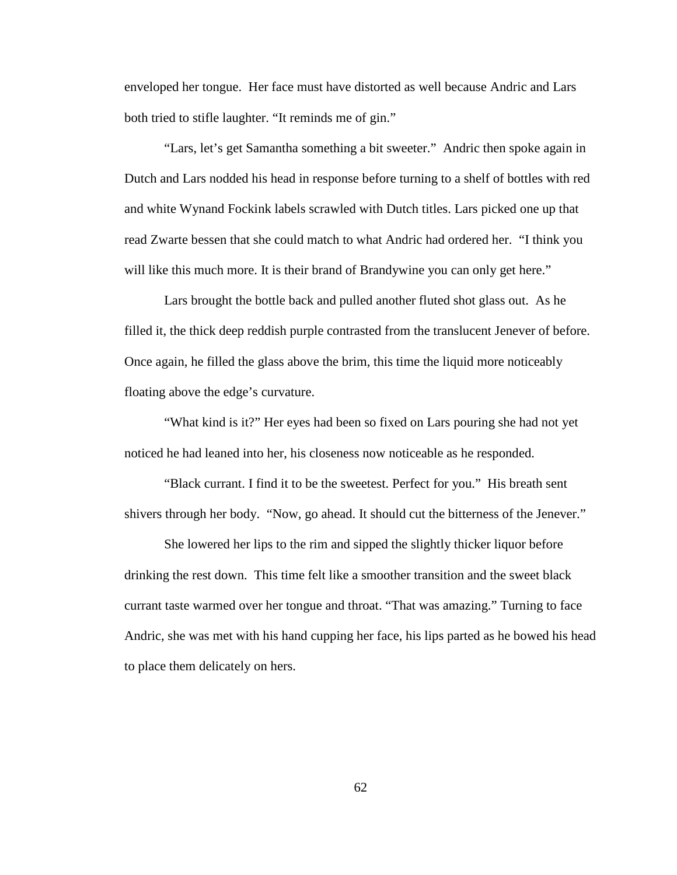enveloped her tongue. Her face must have distorted as well because Andric and Lars both tried to stifle laughter. "It reminds me of gin."

"Lars, let's get Samantha something a bit sweeter." Andric then spoke again in Dutch and Lars nodded his head in response before turning to a shelf of bottles with red and white Wynand Fockink labels scrawled with Dutch titles. Lars picked one up that read Zwarte bessen that she could match to what Andric had ordered her. "I think you will like this much more. It is their brand of Brandywine you can only get here."

Lars brought the bottle back and pulled another fluted shot glass out. As he filled it, the thick deep reddish purple contrasted from the translucent Jenever of before. Once again, he filled the glass above the brim, this time the liquid more noticeably floating above the edge's curvature.

"What kind is it?" Her eyes had been so fixed on Lars pouring she had not yet noticed he had leaned into her, his closeness now noticeable as he responded.

"Black currant. I find it to be the sweetest. Perfect for you." His breath sent shivers through her body. "Now, go ahead. It should cut the bitterness of the Jenever."

She lowered her lips to the rim and sipped the slightly thicker liquor before drinking the rest down. This time felt like a smoother transition and the sweet black currant taste warmed over her tongue and throat. "That was amazing." Turning to face Andric, she was met with his hand cupping her face, his lips parted as he bowed his head to place them delicately on hers.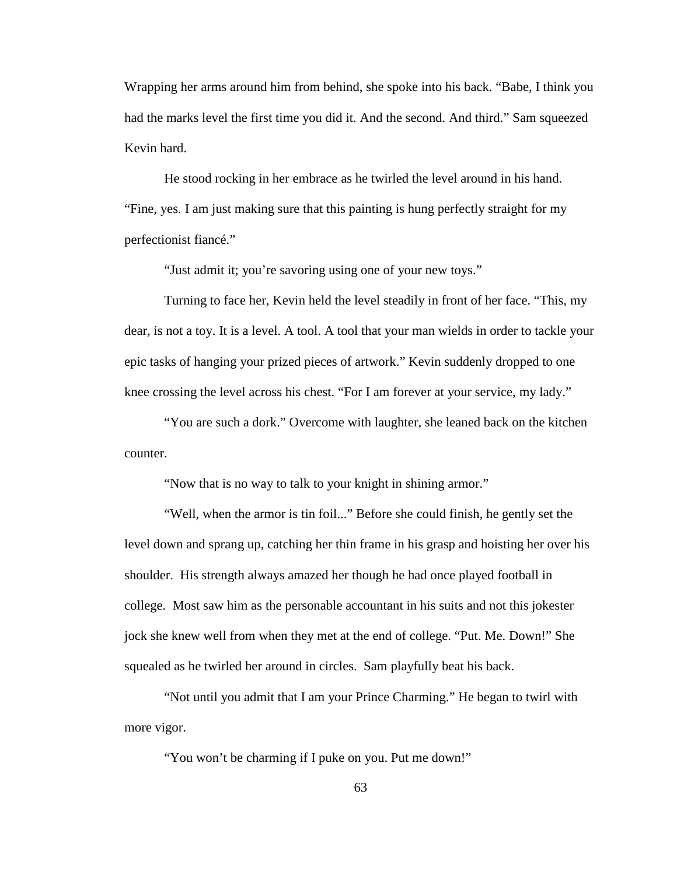Wrapping her arms around him from behind, she spoke into his back. "Babe, I think you had the marks level the first time you did it. And the second. And third." Sam squeezed Kevin hard.

He stood rocking in her embrace as he twirled the level around in his hand. "Fine, yes. I am just making sure that this painting is hung perfectly straight for my perfectionist fiancé."

"Just admit it; you're savoring using one of your new toys."

Turning to face her, Kevin held the level steadily in front of her face. "This, my dear, is not a toy. It is a level. A tool. A tool that your man wields in order to tackle your epic tasks of hanging your prized pieces of artwork." Kevin suddenly dropped to one knee crossing the level across his chest. "For I am forever at your service, my lady."

"You are such a dork." Overcome with laughter, she leaned back on the kitchen counter.

"Now that is no way to talk to your knight in shining armor."

"Well, when the armor is tin foil..." Before she could finish, he gently set the level down and sprang up, catching her thin frame in his grasp and hoisting her over his shoulder. His strength always amazed her though he had once played football in college. Most saw him as the personable accountant in his suits and not this jokester jock she knew well from when they met at the end of college. "Put. Me. Down!" She squealed as he twirled her around in circles. Sam playfully beat his back.

"Not until you admit that I am your Prince Charming." He began to twirl with more vigor.

"You won't be charming if I puke on you. Put me down!"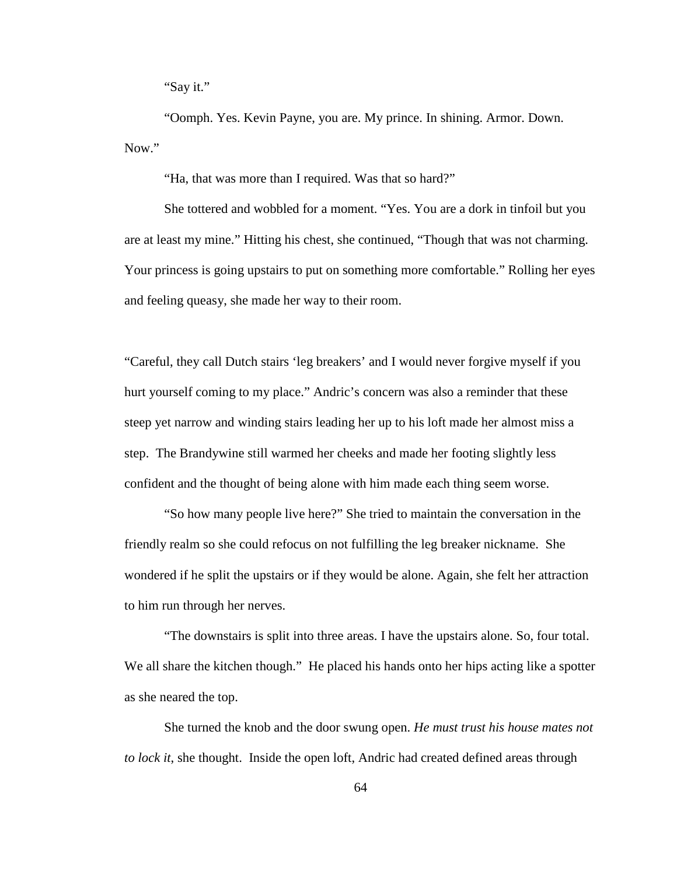"Say it."

"Oomph. Yes. Kevin Payne, you are. My prince. In shining. Armor. Down. Now."

"Ha, that was more than I required. Was that so hard?"

She tottered and wobbled for a moment. "Yes. You are a dork in tinfoil but you are at least my mine." Hitting his chest, she continued, "Though that was not charming. Your princess is going upstairs to put on something more comfortable." Rolling her eyes and feeling queasy, she made her way to their room.

"Careful, they call Dutch stairs 'leg breakers' and I would never forgive myself if you hurt yourself coming to my place." Andric's concern was also a reminder that these steep yet narrow and winding stairs leading her up to his loft made her almost miss a step. The Brandywine still warmed her cheeks and made her footing slightly less confident and the thought of being alone with him made each thing seem worse.

"So how many people live here?" She tried to maintain the conversation in the friendly realm so she could refocus on not fulfilling the leg breaker nickname. She wondered if he split the upstairs or if they would be alone. Again, she felt her attraction to him run through her nerves.

"The downstairs is split into three areas. I have the upstairs alone. So, four total. We all share the kitchen though." He placed his hands onto her hips acting like a spotter as she neared the top.

She turned the knob and the door swung open. *He must trust his house mates not to lock it*, she thought. Inside the open loft, Andric had created defined areas through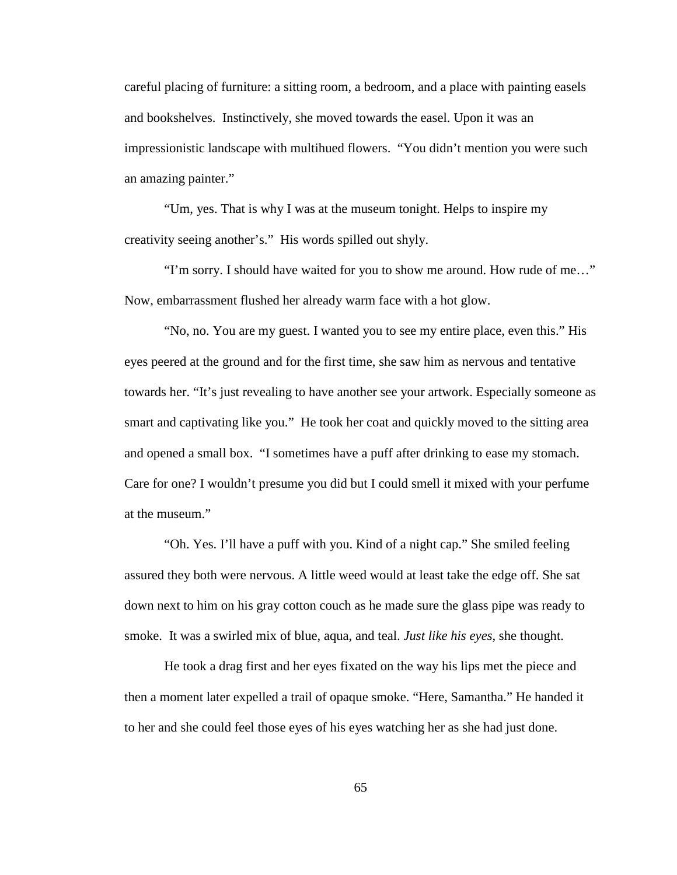careful placing of furniture: a sitting room, a bedroom, and a place with painting easels and bookshelves. Instinctively, she moved towards the easel. Upon it was an impressionistic landscape with multihued flowers. "You didn't mention you were such an amazing painter."

"Um, yes. That is why I was at the museum tonight. Helps to inspire my creativity seeing another's." His words spilled out shyly.

"I'm sorry. I should have waited for you to show me around. How rude of me…" Now, embarrassment flushed her already warm face with a hot glow.

"No, no. You are my guest. I wanted you to see my entire place, even this." His eyes peered at the ground and for the first time, she saw him as nervous and tentative towards her. "It's just revealing to have another see your artwork. Especially someone as smart and captivating like you." He took her coat and quickly moved to the sitting area and opened a small box. "I sometimes have a puff after drinking to ease my stomach. Care for one? I wouldn't presume you did but I could smell it mixed with your perfume at the museum."

"Oh. Yes. I'll have a puff with you. Kind of a night cap." She smiled feeling assured they both were nervous. A little weed would at least take the edge off. She sat down next to him on his gray cotton couch as he made sure the glass pipe was ready to smoke. It was a swirled mix of blue, aqua, and teal. *Just like his eyes*, she thought.

He took a drag first and her eyes fixated on the way his lips met the piece and then a moment later expelled a trail of opaque smoke. "Here, Samantha." He handed it to her and she could feel those eyes of his eyes watching her as she had just done.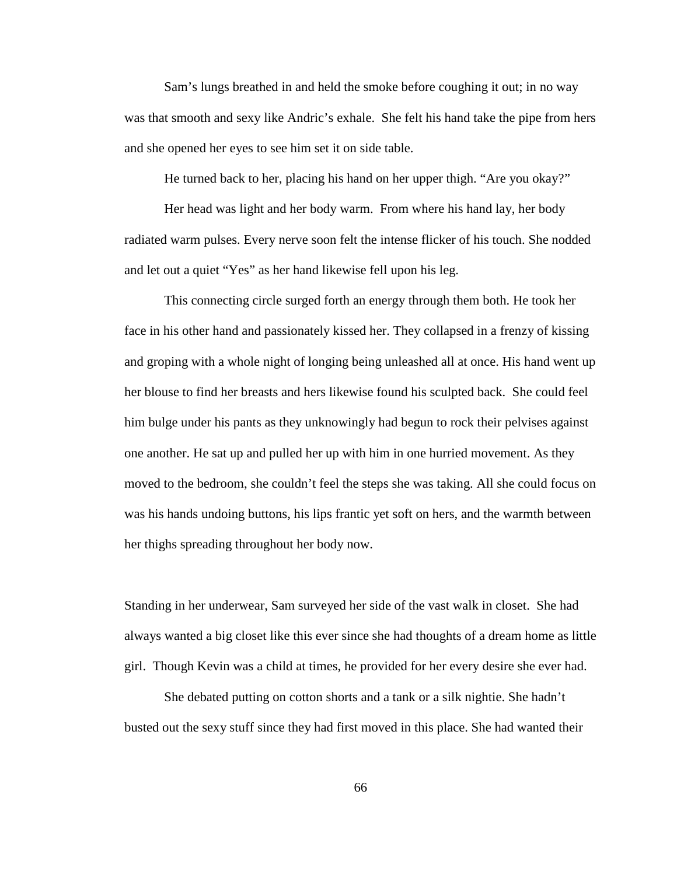Sam's lungs breathed in and held the smoke before coughing it out; in no way was that smooth and sexy like Andric's exhale. She felt his hand take the pipe from hers and she opened her eyes to see him set it on side table.

He turned back to her, placing his hand on her upper thigh. "Are you okay?"

Her head was light and her body warm. From where his hand lay, her body radiated warm pulses. Every nerve soon felt the intense flicker of his touch. She nodded and let out a quiet "Yes" as her hand likewise fell upon his leg.

This connecting circle surged forth an energy through them both. He took her face in his other hand and passionately kissed her. They collapsed in a frenzy of kissing and groping with a whole night of longing being unleashed all at once. His hand went up her blouse to find her breasts and hers likewise found his sculpted back. She could feel him bulge under his pants as they unknowingly had begun to rock their pelvises against one another. He sat up and pulled her up with him in one hurried movement. As they moved to the bedroom, she couldn't feel the steps she was taking. All she could focus on was his hands undoing buttons, his lips frantic yet soft on hers, and the warmth between her thighs spreading throughout her body now.

Standing in her underwear, Sam surveyed her side of the vast walk in closet. She had always wanted a big closet like this ever since she had thoughts of a dream home as little girl. Though Kevin was a child at times, he provided for her every desire she ever had.

She debated putting on cotton shorts and a tank or a silk nightie. She hadn't busted out the sexy stuff since they had first moved in this place. She had wanted their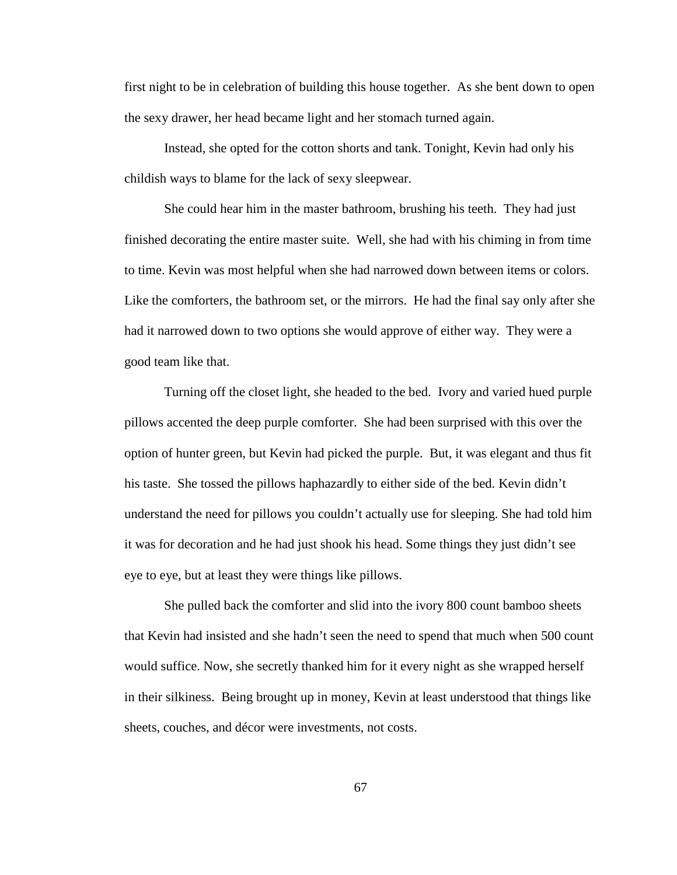first night to be in celebration of building this house together. As she bent down to open the sexy drawer, her head became light and her stomach turned again.

Instead, she opted for the cotton shorts and tank. Tonight, Kevin had only his childish ways to blame for the lack of sexy sleepwear.

She could hear him in the master bathroom, brushing his teeth. They had just finished decorating the entire master suite. Well, she had with his chiming in from time to time. Kevin was most helpful when she had narrowed down between items or colors. Like the comforters, the bathroom set, or the mirrors. He had the final say only after she had it narrowed down to two options she would approve of either way. They were a good team like that.

Turning off the closet light, she headed to the bed. Ivory and varied hued purple pillows accented the deep purple comforter. She had been surprised with this over the option of hunter green, but Kevin had picked the purple. But, it was elegant and thus fit his taste. She tossed the pillows haphazardly to either side of the bed. Kevin didn't understand the need for pillows you couldn't actually use for sleeping. She had told him it was for decoration and he had just shook his head. Some things they just didn't see eye to eye, but at least they were things like pillows.

She pulled back the comforter and slid into the ivory 800 count bamboo sheets that Kevin had insisted and she hadn't seen the need to spend that much when 500 count would suffice. Now, she secretly thanked him for it every night as she wrapped herself in their silkiness. Being brought up in money, Kevin at least understood that things like sheets, couches, and décor were investments, not costs.

67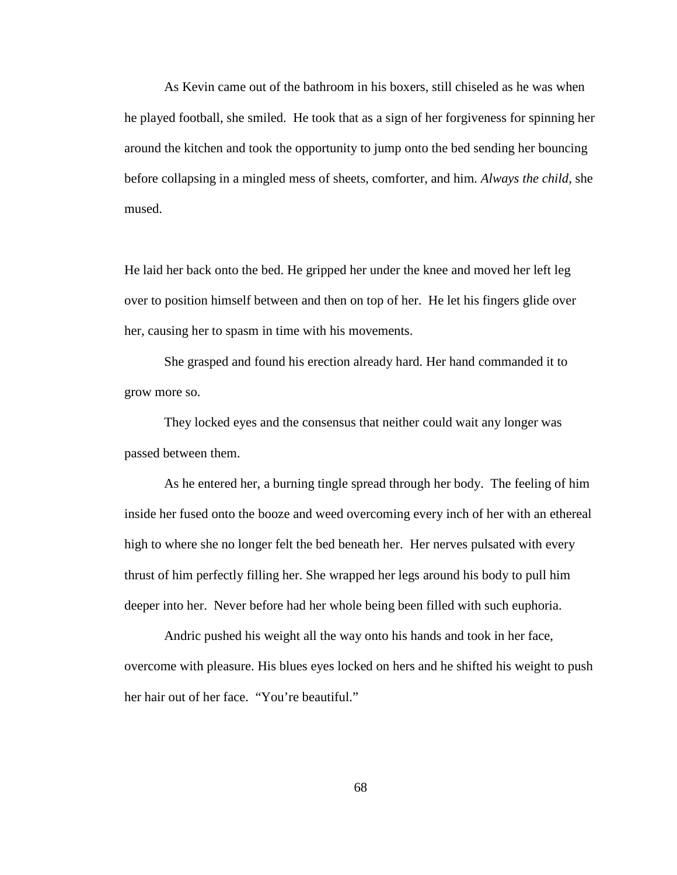As Kevin came out of the bathroom in his boxers, still chiseled as he was when he played football, she smiled. He took that as a sign of her forgiveness for spinning her around the kitchen and took the opportunity to jump onto the bed sending her bouncing before collapsing in a mingled mess of sheets, comforter, and him. *Always the child,* she mused.

He laid her back onto the bed. He gripped her under the knee and moved her left leg over to position himself between and then on top of her. He let his fingers glide over her, causing her to spasm in time with his movements.

She grasped and found his erection already hard. Her hand commanded it to grow more so.

They locked eyes and the consensus that neither could wait any longer was passed between them.

As he entered her, a burning tingle spread through her body. The feeling of him inside her fused onto the booze and weed overcoming every inch of her with an ethereal high to where she no longer felt the bed beneath her. Her nerves pulsated with every thrust of him perfectly filling her. She wrapped her legs around his body to pull him deeper into her. Never before had her whole being been filled with such euphoria.

Andric pushed his weight all the way onto his hands and took in her face, overcome with pleasure. His blues eyes locked on hers and he shifted his weight to push her hair out of her face. "You're beautiful."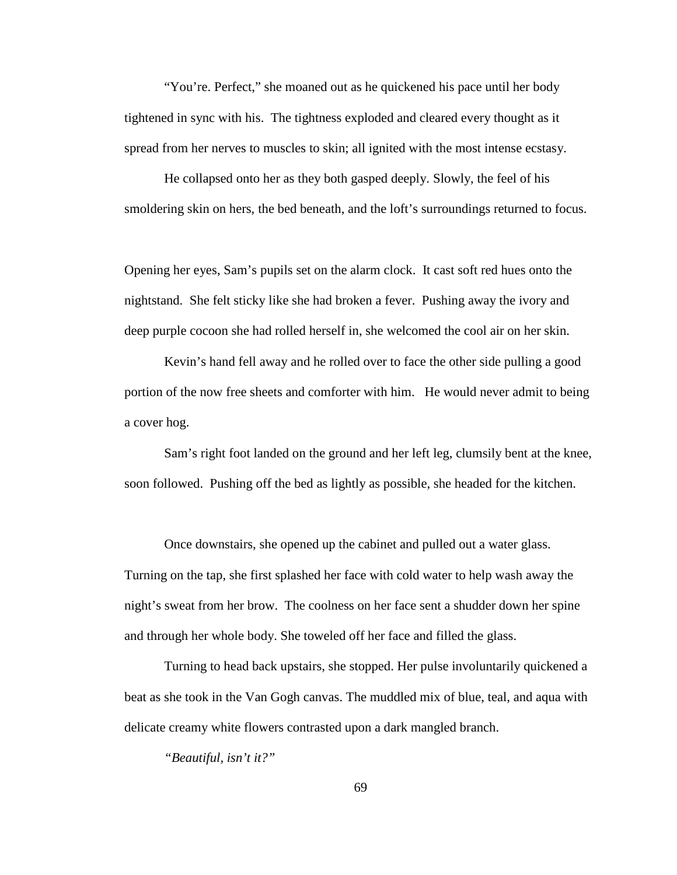"You're. Perfect," she moaned out as he quickened his pace until her body tightened in sync with his. The tightness exploded and cleared every thought as it spread from her nerves to muscles to skin; all ignited with the most intense ecstasy.

He collapsed onto her as they both gasped deeply. Slowly, the feel of his smoldering skin on hers, the bed beneath, and the loft's surroundings returned to focus.

Opening her eyes, Sam's pupils set on the alarm clock. It cast soft red hues onto the nightstand. She felt sticky like she had broken a fever. Pushing away the ivory and deep purple cocoon she had rolled herself in, she welcomed the cool air on her skin.

Kevin's hand fell away and he rolled over to face the other side pulling a good portion of the now free sheets and comforter with him. He would never admit to being a cover hog.

Sam's right foot landed on the ground and her left leg, clumsily bent at the knee, soon followed. Pushing off the bed as lightly as possible, she headed for the kitchen.

Once downstairs, she opened up the cabinet and pulled out a water glass. Turning on the tap, she first splashed her face with cold water to help wash away the night's sweat from her brow. The coolness on her face sent a shudder down her spine and through her whole body. She toweled off her face and filled the glass.

Turning to head back upstairs, she stopped. Her pulse involuntarily quickened a beat as she took in the Van Gogh canvas. The muddled mix of blue, teal, and aqua with delicate creamy white flowers contrasted upon a dark mangled branch.

*"Beautiful, isn't it?"*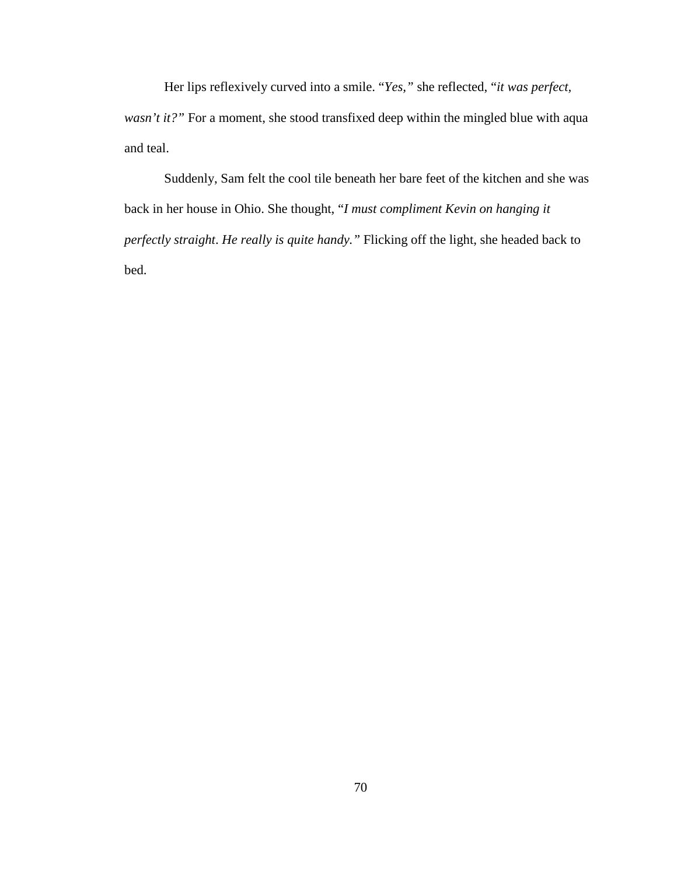Her lips reflexively curved into a smile. "*Yes,"* she reflected, "*it was perfect, wasn't it?"* For a moment, she stood transfixed deep within the mingled blue with aqua and teal.

Suddenly, Sam felt the cool tile beneath her bare feet of the kitchen and she was back in her house in Ohio. She thought, "*I must compliment Kevin on hanging it perfectly straight*. *He really is quite handy."* Flicking off the light, she headed back to bed.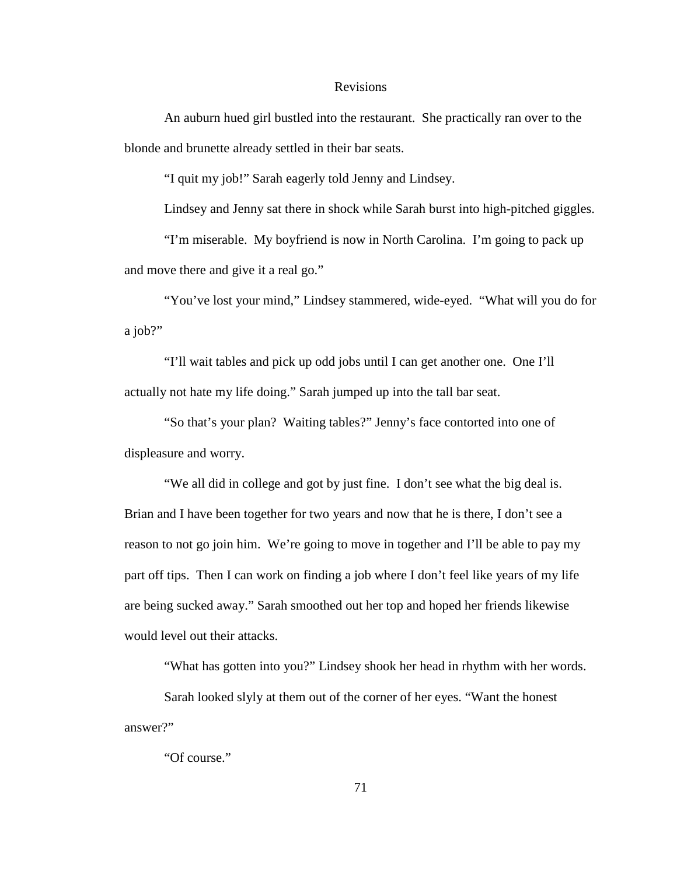## Revisions

An auburn hued girl bustled into the restaurant. She practically ran over to the blonde and brunette already settled in their bar seats.

"I quit my job!" Sarah eagerly told Jenny and Lindsey.

Lindsey and Jenny sat there in shock while Sarah burst into high-pitched giggles.

"I'm miserable. My boyfriend is now in North Carolina. I'm going to pack up and move there and give it a real go."

"You've lost your mind," Lindsey stammered, wide-eyed. "What will you do for a job?"

"I'll wait tables and pick up odd jobs until I can get another one. One I'll actually not hate my life doing." Sarah jumped up into the tall bar seat.

"So that's your plan? Waiting tables?" Jenny's face contorted into one of displeasure and worry.

"We all did in college and got by just fine. I don't see what the big deal is. Brian and I have been together for two years and now that he is there, I don't see a reason to not go join him. We're going to move in together and I'll be able to pay my part off tips. Then I can work on finding a job where I don't feel like years of my life are being sucked away." Sarah smoothed out her top and hoped her friends likewise would level out their attacks.

"What has gotten into you?" Lindsey shook her head in rhythm with her words.

Sarah looked slyly at them out of the corner of her eyes. "Want the honest answer?"

"Of course."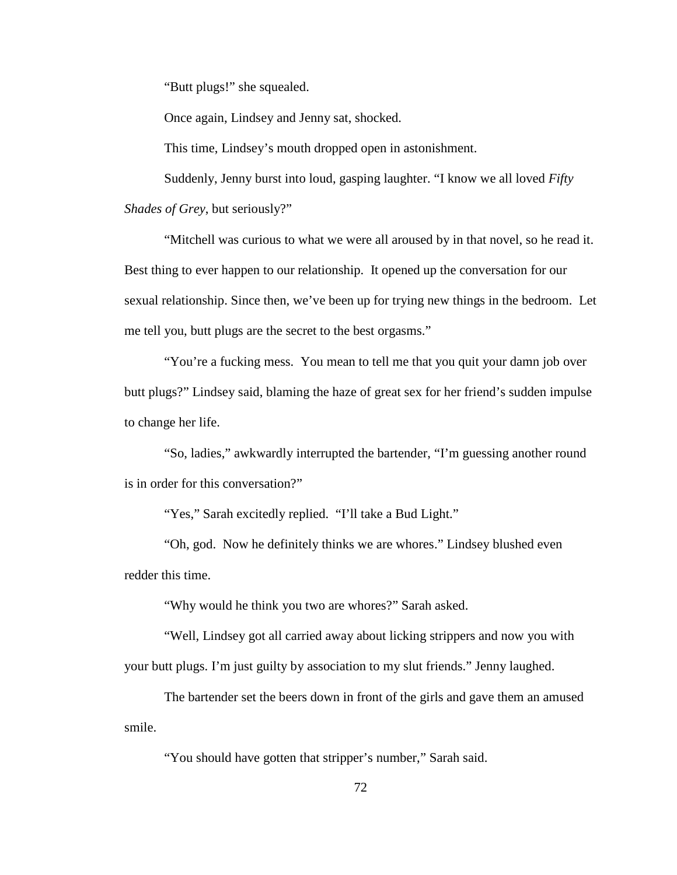"Butt plugs!" she squealed.

Once again, Lindsey and Jenny sat, shocked.

This time, Lindsey's mouth dropped open in astonishment.

Suddenly, Jenny burst into loud, gasping laughter. "I know we all loved *Fifty Shades of Grey*, but seriously?"

"Mitchell was curious to what we were all aroused by in that novel, so he read it. Best thing to ever happen to our relationship. It opened up the conversation for our sexual relationship. Since then, we've been up for trying new things in the bedroom. Let me tell you, butt plugs are the secret to the best orgasms."

"You're a fucking mess. You mean to tell me that you quit your damn job over butt plugs?" Lindsey said, blaming the haze of great sex for her friend's sudden impulse to change her life.

"So, ladies," awkwardly interrupted the bartender, "I'm guessing another round is in order for this conversation?"

"Yes," Sarah excitedly replied. "I'll take a Bud Light."

"Oh, god. Now he definitely thinks we are whores." Lindsey blushed even redder this time.

"Why would he think you two are whores?" Sarah asked.

"Well, Lindsey got all carried away about licking strippers and now you with your butt plugs. I'm just guilty by association to my slut friends." Jenny laughed.

The bartender set the beers down in front of the girls and gave them an amused smile.

"You should have gotten that stripper's number," Sarah said.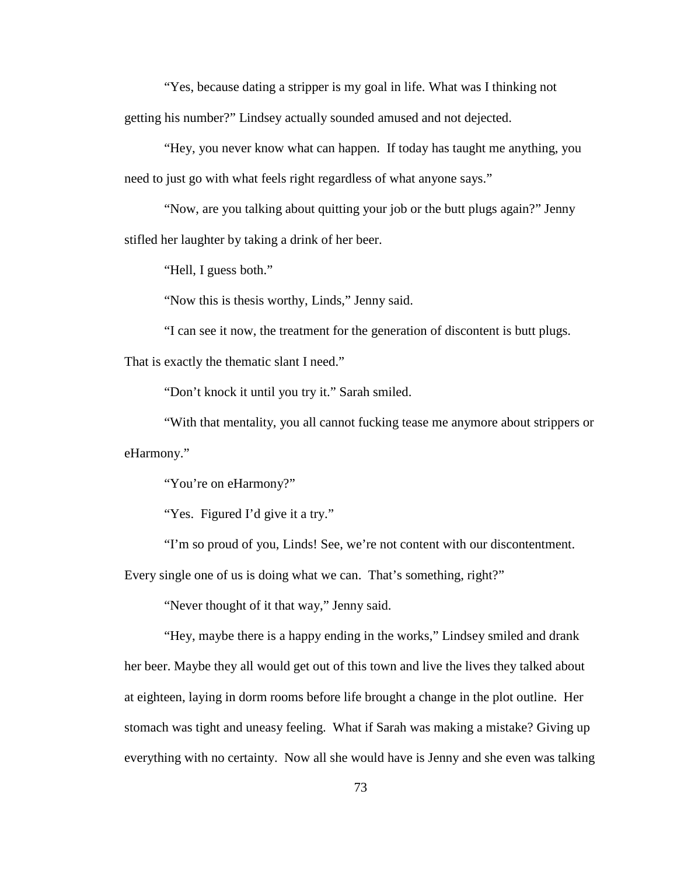"Yes, because dating a stripper is my goal in life. What was I thinking not getting his number?" Lindsey actually sounded amused and not dejected.

"Hey, you never know what can happen. If today has taught me anything, you need to just go with what feels right regardless of what anyone says."

"Now, are you talking about quitting your job or the butt plugs again?" Jenny stifled her laughter by taking a drink of her beer.

"Hell, I guess both."

"Now this is thesis worthy, Linds," Jenny said.

"I can see it now, the treatment for the generation of discontent is butt plugs.

That is exactly the thematic slant I need."

"Don't knock it until you try it." Sarah smiled.

"With that mentality, you all cannot fucking tease me anymore about strippers or eHarmony."

"You're on eHarmony?"

"Yes. Figured I'd give it a try."

"I'm so proud of you, Linds! See, we're not content with our discontentment.

Every single one of us is doing what we can. That's something, right?"

"Never thought of it that way," Jenny said.

"Hey, maybe there is a happy ending in the works," Lindsey smiled and drank her beer. Maybe they all would get out of this town and live the lives they talked about at eighteen, laying in dorm rooms before life brought a change in the plot outline. Her stomach was tight and uneasy feeling. What if Sarah was making a mistake? Giving up everything with no certainty. Now all she would have is Jenny and she even was talking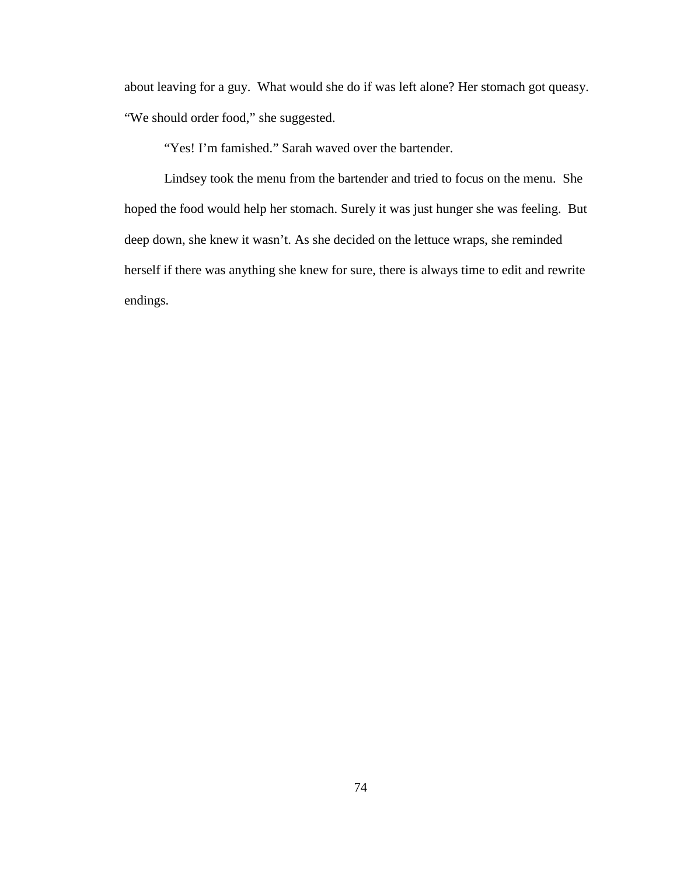about leaving for a guy. What would she do if was left alone? Her stomach got queasy. "We should order food," she suggested.

"Yes! I'm famished." Sarah waved over the bartender.

Lindsey took the menu from the bartender and tried to focus on the menu. She hoped the food would help her stomach. Surely it was just hunger she was feeling. But deep down, she knew it wasn't. As she decided on the lettuce wraps, she reminded herself if there was anything she knew for sure, there is always time to edit and rewrite endings.